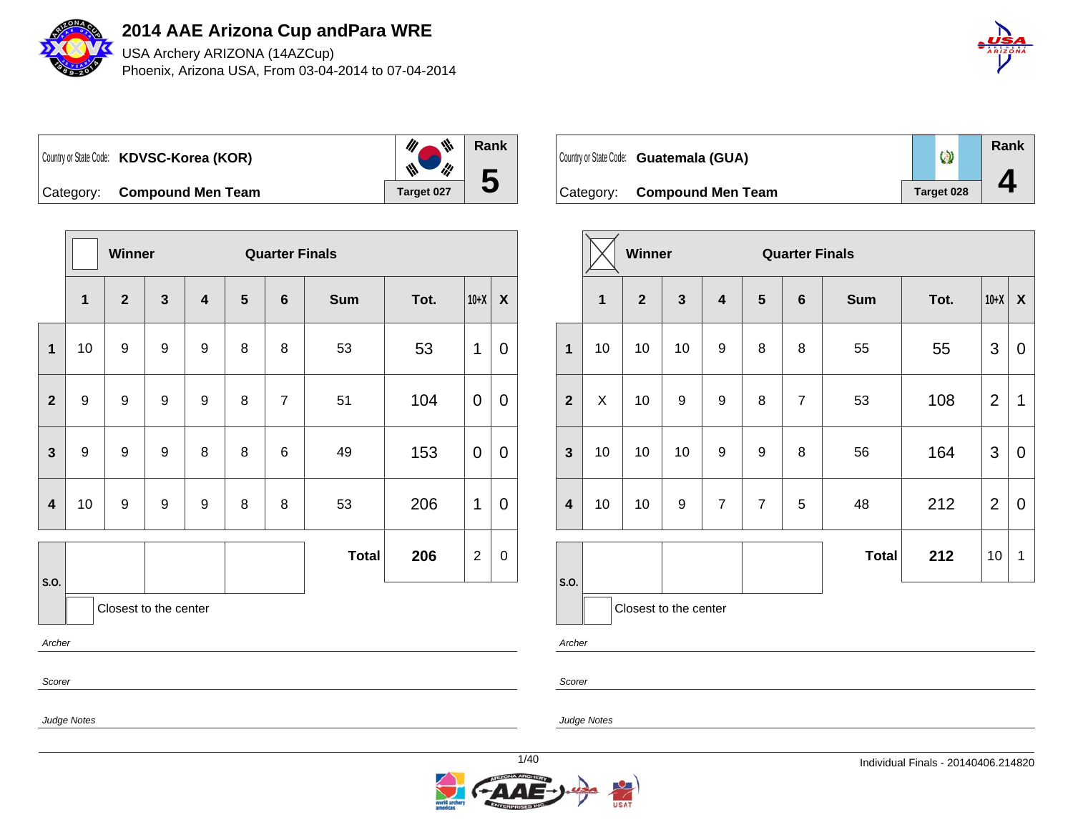

USA Archery ARIZONA (14AZCup) Phoenix, Arizona USA, From 03-04-2014 to 07-04-2014



 $\mathscr{U}$ ₩ **Rank** Country or State Code: **KDVSC-Korea (KOR)** li¦ M **5** Category: **Compound Men Team Target 027** 

|                         |                         | Winner                |              |                         |                 | <b>Quarter Finals</b> |              |      |                |                |
|-------------------------|-------------------------|-----------------------|--------------|-------------------------|-----------------|-----------------------|--------------|------|----------------|----------------|
|                         | $\overline{\mathbf{1}}$ | $\mathbf{2}$          | $\mathbf{3}$ | $\overline{\mathbf{4}}$ | $5\phantom{.0}$ | $6\phantom{1}6$       | <b>Sum</b>   | Tot. | $10+X$         | X              |
| 1                       | 10                      | 9                     | 9            | 9                       | 8               | 8                     | 53           | 53   | 1              | 0              |
| $\overline{2}$          | 9                       | 9                     | 9            | $\boldsymbol{9}$        | 8               | $\overline{7}$        | 51           | 104  | $\mathbf 0$    | $\overline{0}$ |
| $\overline{\mathbf{3}}$ | 9                       | 9                     | 9            | 8                       | 8               | 6                     | 49           | 153  | 0              | 0              |
| $\overline{\mathbf{4}}$ | 10                      | 9                     | 9            | $9$                     | 8               | 8                     | 53           | 206  | 1              | 0              |
|                         |                         |                       |              |                         |                 |                       | <b>Total</b> | 206  | $\overline{2}$ | $\mathbf 0$    |
| S.O.                    |                         | Closest to the center |              |                         |                 |                       |              |      |                |                |

Archer

Scorer

Judge Notes

Judge Notes



| Country or State Code: Guatemala (GUA) | <b>Q</b>   | Rank |
|----------------------------------------|------------|------|
| Category: Compound Men Team            | Target 028 |      |

|                |                       | Winner         |                         |                         |                  | <b>Quarter Finals</b> |              |      |                |                  |
|----------------|-----------------------|----------------|-------------------------|-------------------------|------------------|-----------------------|--------------|------|----------------|------------------|
|                | $\mathbf{1}$          | $\overline{2}$ | $\overline{\mathbf{3}}$ | $\overline{\mathbf{4}}$ | $5\phantom{1}$   | $\bf 6$               | <b>Sum</b>   | Tot. | $10+X$         | $\boldsymbol{X}$ |
| $\mathbf{1}$   | 10                    | 10             | 10                      | 9                       | 8                | 8                     | 55           | 55   | 3              | $\mathbf 0$      |
| $\overline{2}$ | X                     | 10             | $\boldsymbol{9}$        | 9                       | 8                | $\overline{7}$        | 53           | 108  | $\overline{2}$ | 1                |
| $\mathbf{3}$   | 10                    | 10             | 10                      | 9                       | $\boldsymbol{9}$ | 8                     | 56           | 164  | 3              | $\mathbf 0$      |
| $\overline{4}$ | 10                    | 10             | 9                       | $\overline{7}$          | $\overline{7}$   | 5                     | 48           | 212  | $\overline{2}$ | $\mathbf 0$      |
|                |                       |                |                         |                         |                  |                       | <b>Total</b> | 212  | 10             | 1                |
| S.O.           | Closest to the center |                |                         |                         |                  |                       |              |      |                |                  |

Archer

Scorer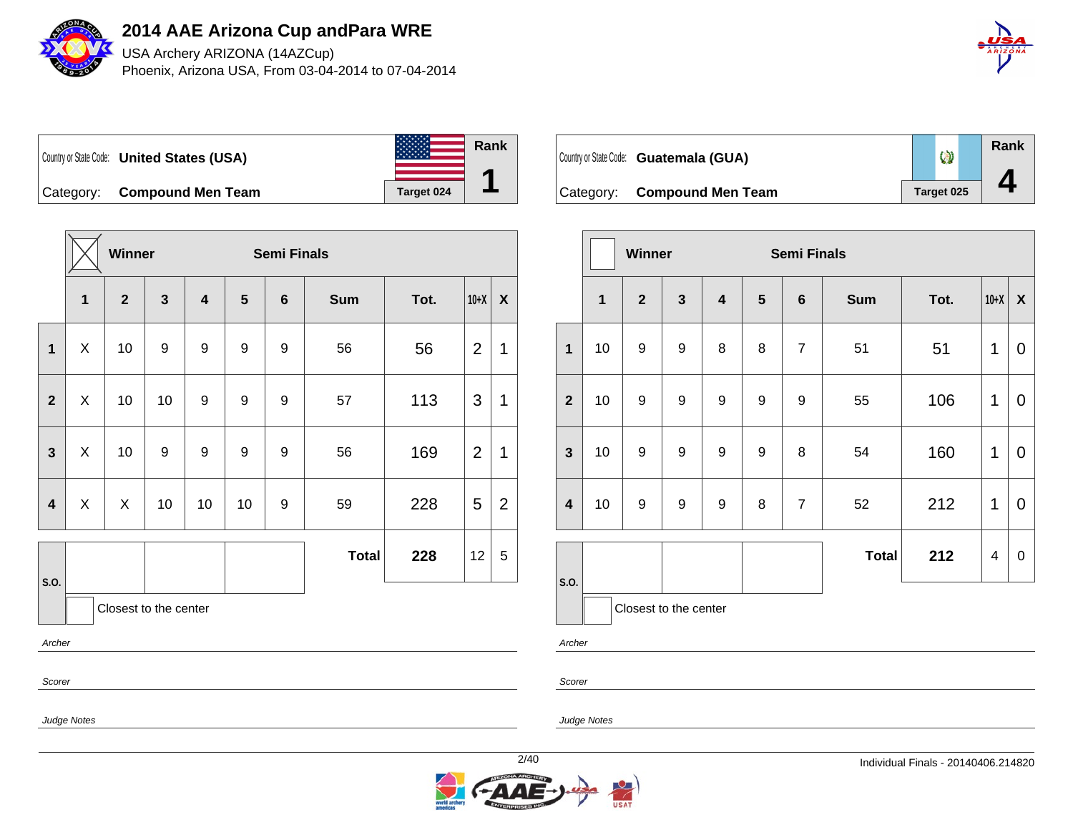

USA Archery ARIZONA (14AZCup) Phoenix, Arizona USA, From 03-04-2014 to 07-04-2014



Country or State Code: **United States (USA)** Category: **Compound Men Team Target 024 Rank 1**

|                         |              | Winner                  |              |                         |    | <b>Semi Finals</b> |              |      |                |                |
|-------------------------|--------------|-------------------------|--------------|-------------------------|----|--------------------|--------------|------|----------------|----------------|
|                         | $\mathbf{1}$ | $\overline{\mathbf{2}}$ | $\mathbf{3}$ | $\overline{\mathbf{4}}$ | 5  | $6\phantom{1}6$    | <b>Sum</b>   | Tot. | $10+X$         | X              |
| $\mathbf{1}$            | X            | 10                      | 9            | 9                       | 9  | 9                  | 56           | 56   | $\overline{2}$ | 1              |
| $\overline{2}$          | X            | 10                      | 10           | 9                       | 9  | 9                  | 57           | 113  | 3              | 1              |
| $\mathbf{3}$            | X            | 10                      | 9            | 9                       | 9  | 9                  | 56           | 169  | $\overline{2}$ | 1              |
| $\overline{\mathbf{4}}$ | X            | X                       | 10           | 10                      | 10 | 9                  | 59           | 228  | 5              | $\overline{2}$ |
|                         |              |                         |              |                         |    |                    | <b>Total</b> | 228  | 12             | 5              |
| S.O.                    |              | Closest to the center   |              |                         |    |                    |              |      |                |                |

**Rank**  $\circledcirc$ Country or State Code: **Guatemala (GUA) 4** Category: **Compound Men Team Target 025** 

|                         |                       | <b>Winner</b>  |                         |                         |            | <b>Semi Finals</b> |              |      |        |                  |
|-------------------------|-----------------------|----------------|-------------------------|-------------------------|------------|--------------------|--------------|------|--------|------------------|
|                         | 1                     | $\overline{2}$ | $\overline{\mathbf{3}}$ | $\overline{\mathbf{4}}$ | $\sqrt{5}$ | $6\phantom{1}6$    | <b>Sum</b>   | Tot. | $10+X$ | $\boldsymbol{X}$ |
| $\mathbf{1}$            | 10                    | 9              | $\boldsymbol{9}$        | 8                       | 8          | $\overline{7}$     | 51           | 51   | 1      | 0                |
| $\overline{2}$          | 10                    | 9              | 9                       | 9                       | 9          | 9                  | 55           | 106  | 1      | 0                |
| $\mathbf{3}$            | 10                    | 9              | 9                       | 9                       | 9          | 8                  | 54           | 160  | 1      | 0                |
| $\overline{\mathbf{4}}$ | 10                    | 9              | $\boldsymbol{9}$        | 9                       | 8          | $\overline{7}$     | 52           | 212  | 1      | 0                |
|                         |                       |                |                         |                         |            |                    | <b>Total</b> | 212  | 4      | $\,0\,$          |
| S.O.                    | Closest to the center |                |                         |                         |            |                    |              |      |        |                  |

Archer

Scorer

Judge Notes

Archer

Scorer

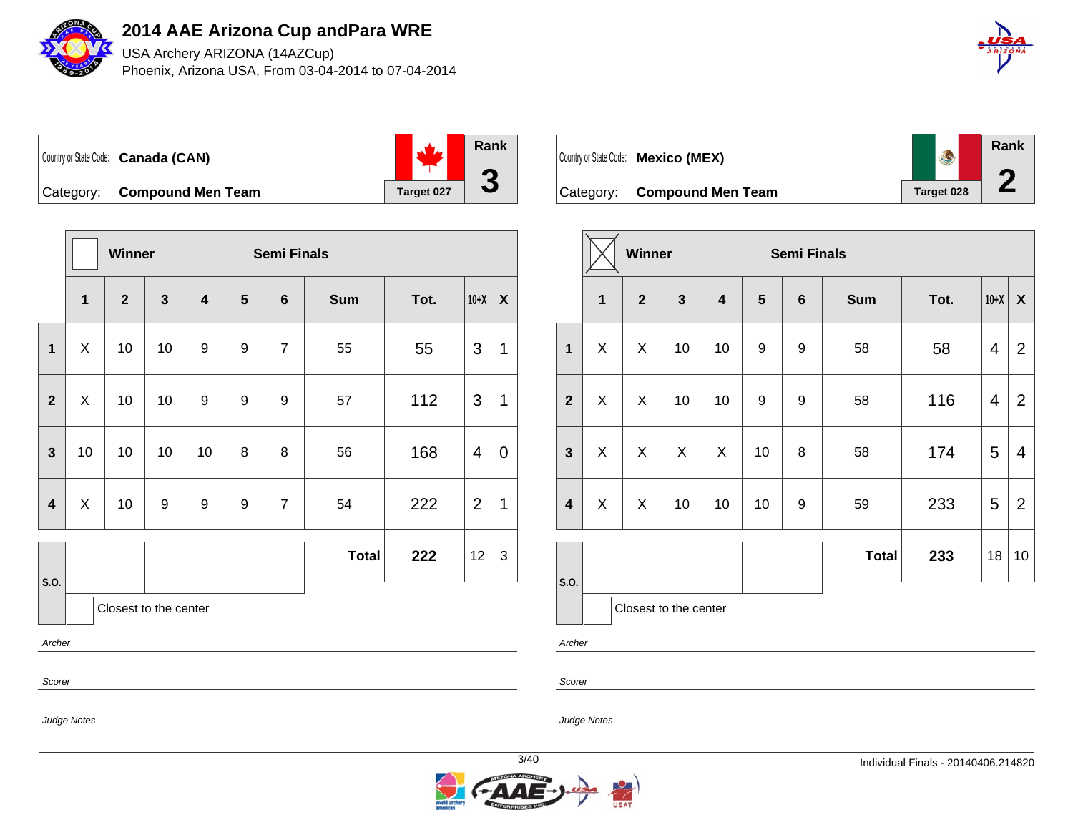

USA Archery ARIZONA (14AZCup) Phoenix, Arizona USA, From 03-04-2014 to 07-04-2014



## Country or State Code: **Canada (CAN)** Category: **Compound Men Team Target 027 Rank 3**

**Winner Semi Finals 1 2 3 4 5 6 Sum Tot. 10+X X 1** X 10 10 9 9 7 55 55 3 1 **2** X 10 10 9 9 9 57 112 3 1 **3** | 10 | 10 | 10 | 10 | 8 | 8 | 56 | 168 | 4 | 0 **4** X 10 9 9 9 7 54 222 2 1 **S.O. Total 222**  $|12|3$ Closest to the center

Archer

Scorer

Scorer

Archer

Judge Notes



| Country or State Code: Mexico (MEX) |            | Rank |
|-------------------------------------|------------|------|
| Category: Compound Men Team         | Target 028 |      |

|                         |              | Winner                |    |                         |                | <b>Semi Finals</b> |              |      |        |                           |
|-------------------------|--------------|-----------------------|----|-------------------------|----------------|--------------------|--------------|------|--------|---------------------------|
|                         | $\mathbf{1}$ | $\overline{2}$        | 3  | $\overline{\mathbf{4}}$ | $5\phantom{1}$ | $6\phantom{1}6$    | <b>Sum</b>   | Tot. | $10+X$ | $\boldsymbol{\mathsf{X}}$ |
| $\mathbf{1}$            | X            | X                     | 10 | 10                      | 9              | 9                  | 58           | 58   | 4      | $\overline{2}$            |
| $\overline{2}$          | X            | X                     | 10 | 10                      | 9              | 9                  | 58           | 116  | 4      | $\overline{2}$            |
| $\mathbf{3}$            | X            | X                     | X  | X                       | 10             | 8                  | 58           | 174  | 5      | 4                         |
| $\overline{\mathbf{4}}$ | X            | X                     | 10 | 10                      | 10             | 9                  | 59           | 233  | 5      | $\overline{2}$            |
|                         |              |                       |    |                         |                |                    | <b>Total</b> | 233  | 18     | 10                        |
| S.O.                    |              | Closest to the center |    |                         |                |                    |              |      |        |                           |

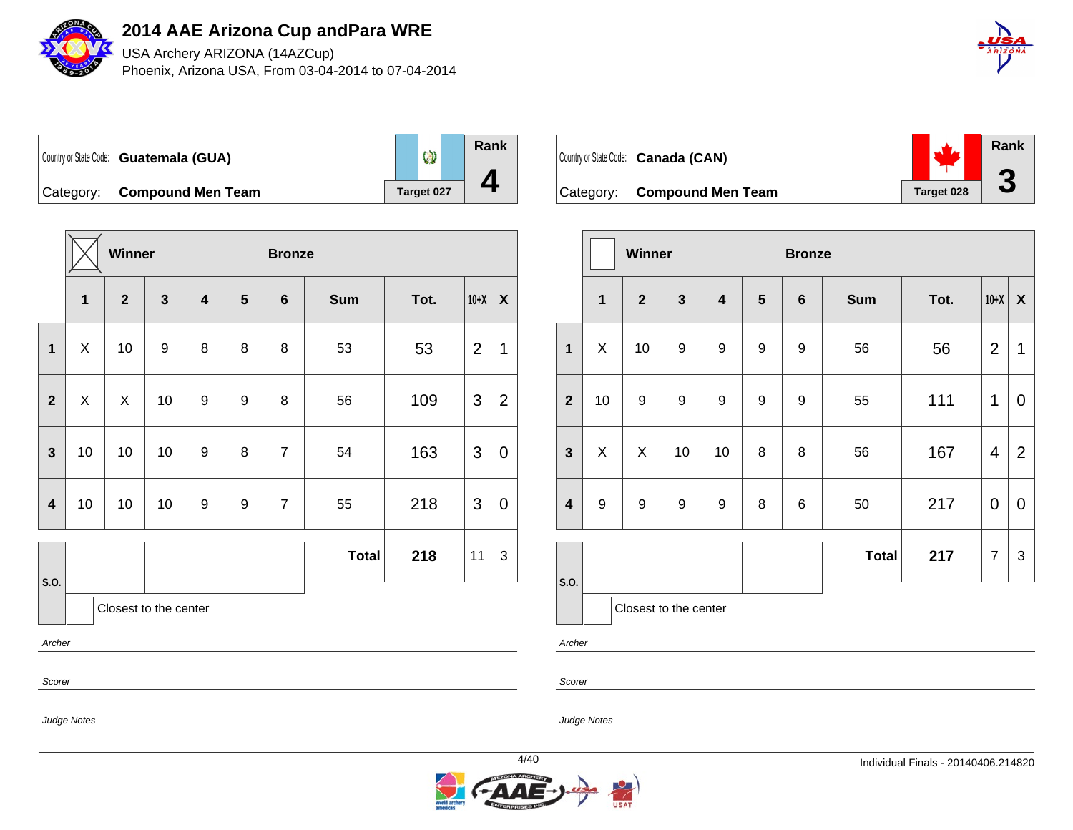

USA Archery ARIZONA (14AZCup) Phoenix, Arizona USA, From 03-04-2014 to 07-04-2014



**Rank**

L

**3**

 $\circledcirc$ Country or State Code: **Guatemala (GUA) 4** Category: **Compound Men Team Target 027** 

|                         |                         | Winner                |    |                         |   | <b>Bronze</b>   |              |      |                |                |  |  |  |
|-------------------------|-------------------------|-----------------------|----|-------------------------|---|-----------------|--------------|------|----------------|----------------|--|--|--|
|                         | $\overline{\mathbf{1}}$ | $\overline{2}$        | 3  | $\overline{\mathbf{4}}$ | 5 | $6\phantom{1}6$ | <b>Sum</b>   | Tot. | $10+X$         | X              |  |  |  |
| $\mathbf{1}$            | X                       | 10                    | 9  | 8                       | 8 | 8               | 53           | 53   | $\overline{2}$ | 1              |  |  |  |
| $\mathbf{2}$            | X                       | X                     | 10 | 9                       | 9 | 8               | 56           | 109  | 3              | $\overline{2}$ |  |  |  |
| $\mathbf{3}$            | 10                      | 10                    | 10 | 9                       | 8 | $\overline{7}$  | 54           | 163  | 3              | 0              |  |  |  |
| $\overline{\mathbf{4}}$ | 10                      | 10                    | 10 | 9                       | 9 | $\overline{7}$  | 55           | 218  | 3              | 0              |  |  |  |
|                         |                         |                       |    |                         |   |                 | <b>Total</b> | 218  | 11             | 3              |  |  |  |
| S.O.                    |                         | Closest to the center |    |                         |   |                 |              |      |                |                |  |  |  |



Category: **Compound Men Team Target 028** 

|                         |                       | Winner         |                  |                         |                | <b>Bronze</b> |              |      |                |                  |  |  |  |
|-------------------------|-----------------------|----------------|------------------|-------------------------|----------------|---------------|--------------|------|----------------|------------------|--|--|--|
|                         | $\mathbf{1}$          | $\overline{2}$ | $\mathbf{3}$     | $\overline{\mathbf{4}}$ | $5\phantom{1}$ | $\bf 6$       | <b>Sum</b>   | Tot. | $10+X$         | $\boldsymbol{X}$ |  |  |  |
| $\mathbf 1$             | X                     | 10             | $\boldsymbol{9}$ | $\boldsymbol{9}$        | 9              | 9             | 56           | 56   | $\overline{2}$ | 1                |  |  |  |
| $\overline{2}$          | 10                    | 9              | 9                | $\boldsymbol{9}$        | 9              | 9             | 55           | 111  | 1              | 0                |  |  |  |
| $\mathbf{3}$            | X                     | X              | 10               | 10                      | 8              | 8             | 56           | 167  | $\overline{4}$ | $\overline{2}$   |  |  |  |
| $\overline{\mathbf{4}}$ | 9                     | 9              | 9                | $\boldsymbol{9}$        | 8              | 6             | 50           | 217  | $\mathbf 0$    | 0                |  |  |  |
|                         |                       |                |                  |                         |                |               | <b>Total</b> | 217  | $\overline{7}$ | 3                |  |  |  |
| S.O.                    | Closest to the center |                |                  |                         |                |               |              |      |                |                  |  |  |  |

Archer

Scorer

Judge Notes

Archer

Scorer

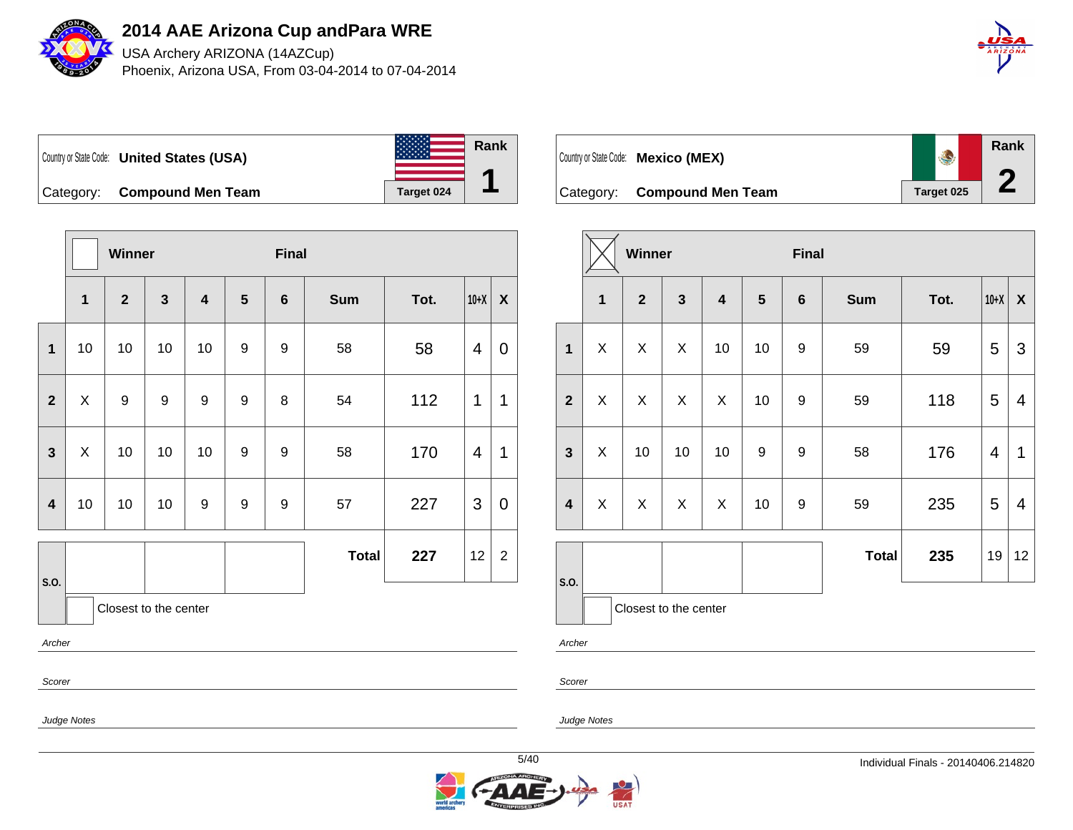

USA Archery ARIZONA (14AZCup) Phoenix, Arizona USA, From 03-04-2014 to 07-04-2014



Country or State Code: **United States (USA)** Category: **Compound Men Team Tanget 024 Rank 1**

|                         |                | Winner                |              |                         |                  | <b>Final</b>   |              |      |        |                  |
|-------------------------|----------------|-----------------------|--------------|-------------------------|------------------|----------------|--------------|------|--------|------------------|
|                         | $\overline{1}$ | $\mathbf{2}$          | $\mathbf{3}$ | $\overline{\mathbf{4}}$ | $5\phantom{1}$   | $6\phantom{1}$ | <b>Sum</b>   | Tot. | $10+X$ | $\boldsymbol{X}$ |
| $\mathbf{1}$            | 10             | 10                    | 10           | 10                      | 9                | 9              | 58           | 58   | 4      | 0                |
| $\mathbf{2}$            | X              | 9                     | 9            | 9                       | $\boldsymbol{9}$ | 8              | 54           | 112  | 1      | 1                |
| $\mathbf{3}$            | X              | 10                    | 10           | 10                      | 9                | 9              | 58           | 170  | 4      | 1                |
| $\overline{\mathbf{4}}$ | 10             | 10                    | 10           | 9                       | $\boldsymbol{9}$ | 9              | 57           | 227  | 3      | 0                |
|                         |                |                       |              |                         |                  |                | <b>Total</b> | 227  | 12     | $\overline{2}$   |
| S.O.                    |                | Closest to the center |              |                         |                  |                |              |      |        |                  |

Archer

Scorer

Scorer

Archer

Judge Notes

Judge Notes



| Country or State Code: Mexico (MEX) |            | Rank |
|-------------------------------------|------------|------|
| Category: Compound Men Team         | Target 025 |      |

|                         |              | Winner                |              |                         |                 | <b>Final</b>     |              |      |        |                |
|-------------------------|--------------|-----------------------|--------------|-------------------------|-----------------|------------------|--------------|------|--------|----------------|
|                         | $\mathbf{1}$ | $\overline{2}$        | $\mathbf{3}$ | $\overline{\mathbf{4}}$ | $5\phantom{.0}$ | $6\phantom{1}6$  | <b>Sum</b>   | Tot. | $10+X$ | $\mathsf{X}$   |
| $\mathbf{1}$            | X            | X                     | X            | 10                      | 10              | $\boldsymbol{9}$ | 59           | 59   | 5      | 3              |
| $\overline{2}$          | X            | X                     | X            | X                       | 10              | 9                | 59           | 118  | 5      | 4              |
| $\mathbf{3}$            | X            | 10                    | 10           | 10                      | 9               | 9                | 58           | 176  | 4      | 1              |
| $\overline{\mathbf{4}}$ | X            | X                     | X            | X                       | 10              | 9                | 59           | 235  | 5      | $\overline{4}$ |
|                         |              |                       |              |                         |                 |                  | <b>Total</b> | 235  | 19     | 12             |
| S.O.                    |              | Closest to the center |              |                         |                 |                  |              |      |        |                |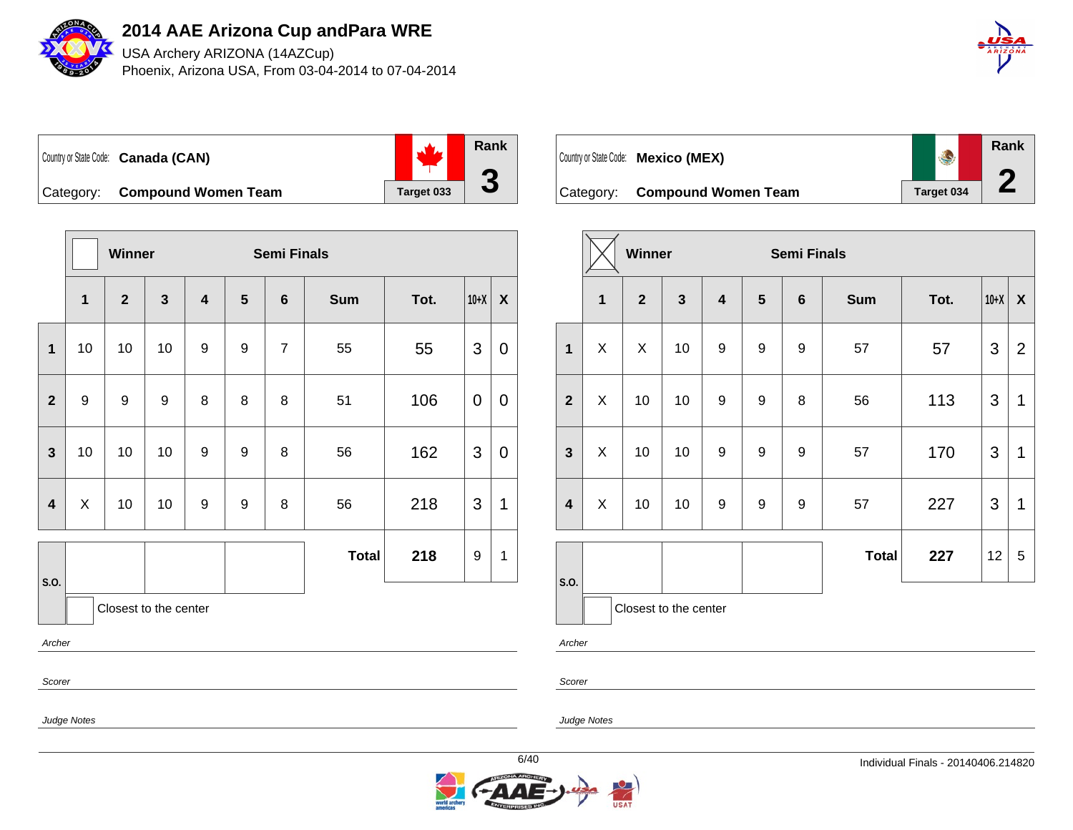

USA Archery ARIZONA (14AZCup) Phoenix, Arizona USA, From 03-04-2014 to 07-04-2014



## Country or State Code: **Canada (CAN)** Category: **Compound Women Team** Target 033 **Rank**

**Winner Semi Finals 1 2 3 4 5 6 Sum Tot. 10+X X 1** | 10 | 10 | 10 | 9 | 9 | 7 | 55 | 55 | 3 | 0 **2** | 9 | 9 | 9 | 8 | 8 | 8 | 51 | 106 | 0 | 0 **3** | 10 | 10 | 10 | 9 | 9 | 8 | 56 | 162 | 3 | 0 **4** X 10 10 9 9 8 56 218 3 1 **S.O. Total 218** 9 1 Closest to the center

Archer

Scorer

Scorer

Archer

Judge Notes



**3**

| Country or State Code: Mexico (MEX) | S          | Rank |
|-------------------------------------|------------|------|
| Category: Compound Women Team       | Target 034 |      |

|                         |   | Winner                |                         | <b>Semi Finals</b>      |                 |                 |              |      |        |                |
|-------------------------|---|-----------------------|-------------------------|-------------------------|-----------------|-----------------|--------------|------|--------|----------------|
|                         | 1 | $\overline{2}$        | $\overline{\mathbf{3}}$ | $\overline{\mathbf{4}}$ | $5\phantom{.0}$ | $6\phantom{1}6$ | <b>Sum</b>   | Tot. | $10+X$ | X              |
| $\overline{1}$          | X | X                     | 10                      | 9                       | 9               | 9               | 57           | 57   | 3      | $\overline{2}$ |
| $\overline{2}$          | X | 10                    | 10                      | 9                       | 9               | 8               | 56           | 113  | 3      | 1              |
| $\overline{\mathbf{3}}$ | X | 10                    | 10                      | 9                       | 9               | 9               | 57           | 170  | 3      | 1              |
| $\overline{\mathbf{4}}$ | X | 10                    | 10                      | 9                       | 9               | 9               | 57           | 227  | 3      | 1              |
|                         |   |                       |                         |                         |                 |                 | <b>Total</b> | 227  | 12     | 5              |
| S.O.                    |   | Closest to the center |                         |                         |                 |                 |              |      |        |                |

Judge Notes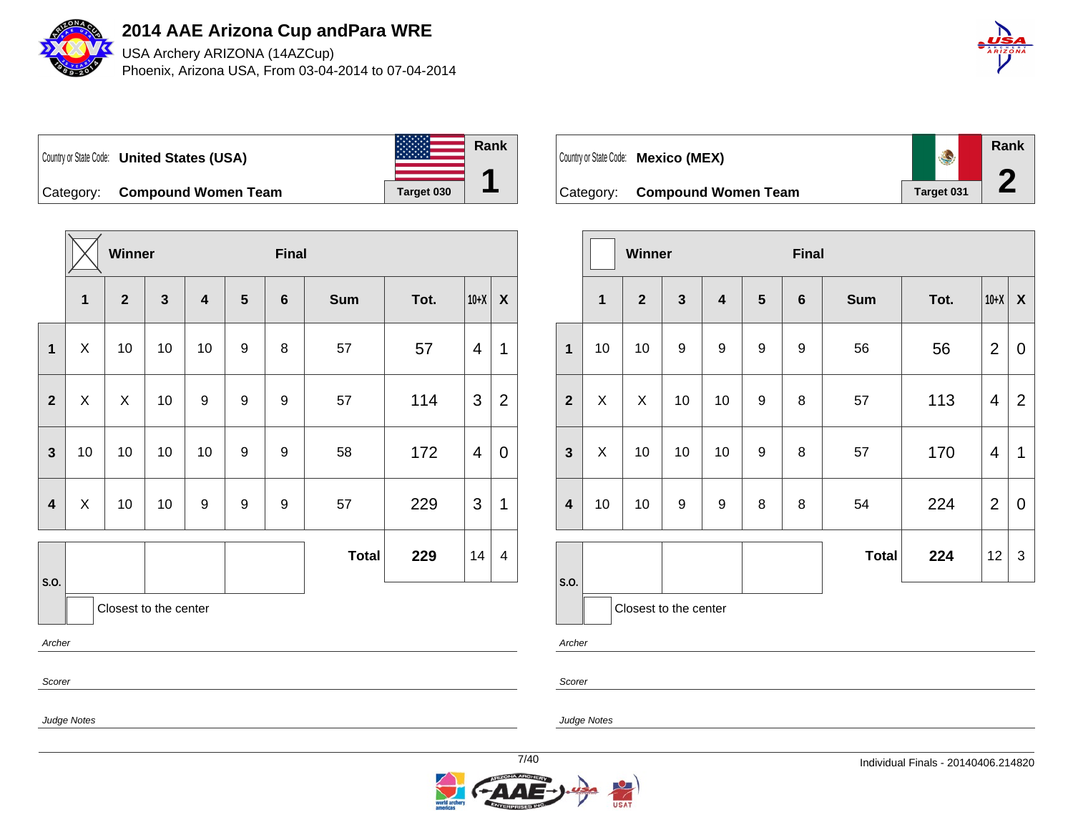

USA Archery ARIZONA (14AZCup) Phoenix, Arizona USA, From 03-04-2014 to 07-04-2014



Country or State Code: **United States (USA)** Category: **Compound Women Team** Target 030 **Rank 1**

**Winner Final 2 3 4 5 6 Sum Tot. 10+X X** X 10 10 10 9 8 57 57 4 1 X X 10 9 9 9 57 114 3 2 | 10 | 10 | 10 | 9 | 9 | 58 | **172** | **4** | **0**  X 10 10 9 9 9 57 229 3 1 **S.O. Total 229** 14 4

Closest to the center

Archer

Scorer

Judge Notes

Judge Notes



| Country or State Code: Mexico (MEX) |            | Rank |
|-------------------------------------|------------|------|
| Category: Compound Women Team       | Target 031 |      |

|                         |    | Winner         |                       |                         |            | <b>Final</b>   |              |      |                |                  |  |
|-------------------------|----|----------------|-----------------------|-------------------------|------------|----------------|--------------|------|----------------|------------------|--|
|                         | 1  | $\overline{2}$ | $\mathbf{3}$          | $\overline{\mathbf{4}}$ | $\sqrt{5}$ | $6\phantom{1}$ | <b>Sum</b>   | Tot. | $10+X$         | $\boldsymbol{X}$ |  |
| $\mathbf{1}$            | 10 | 10             | $\boldsymbol{9}$      | 9                       | 9          | 9              | 56           | 56   | $\overline{2}$ | $\mathbf 0$      |  |
| $\overline{2}$          | X  | X              | 10                    | 10                      | 9          | 8              | 57           | 113  | $\overline{4}$ | $\overline{2}$   |  |
| $\mathbf{3}$            | X  | 10             | 10                    | 10                      | 9          | 8              | 57           | 170  | 4              | 1                |  |
| $\overline{\mathbf{4}}$ | 10 | 10             | $\boldsymbol{9}$      | 9                       | 8          | $\bf 8$        | 54           | 224  | $\overline{2}$ | $\mathbf 0$      |  |
|                         |    |                |                       |                         |            |                | <b>Total</b> | 224  | 12             | 3                |  |
| S.O.                    |    |                | Closest to the center |                         |            |                |              |      |                |                  |  |

Archer

Scorer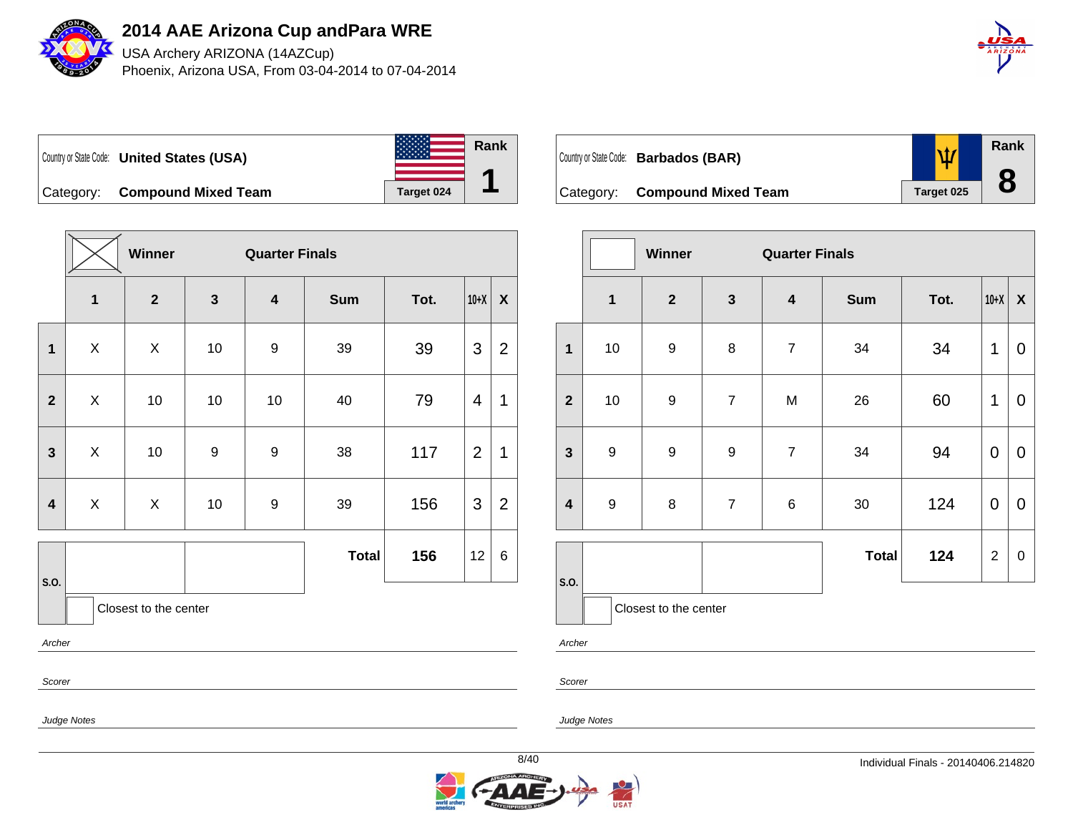

USA Archery ARIZONA (14AZCup) Phoenix, Arizona USA, From 03-04-2014 to 07-04-2014



Country or State Code: **United States (USA)** Category: **Compound Mixed Team** Target 024 **Rank 1**

|                         |             | Winner       |              | <b>Quarter Finals</b>   |              |      |                |                  |
|-------------------------|-------------|--------------|--------------|-------------------------|--------------|------|----------------|------------------|
|                         | $\mathbf 1$ | $\mathbf{2}$ | $\mathbf{3}$ | $\overline{\mathbf{4}}$ | <b>Sum</b>   | Tot. | $10+X$         | $\boldsymbol{X}$ |
| 1                       | X           | X            | $10$         | $\boldsymbol{9}$        | 39           | 39   | 3              | 2                |
| $\overline{2}$          | X           | 10           | $10$         | $10\,$                  | 40           | 79   | 4              | 1                |
| $\mathbf{3}$            | X           | $10$         | 9            | $\boldsymbol{9}$        | 38           | 117  | $\overline{2}$ | $\mathbf 1$      |
| $\overline{\mathbf{4}}$ | X           | X            | $10$         | $\boldsymbol{9}$        | 39           | 156  | 3              | 2                |
|                         |             |              |              |                         | <b>Total</b> | 156  | 12             | 6                |

Closest to the center

Archer

**S.O.**

Scorer

Judge Notes

**Rank**  $\psi$ Country or State Code: **Barbados (BAR) 8** Category: **Compound Mixed Team** Target 025

|                         |              | Winner                |                | <b>Quarter Finals</b>   |              |      |                |                  |
|-------------------------|--------------|-----------------------|----------------|-------------------------|--------------|------|----------------|------------------|
|                         | $\mathbf{1}$ | $\overline{2}$        | $\mathbf{3}$   | $\overline{\mathbf{4}}$ | <b>Sum</b>   | Tot. | $10+X$         | $\boldsymbol{X}$ |
| 1                       | 10           | $\boldsymbol{9}$      | 8              | $\overline{7}$          | 34           | 34   | 1              | 0                |
| $\overline{\mathbf{2}}$ | 10           | $\boldsymbol{9}$      | $\overline{7}$ | M                       | 26           | 60   | 1              | 0                |
| $\mathbf{3}$            | 9            | $\boldsymbol{9}$      | $\mathsf g$    | $\overline{7}$          | 34           | 94   | 0              | $\mathbf 0$      |
| $\overline{\mathbf{4}}$ | 9            | $\bf 8$               | $\overline{7}$ | $\,6$                   | 30           | 124  | $\mathbf 0$    | $\mathbf 0$      |
|                         |              |                       |                |                         | <b>Total</b> | 124  | $\overline{2}$ | $\boldsymbol{0}$ |
| S.O.                    |              | Closest to the center |                |                         |              |      |                |                  |

Archer

Scorer

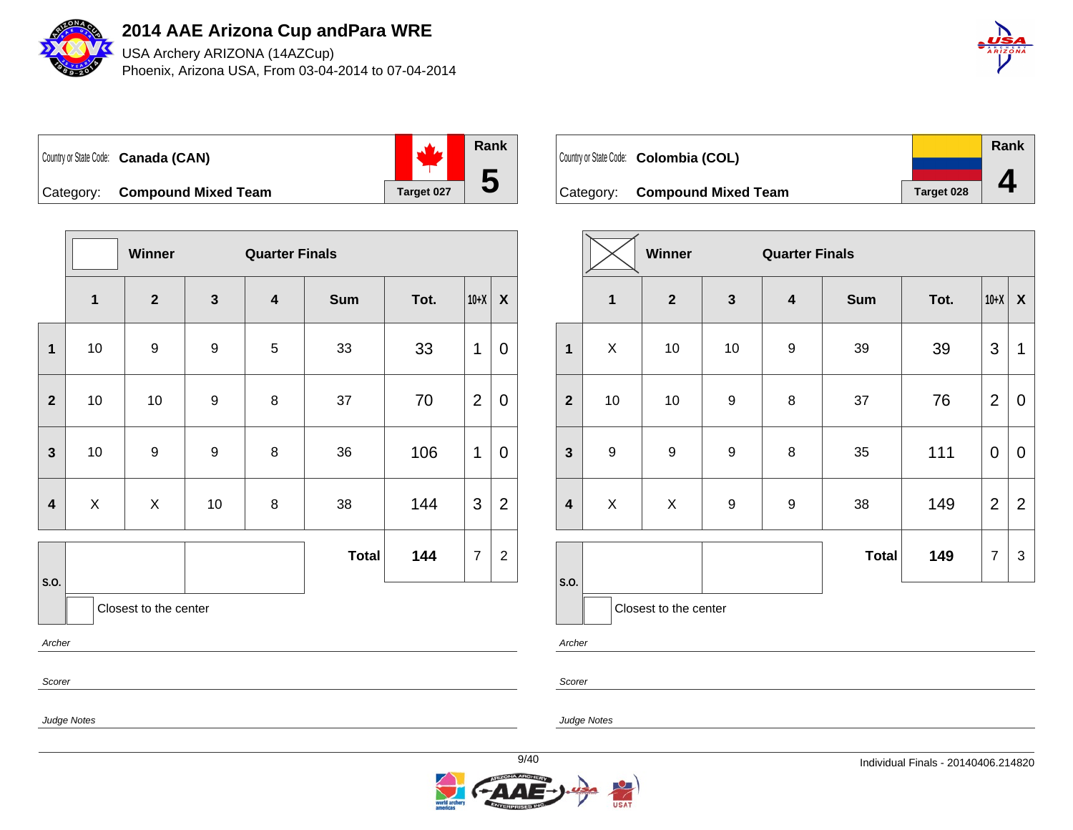

USA Archery ARIZONA (14AZCup) Phoenix, Arizona USA, From 03-04-2014 to 07-04-2014





**Winner Quarter Finals 2 3 4 Sum Tot. 10+X X** | 10 | 9 | 9 | 5 | 33 | 33 |1 |0 | 10 | 10 | 9 | 8 | 37 | 70 |2 | 0 | 10 | 9 | 9 | 8 | 36 | 106 |1 | 0 | X | X | 10 | 8 | 38 | 144 |3 |2 **S.O. Total 144**  $|7|2$ 

Closest to the center

Archer

Scorer

Judge Notes



|                         |                | Winner                  |                  | <b>Quarter Finals</b> |              |      |                |                  |
|-------------------------|----------------|-------------------------|------------------|-----------------------|--------------|------|----------------|------------------|
|                         | $\mathbf{1}$   | $\overline{\mathbf{2}}$ | $\mathbf{3}$     | $\boldsymbol{4}$      | <b>Sum</b>   | Tot. | $10+X$         | $\boldsymbol{X}$ |
| $\mathbf{1}$            | X              | 10                      | 10               | $\boldsymbol{9}$      | 39           | 39   | 3              | 1                |
| $\overline{\mathbf{2}}$ | 10             | 10                      | 9                | 8                     | 37           | 76   | $\overline{2}$ | 0                |
| $\mathbf{3}$            | 9              | $\boldsymbol{9}$        | $\boldsymbol{9}$ | 8                     | 35           | 111  | $\mathbf 0$    | 0                |
| $\overline{\mathbf{4}}$ | $\pmb{\times}$ | $\pmb{\times}$          | 9                | $\boldsymbol{9}$      | 38           | 149  | $\overline{2}$ | $\overline{2}$   |
|                         |                |                         |                  |                       | <b>Total</b> | 149  | $\overline{7}$ | 3                |
| S.O.                    |                | Closest to the center   |                  |                       |              |      |                |                  |

Archer

Scorer

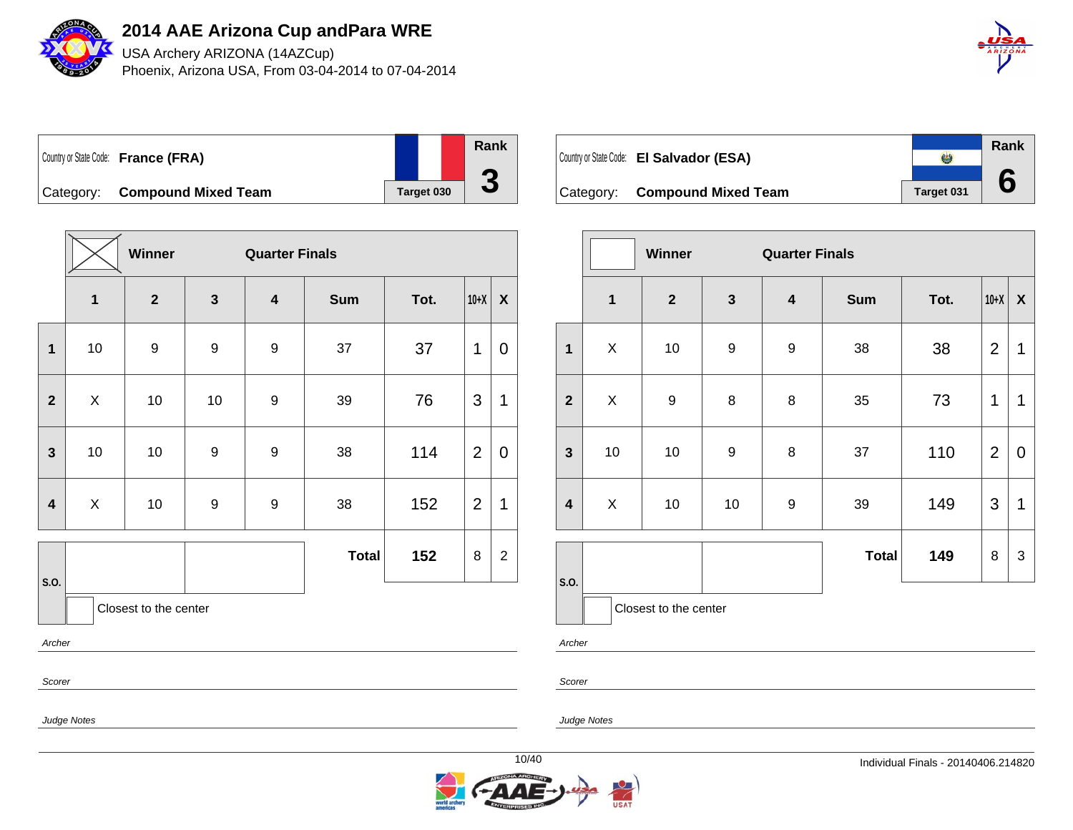

USA Archery ARIZONA (14AZCup) Phoenix, Arizona USA, From 03-04-2014 to 07-04-2014



Country or State Code: **France (FRA)** Category: **Compound Mixed Team** Target 030 **Rank 3**

|                         |              | Winner         |                  | <b>Quarter Finals</b>   |              |      |                |                  |
|-------------------------|--------------|----------------|------------------|-------------------------|--------------|------|----------------|------------------|
|                         | $\mathbf{1}$ | $\overline{2}$ | $\mathbf{3}$     | $\overline{\mathbf{4}}$ | <b>Sum</b>   | Tot. | $10+X$         | $\boldsymbol{X}$ |
| $\mathbf{1}$            | $10$         | 9              | $\boldsymbol{9}$ | $\boldsymbol{9}$        | 37           | 37   | 1              | $\overline{0}$   |
| $\overline{\mathbf{2}}$ | X            | $10$           | $10$             | $\boldsymbol{9}$        | 39           | 76   | 3              | 1                |
| $\mathbf{3}$            | 10           | 10             | $\boldsymbol{9}$ | $\boldsymbol{9}$        | 38           | 114  | $\overline{2}$ | 0                |
| $\overline{\mathbf{4}}$ | X            | $10$           | 9                | $\boldsymbol{9}$        | 38           | 152  | $\overline{2}$ | 1                |
| S.O.                    |              |                |                  |                         | <b>Total</b> | 152  | 8              | $\overline{2}$   |

|                                          |            | Rank |
|------------------------------------------|------------|------|
| Country or State Code: El Salvador (ESA) | 42         |      |
|                                          |            |      |
| Category: Compound Mixed Team            | Target 031 |      |

|                         |              | Winner                |                  | <b>Quarter Finals</b>   |              |      |                |                  |
|-------------------------|--------------|-----------------------|------------------|-------------------------|--------------|------|----------------|------------------|
|                         | $\mathbf{1}$ | $\overline{2}$        | $\mathbf{3}$     | $\overline{\mathbf{4}}$ | <b>Sum</b>   | Tot. | $10+X$         | $\boldsymbol{X}$ |
| $\mathbf{1}$            | X            | 10                    | $\mathsf g$      | $\boldsymbol{9}$        | 38           | 38   | $\overline{2}$ | 1                |
| $\overline{2}$          | X            | $\boldsymbol{9}$      | 8                | 8                       | 35           | 73   | 1              | 1                |
| $\mathbf{3}$            | 10           | 10                    | $\boldsymbol{9}$ | 8                       | 37           | 110  | $\overline{2}$ | $\mathbf 0$      |
| $\overline{\mathbf{4}}$ | X            | 10                    | 10               | 9                       | 39           | 149  | 3              | 1                |
|                         |              |                       |                  |                         | <b>Total</b> | 149  | $\bf 8$        | 3                |
| S.O.                    |              | Closest to the center |                  |                         |              |      |                |                  |

Archer

Scorer

Judge Notes

Archer

Scorer

Closest to the center

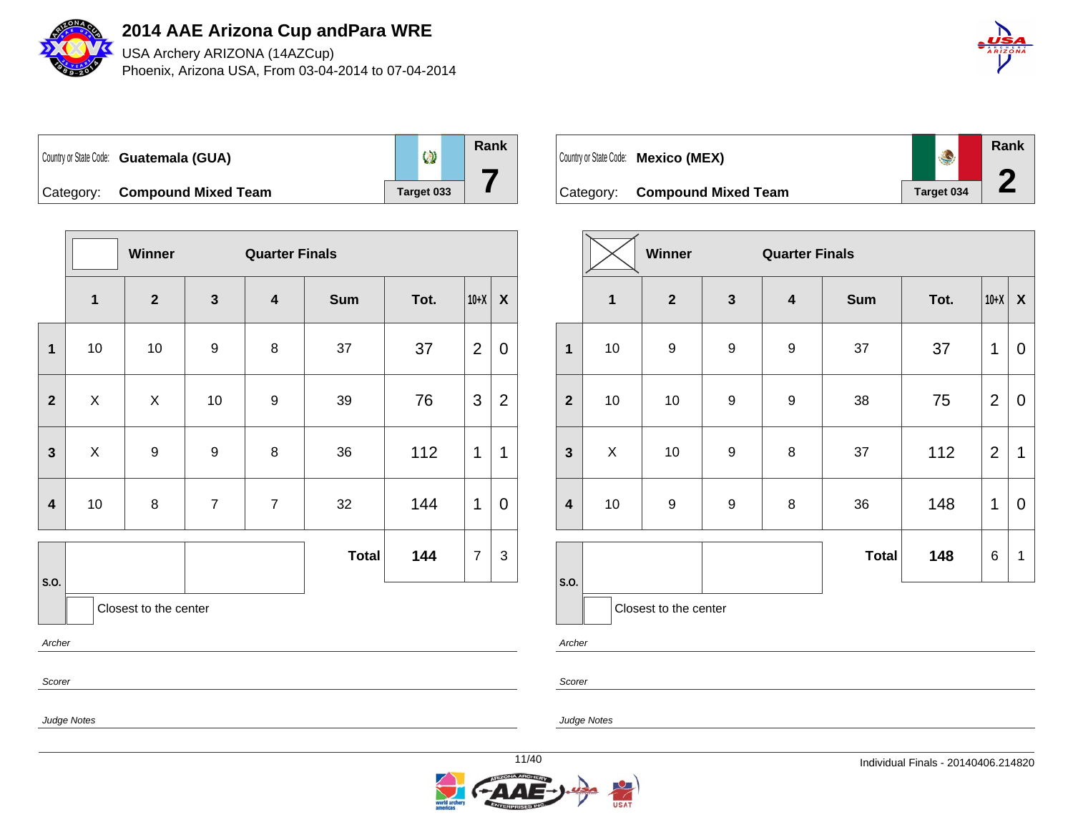

USA Archery ARIZONA (14AZCup) Phoenix, Arizona USA, From 03-04-2014 to 07-04-2014



**Rank**  $\circledcirc$ Country or State Code: **Guatemala (GUA) 7** Category: **Compound Mixed Team** Target 033

|                                                                                   | <b>Winner</b>  |                |                         |              |                       |                |                |
|-----------------------------------------------------------------------------------|----------------|----------------|-------------------------|--------------|-----------------------|----------------|----------------|
| $\mathbf{1}$                                                                      | $\overline{2}$ | 3              | $\overline{\mathbf{4}}$ | Sum          | Tot.                  | $10+X$         | $\mathsf{X}$   |
| $10$                                                                              | 10             | 9              | $\bf 8$                 | 37           | 37                    | $\overline{2}$ | $\mathbf 0$    |
| $\pmb{\times}$                                                                    | $\mathsf X$    | $10$           | $\boldsymbol{9}$        | 39           | 76                    | 3              | $\overline{2}$ |
| X                                                                                 | 9              | 9              | $\bf 8$                 | 36           | 112                   | 1              | 1              |
| $10\,$                                                                            | $\bf 8$        | $\overline{7}$ | $\overline{7}$          | 32           | 144                   | 1              | 0              |
|                                                                                   |                |                |                         | <b>Total</b> | 144                   | $\overline{7}$ | 3              |
| $\mathbf{1}$<br>$\overline{2}$<br>$\mathbf{3}$<br>$\overline{\mathbf{4}}$<br>S.O. |                |                |                         |              | <b>Quarter Finals</b> |                |                |

Closest to the center

Archer

Scorer

Judge Notes

**Rank** Country or State Code: **Mexico (MEX) 2** Category: **Compound Mixed Team** Target 034

|                         |              | <b>Winner</b>         |                  |                  | <b>Quarter Finals</b> |      |                |                  |  |  |
|-------------------------|--------------|-----------------------|------------------|------------------|-----------------------|------|----------------|------------------|--|--|
|                         | $\mathbf{1}$ | $\mathbf{2}$          | $\mathbf{3}$     | $\boldsymbol{4}$ | <b>Sum</b>            | Tot. | $10+X$         | $\boldsymbol{X}$ |  |  |
| $\mathbf{1}$            | 10           | $\boldsymbol{9}$      | 9                | $\boldsymbol{9}$ | 37                    | 37   | 1              | $\mathbf 0$      |  |  |
| $\mathbf{2}$            | 10           | 10                    | 9                | $\boldsymbol{9}$ | 38                    | 75   | $\overline{2}$ | $\mathbf 0$      |  |  |
| $\mathbf{3}$            | X<br>10      |                       | $\boldsymbol{9}$ | $\bf 8$          | 37                    | 112  | $\overline{2}$ | 1                |  |  |
| $\overline{\mathbf{4}}$ | 10           | $\boldsymbol{9}$      | $\boldsymbol{9}$ | $\bf 8$          | 36                    | 148  | 1              | $\mathbf 0$      |  |  |
|                         |              |                       |                  |                  | <b>Total</b>          | 148  | 6              | 1                |  |  |
| S.O.                    |              | Closest to the center |                  |                  |                       |      |                |                  |  |  |

Archer

Scorer

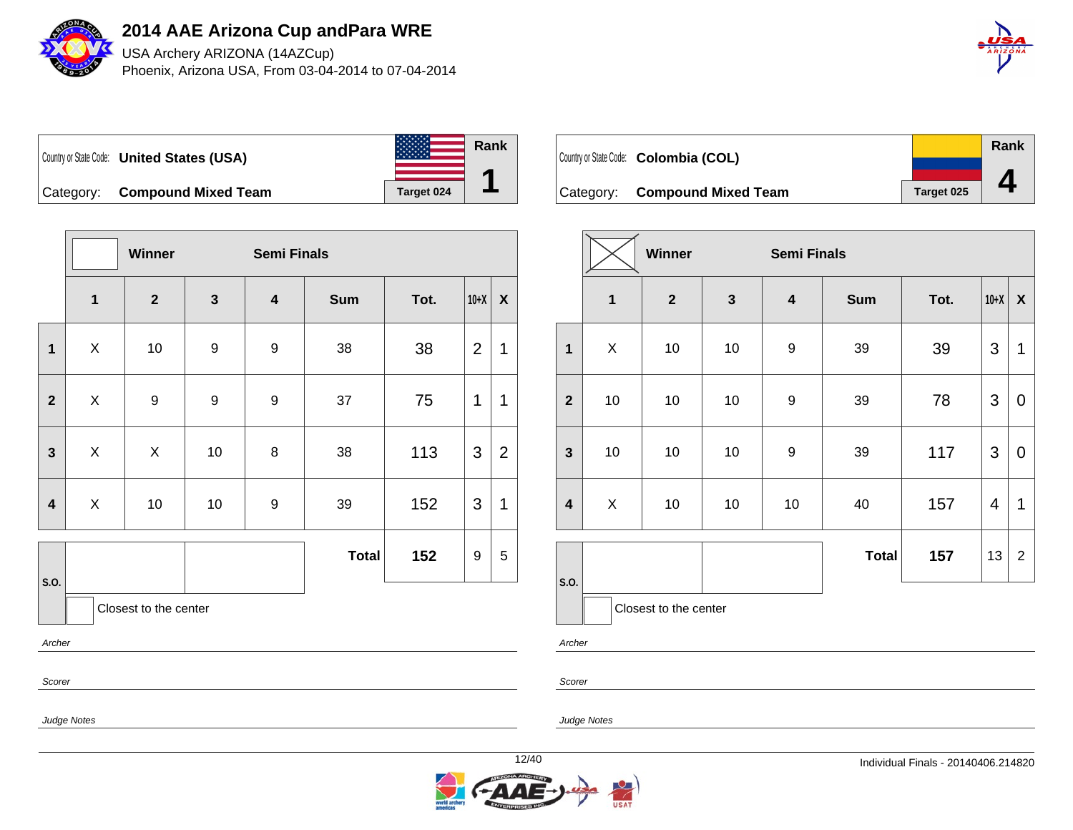

USA Archery ARIZONA (14AZCup) Phoenix, Arizona USA, From 03-04-2014 to 07-04-2014



Country or State Code: **United States (USA)** Category: **Compound Mixed Team** Target 024 **Rank 1**

|                         |                | Winner           | <b>Semi Finals</b> |                         |              |      |                |                  |
|-------------------------|----------------|------------------|--------------------|-------------------------|--------------|------|----------------|------------------|
|                         | $\mathbf{1}$   | $\overline{2}$   | $\mathbf{3}$       | $\overline{\mathbf{4}}$ | <b>Sum</b>   | Tot. | $10+X$         | $\boldsymbol{X}$ |
| $\mathbf{1}$            | X              | 10               | $\boldsymbol{9}$   | $\boldsymbol{9}$        | 38           | 38   | $\overline{2}$ | $\mathbf 1$      |
| $\mathbf{2}$            | X              | $\boldsymbol{9}$ | $\boldsymbol{9}$   | $\boldsymbol{9}$        | 37           | 75   | 1              | 1                |
| $\overline{\mathbf{3}}$ | $\pmb{\times}$ | $\mathsf X$      | 10                 | $\bf 8$                 | 38           | 113  | 3              | $\overline{2}$   |
| $\overline{\mathbf{4}}$ | X              | $10$             | 10                 | $\boldsymbol{9}$        | 39           | 152  | 3              | 1                |
| S.O.                    |                |                  |                    |                         | <b>Total</b> | 152  | 9              | 5                |

Country or State Code: **Colombia (COL)** Category: **Compound Mixed Team** Target 025 **Rank 4**

|                         |              | <b>Winner</b>         |              | <b>Semi Finals</b>      |              |      |        |                           |
|-------------------------|--------------|-----------------------|--------------|-------------------------|--------------|------|--------|---------------------------|
|                         | $\mathbf{1}$ | $\mathbf{2}$          | $\mathbf{3}$ | $\overline{\mathbf{4}}$ | <b>Sum</b>   | Tot. | $10+X$ | $\boldsymbol{\mathsf{X}}$ |
| 1                       | X<br>10      |                       | 10           | 9                       | 39           | 39   | 3      | 1                         |
| $\overline{2}$          | 10<br>$10$   |                       | 9<br>10      |                         | 39           | 78   | 3      | 0                         |
| $\mathbf{3}$            | 10<br>10     |                       | 10           | 9                       | 39           | 117  | 3      | 0                         |
| $\overline{\mathbf{4}}$ | X            | 10                    | 10           | 10                      | 40           | 157  | 4      | 1                         |
|                         |              |                       |              |                         | <b>Total</b> | 157  | 13     | $\overline{c}$            |
| S.O.                    |              | Closest to the center |              |                         |              |      |        |                           |

Archer

Scorer

Judge Notes

Archer

Scorer

Closest to the center

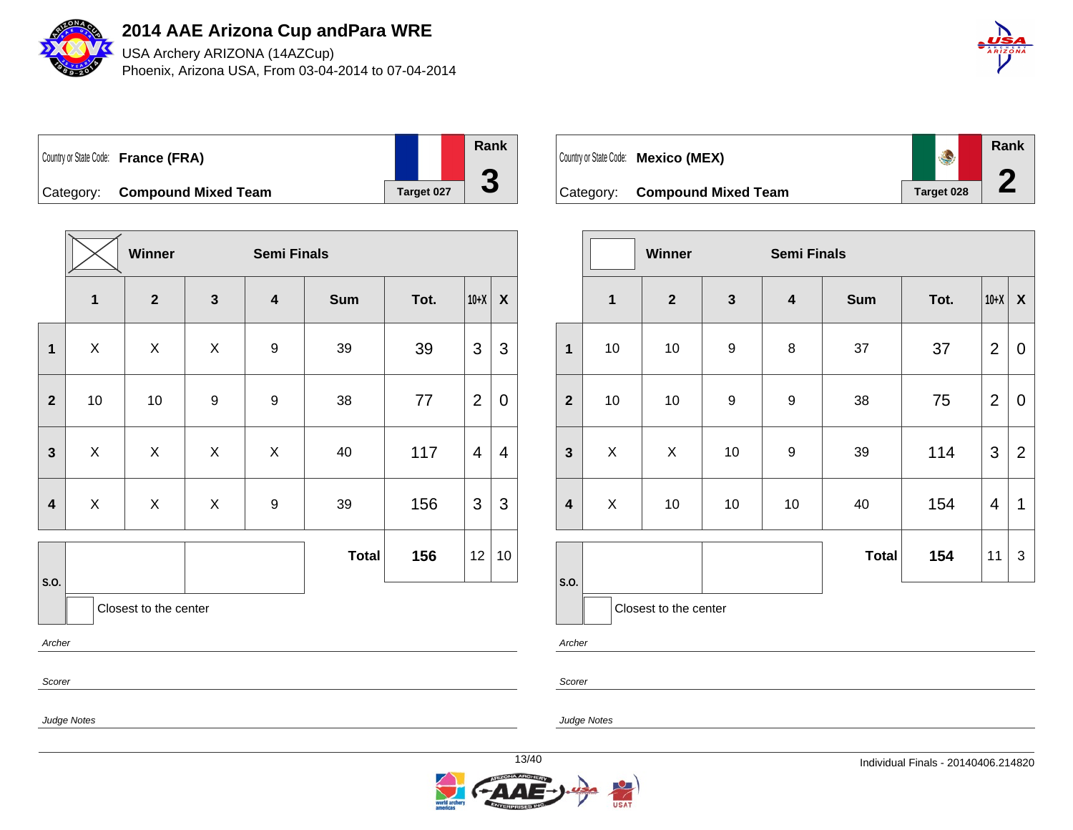

USA Archery ARIZONA (14AZCup) Phoenix, Arizona USA, From 03-04-2014 to 07-04-2014



Country or State Code: **France (FRA)** Category: **Compound Mixed Team** Target 027 **Rank 3**

|                         |                               | Winner                    |                | <b>Semi Finals</b>      |              |      |                |                  |
|-------------------------|-------------------------------|---------------------------|----------------|-------------------------|--------------|------|----------------|------------------|
|                         | $\overline{\mathbf{1}}$       | $\overline{2}$            | $\mathbf{3}$   | $\overline{\mathbf{4}}$ | <b>Sum</b>   | Tot. | $10+X$         | $\boldsymbol{X}$ |
| $\mathbf{1}$            | X                             | $\pmb{\times}$            | X              | $\boldsymbol{9}$        | 39           | 39   | 3              | 3                |
| $\overline{2}$          | 10                            | 10                        | 9              | $\boldsymbol{9}$        | 38           | 77   | $\overline{2}$ | 0                |
| $\overline{\mathbf{3}}$ | X                             | $\pmb{\times}$            | $\pmb{\times}$ | X                       | 40           | 117  | 4              | 4                |
| $\overline{\mathbf{4}}$ | X                             | $\boldsymbol{\mathsf{X}}$ | $\pmb{\times}$ | $\boldsymbol{9}$        | 39           | 156  | 3              | 3                |
|                         |                               |                           |                |                         | <b>Total</b> | 156  | 12             | 10               |
|                         | S.O.<br>Closest to the center |                           |                |                         |              |      |                |                  |

Scorer

Judge Notes

**Rank** Country or State Code: **Mexico (MEX) 2** Category: **Compound Mixed Team** Target 028

|                         |              | Winner                | <b>Semi Finals</b> |                         |              |      |                |                  |
|-------------------------|--------------|-----------------------|--------------------|-------------------------|--------------|------|----------------|------------------|
|                         | $\mathbf{1}$ | $\mathbf{2}$          | $\mathbf{3}$       | $\overline{\mathbf{4}}$ | <b>Sum</b>   | Tot. | $10+X$         | $\boldsymbol{X}$ |
| $\mathbf{1}$            | 10           | 10                    | $\boldsymbol{9}$   | 8                       | 37           | 37   | $\overline{2}$ | 0                |
| $\overline{2}$          | 10<br>10     |                       | 9                  | 9                       | 38           | 75   | $\overline{2}$ | 0                |
| $\mathbf{3}$            | X<br>X       |                       | 10                 | 9                       | 39           | 114  | 3              | $\overline{2}$   |
| $\overline{\mathbf{4}}$ | X            | 10                    | 10                 | 10                      | 40           | 154  | 4              | 1                |
|                         |              |                       |                    |                         | <b>Total</b> | 154  | 11             | 3                |
| S.O.                    |              | Closest to the center |                    |                         |              |      |                |                  |

Archer

Scorer

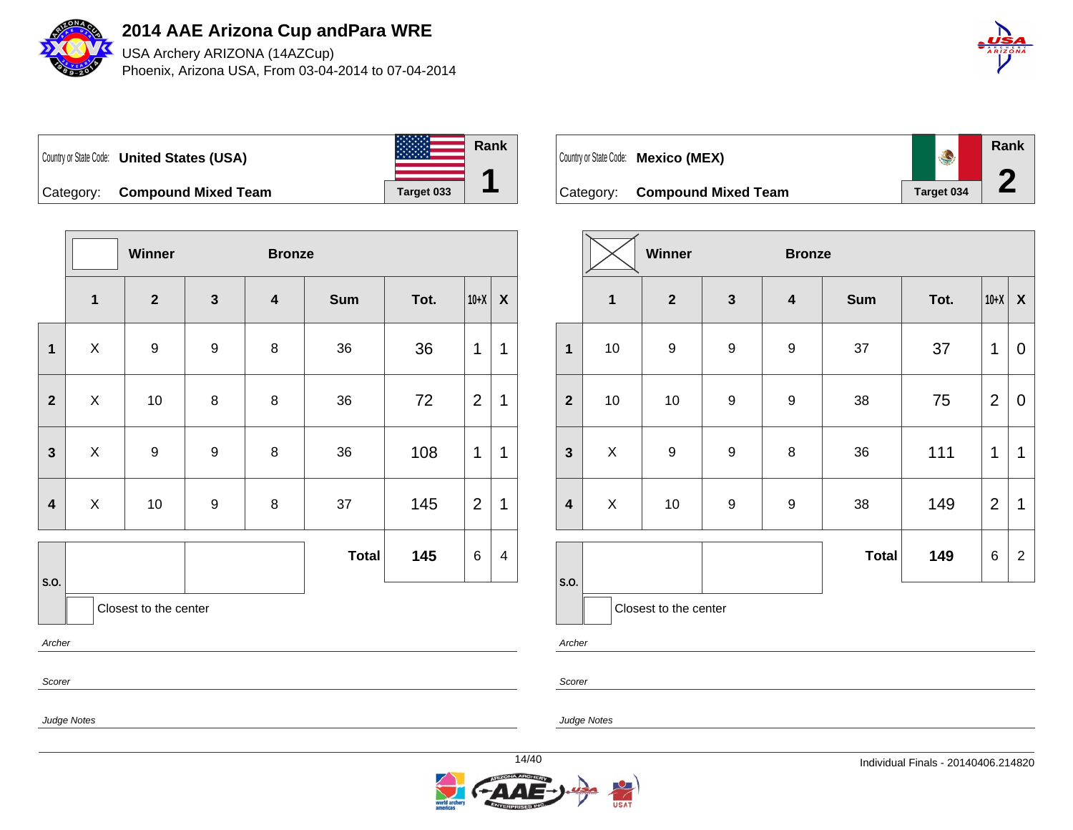

USA Archery ARIZONA (14AZCup) Phoenix, Arizona USA, From 03-04-2014 to 07-04-2014



Country or State Code: **United States (USA)** Category: **Compound Mixed Team** Target 033 **Rank 1**

|                           | Winner           | <b>Bronze</b>    |                         |              |      |                |                         |
|---------------------------|------------------|------------------|-------------------------|--------------|------|----------------|-------------------------|
| $\mathbf{1}$              | $\overline{2}$   | $\mathbf{3}$     | $\overline{\mathbf{4}}$ | <b>Sum</b>   | Tot. | $10+X$         | $\boldsymbol{X}$        |
| X                         | $\boldsymbol{9}$ | 9                | $\bf 8$                 | 36           | 36   | 1              | 1                       |
| $\pmb{\times}$            | $10$             | 8                | $\bf 8$                 | 36           | 72   | $\overline{2}$ | 1                       |
| $\boldsymbol{\mathsf{X}}$ | $\boldsymbol{9}$ | $\boldsymbol{9}$ | $\bf 8$                 | 36           | 108  | 1              | 1                       |
| X                         | $10$             | $\boldsymbol{9}$ | $\bf 8$                 | 37           | 145  | $\overline{2}$ | 1                       |
|                           |                  |                  |                         | <b>Total</b> | 145  | 6              | $\overline{\mathbf{4}}$ |
|                           |                  |                  |                         |              |      |                |                         |

Closest to the center

Archer

Scorer

Judge Notes

**Rank** Country or State Code: **Mexico (MEX) 2** Category: **Compound Mixed Team** Target 034

|                         |                       | Winner                |                  | <b>Bronze</b>           |              |      |                |                    |
|-------------------------|-----------------------|-----------------------|------------------|-------------------------|--------------|------|----------------|--------------------|
|                         | $\mathbf{1}$          | $\mathbf{2}$          | $\mathbf{3}$     | $\overline{\mathbf{4}}$ | <b>Sum</b>   | Tot. | $10+X$         | $\pmb{\mathsf{X}}$ |
| $\mathbf 1$             | $10$                  | $\boldsymbol{9}$      | $\boldsymbol{9}$ | $\boldsymbol{9}$        | 37           | 37   | 1              | 0                  |
| $\overline{\mathbf{2}}$ | $10$                  | 10                    | 9                | $\boldsymbol{9}$        | 38           | 75   | $\overline{2}$ | $\mathbf 0$        |
| $\mathbf{3}$            | $\boldsymbol{9}$<br>X |                       | 9<br>8           |                         | 36           | 111  | 1              | 1                  |
| $\overline{\mathbf{4}}$ | X                     | 10                    | $\boldsymbol{9}$ | $\boldsymbol{9}$        | 38           | 149  | $\overline{2}$ | 1                  |
|                         |                       |                       |                  |                         | <b>Total</b> | 149  | 6              | $\overline{2}$     |
| S.O.                    |                       | Closest to the center |                  |                         |              |      |                |                    |

Archer

Scorer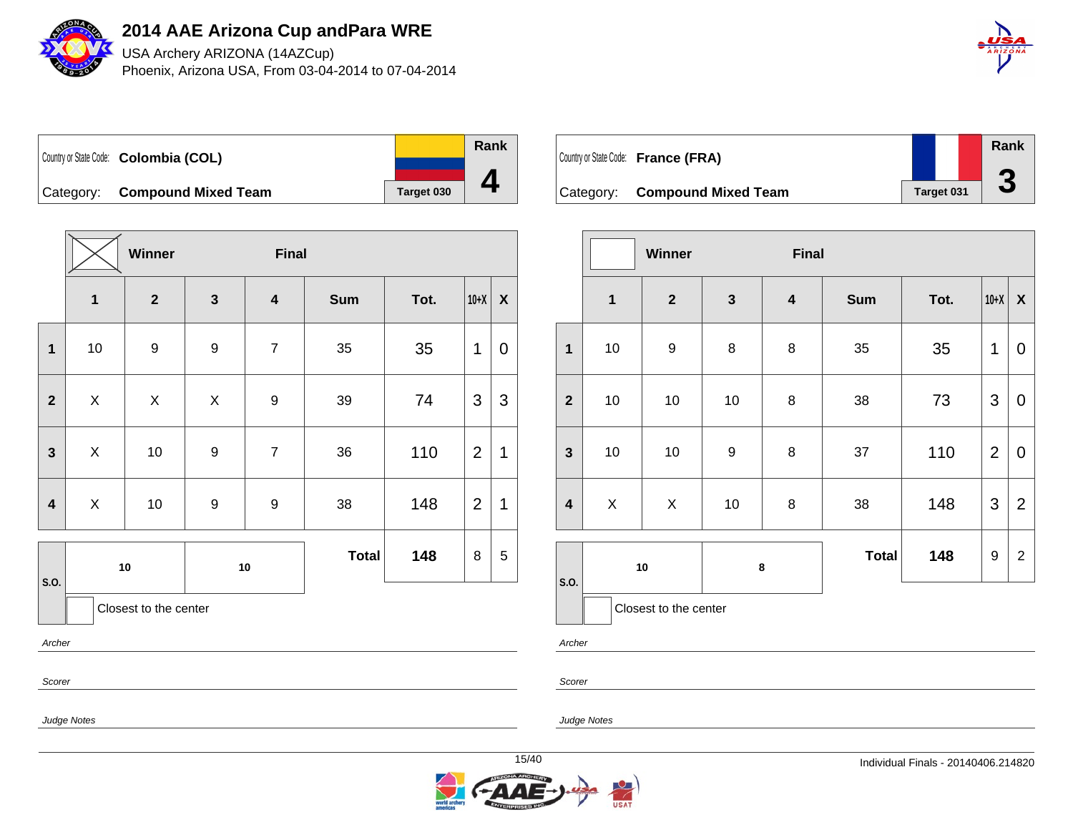

USA Archery ARIZONA (14AZCup) Phoenix, Arizona USA, From 03-04-2014 to 07-04-2014



Country or State Code: **Colombia (COL)**



Category: **Compound Mixed Team** Target 030

|                         |              | Winner                    |                  | <b>Final</b>            |              |      |                |                  |
|-------------------------|--------------|---------------------------|------------------|-------------------------|--------------|------|----------------|------------------|
|                         | $\mathbf{1}$ | $\boldsymbol{2}$          | $\mathbf{3}$     | $\overline{\mathbf{4}}$ | <b>Sum</b>   | Tot. | $10+X$         | $\boldsymbol{X}$ |
| $\mathbf{1}$            | $10$         | $\boldsymbol{9}$          | $\boldsymbol{9}$ | $\boldsymbol{7}$        | 35           | 35   | $\mathbf 1$    | 0                |
| $\mathbf{2}$            | X            | $\boldsymbol{\mathsf{X}}$ | $\mathsf X$      | $\boldsymbol{9}$        | 39           | 74   | 3              | 3                |
| $\overline{\mathbf{3}}$ | X            | $10$                      | $\boldsymbol{9}$ | $\overline{7}$          | 36           | 110  | $\overline{2}$ | 1                |
| $\overline{\mathbf{4}}$ | X            | $10$                      | $\boldsymbol{9}$ | $\boldsymbol{9}$        | 38           | 148  | $\overline{2}$ | 1                |
| S.O.                    |              | $10$                      |                  | $10\,$                  | <b>Total</b> | 148  | 8              | 5                |
|                         |              |                           |                  |                         |              |      |                |                  |

Closest to the center

Archer

Scorer

Judge Notes

Country or State Code: **France (FRA)** Category: **Compound Mixed Team** Target 031 **Rank 3**

|                         |             | Winner                |                  | <b>Final</b>            |              |      |                |                  |
|-------------------------|-------------|-----------------------|------------------|-------------------------|--------------|------|----------------|------------------|
|                         | $\mathbf 1$ | $\mathbf{2}$          | $\mathbf{3}$     | $\overline{\mathbf{4}}$ | <b>Sum</b>   | Tot. | $10+X$         | $\boldsymbol{X}$ |
| $\overline{\mathbf{1}}$ | 10          | $\boldsymbol{9}$      | $\bf 8$          | 8                       | 35           | 35   | 1              | $\mathbf 0$      |
| $\overline{2}$          | 10          | 10                    | 10               | 8                       | 38           | 73   | 3              | $\mathbf 0$      |
| $\mathbf{3}$            | 10          | 10                    | $\boldsymbol{9}$ | 8                       | 37           | 110  | $\overline{2}$ | $\mathbf 0$      |
| $\overline{4}$          | $\mathsf X$ | X                     | 10               | 8                       | 38           | 148  | 3              | $\overline{2}$   |
| S.O.                    |             | ${\bf 10}$            | 8                |                         | <b>Total</b> | 148  | $9$            | $\overline{c}$   |
|                         |             | Closest to the center |                  |                         |              |      |                |                  |

Archer

Scorer

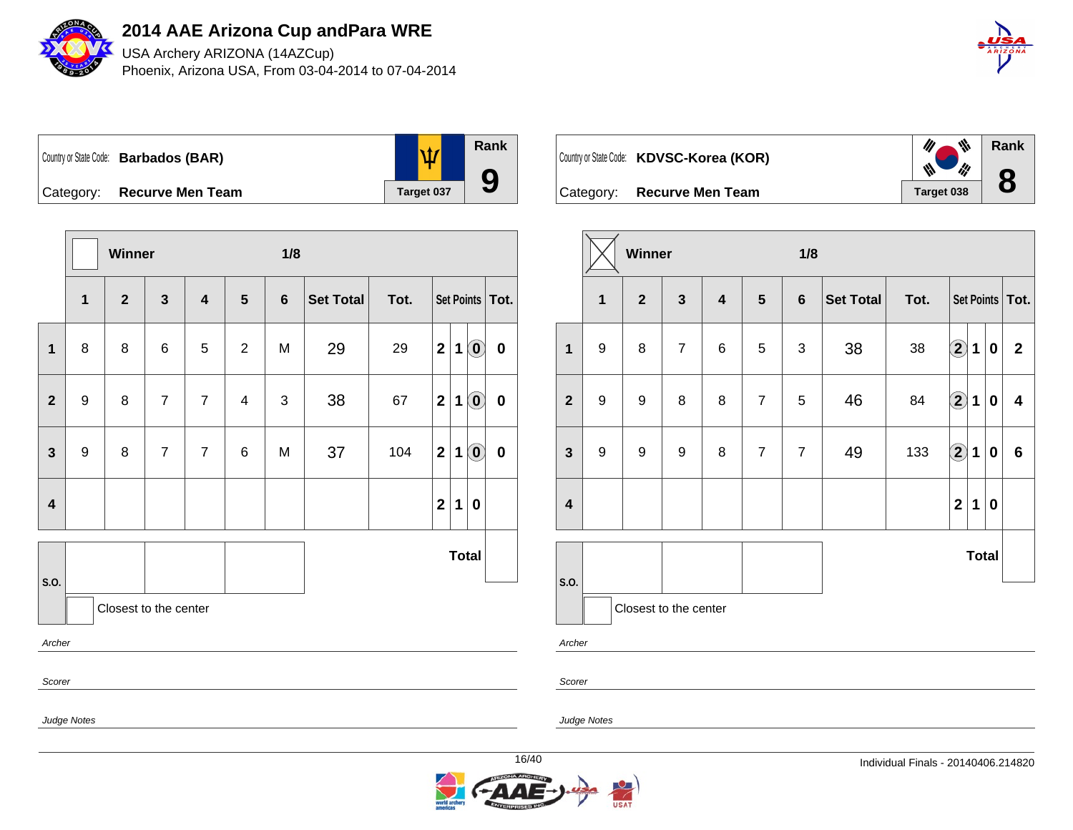

USA Archery ARIZONA (14AZCup) Phoenix, Arizona USA, From 03-04-2014 to 07-04-2014



**Rank** Ψ Country or State Code: **Barbados (BAR) 9** Category: **Recurve Men Team Target 037** 

Country or State Code: **KDVSC-Korea (KOR)** Category: **Recurve Men Team Target 038** 



|                         |                  | Winner         |                         |                         |                | 1/8            |                  |      |                         |              |           |                   |
|-------------------------|------------------|----------------|-------------------------|-------------------------|----------------|----------------|------------------|------|-------------------------|--------------|-----------|-------------------|
|                         | 1                | $\overline{2}$ | $\overline{\mathbf{3}}$ | $\overline{\mathbf{4}}$ | $5\phantom{1}$ | $\bf 6$        | <b>Set Total</b> | Tot. |                         |              |           | Set Points   Tot. |
| $\mathbf{1}$            | $\boldsymbol{9}$ | 8              | $\overline{7}$          | 6                       | $\sqrt{5}$     | 3              | 38               | 38   | $\bigcirc \!\! 2$       | 1            | $\pmb{0}$ | $\mathbf{2}$      |
| $\overline{2}$          | $\boldsymbol{9}$ | 9              | 8                       | 8                       | $\overline{7}$ | 5              | 46               | 84   | $\bigcirc \!\! \! 2$    | 1            | 0         | 4                 |
| $\mathbf{3}$            | 9                | 9              | 9                       | 8                       | $\overline{7}$ | $\overline{7}$ | 49               | 133  | $\widehat{\mathbf{2}}$  | 1            | $\pmb{0}$ | $\bf 6$           |
| $\overline{\mathbf{4}}$ |                  |                |                         |                         |                |                |                  |      | $\overline{\mathbf{2}}$ | 1            | $\pmb{0}$ |                   |
|                         |                  |                |                         |                         |                |                |                  |      |                         |              |           |                   |
|                         |                  |                |                         |                         |                |                |                  |      |                         | <b>Total</b> |           |                   |
| S.O.                    |                  |                |                         |                         |                |                |                  |      |                         |              |           |                   |
|                         |                  |                | Closest to the center   |                         |                |                |                  |      |                         |              |           |                   |
|                         |                  |                |                         |                         |                |                |                  |      |                         |              |           |                   |

Archer

Scorer

Judge Notes

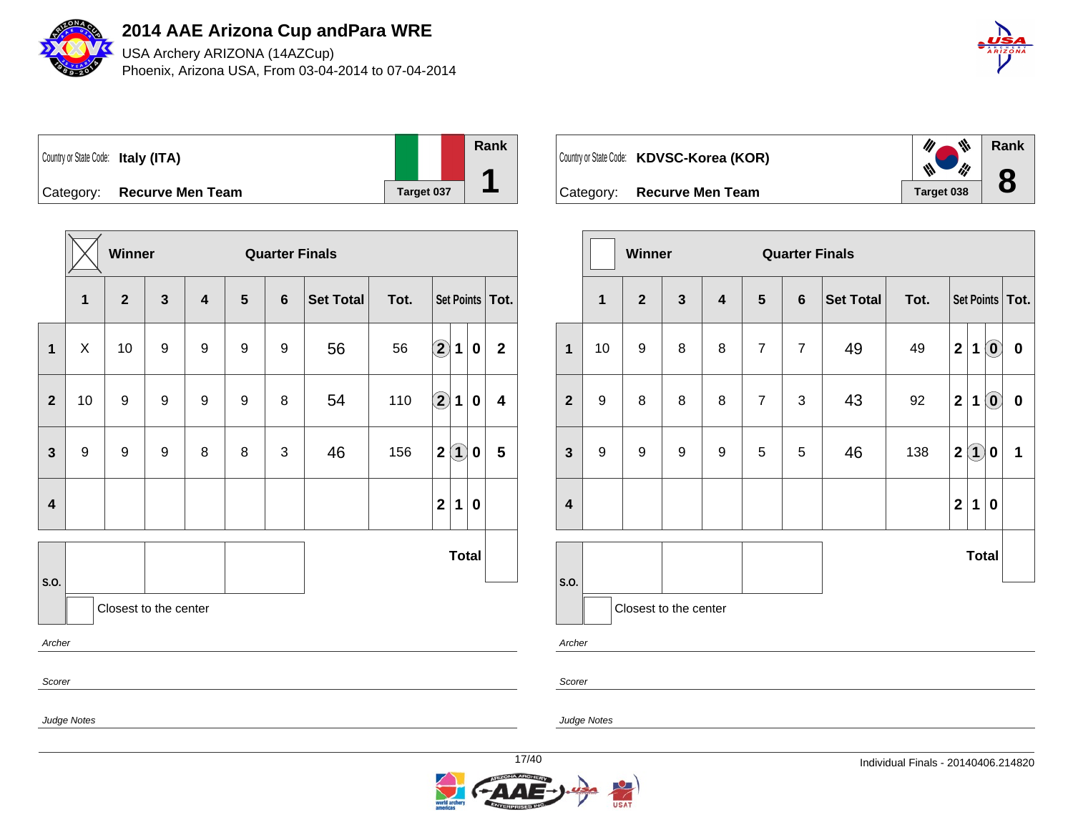

USA Archery ARIZONA (14AZCup) Phoenix, Arizona USA, From 03-04-2014 to 07-04-2014



**Rank**

**8**

|           | Country or State Code: Italy (ITA) |            | Rank |  |
|-----------|------------------------------------|------------|------|--|
| Category: | <b>Recurve Men Team</b>            | Target 037 |      |  |

**Winner Quarter Finals 1 2 3 4 5 6 Set Total Tot. Set Points Tot. 1** X 10 9 9 9 9 56 56 **2 1 0 2 2** | 10 | 9 | 9 | 9 | 9 | 8 | 54 | 110 2 1 0 4 **3** 9 9 9 8 8 3 46 156 **2 1 0 5 4 2 1 0 S.O. Total** Closest to the center Archer

 $\partial\!\!\!\!/$  $\mathscr{U}$ Country or State Code: **KDVSC-Korea (KOR)** li! « Category: **Recurve Men Team Tanget 038** 

|                         |    | Winner         |                       |                         |                 | <b>Quarter Finals</b> |                  |      |                         |                   |                                                     |                   |
|-------------------------|----|----------------|-----------------------|-------------------------|-----------------|-----------------------|------------------|------|-------------------------|-------------------|-----------------------------------------------------|-------------------|
|                         | 1  | $\overline{2}$ | $\mathbf{3}$          | $\overline{\mathbf{4}}$ | $5\phantom{.0}$ | $6\phantom{a}$        | <b>Set Total</b> | Tot. |                         |                   |                                                     | Set Points   Tot. |
| $\mathbf{1}$            | 10 | 9              | 8                     | 8                       | $\overline{7}$  | $\overline{7}$        | 49               | 49   | $\overline{\mathbf{2}}$ | 1                 | $\left( \begin{matrix} 0 \\ 0 \end{matrix} \right)$ | $\mathbf 0$       |
| $\overline{\mathbf{2}}$ | 9  | 8              | 8                     | 8                       | $\overline{7}$  | 3                     | 43               | 92   | $\mathbf 2$             | 1                 | $\left( \begin{matrix} 0 \end{matrix} \right)$      | $\pmb{0}$         |
| $\mathbf{3}$            | 9  | 9              | 9                     | 9                       | 5               | 5                     | 46               | 138  | $\mathbf 2$             | $\left( 1\right)$ | 0                                                   | 1                 |
| $\overline{\mathbf{4}}$ |    |                |                       |                         |                 |                       |                  |      | $\overline{\mathbf{2}}$ | 1                 | $\mathbf 0$                                         |                   |
|                         |    |                |                       |                         |                 |                       |                  |      |                         |                   |                                                     |                   |
|                         |    |                |                       |                         |                 |                       |                  |      |                         | <b>Total</b>      |                                                     |                   |
| S.O.                    |    |                |                       |                         |                 |                       |                  |      |                         |                   |                                                     |                   |
|                         |    |                | Closest to the center |                         |                 |                       |                  |      |                         |                   |                                                     |                   |

Archer

Scorer

Judge Notes

Scorer

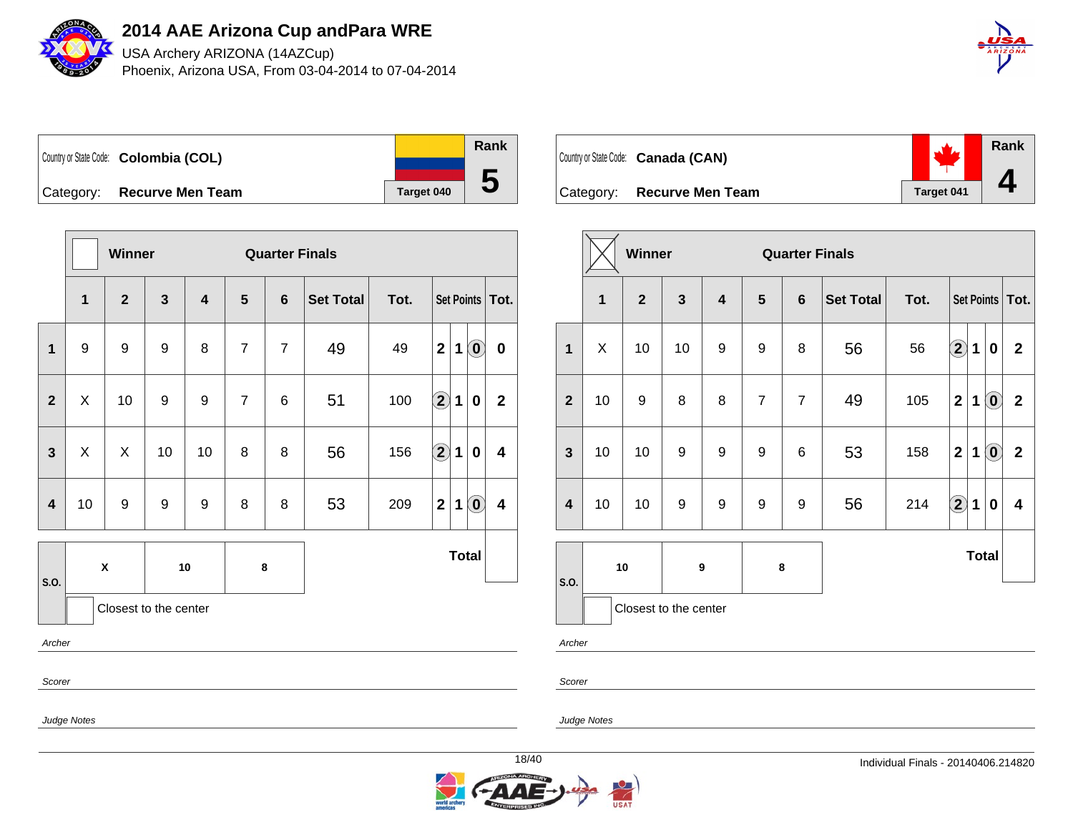

USA Archery ARIZONA (14AZCup) Phoenix, Arizona USA, From 03-04-2014 to 07-04-2014



Country or State Code: **Colombia (COL)** Category: **Recurve Men Team Target 040 Rank 5**

|                         |              |                    |                       |                         |                |                |                  |              |                        | Winner<br><b>Quarter Finals</b> |                            |                         |  |  |  |  |  |  |  |  |
|-------------------------|--------------|--------------------|-----------------------|-------------------------|----------------|----------------|------------------|--------------|------------------------|---------------------------------|----------------------------|-------------------------|--|--|--|--|--|--|--|--|
|                         | $\mathbf{1}$ | $\mathbf{2}$       | 3                     | $\overline{\mathbf{4}}$ | 5              | $6\phantom{1}$ | <b>Set Total</b> | Tot.         |                        | Set Points   Tot.               |                            |                         |  |  |  |  |  |  |  |  |
| 1                       | 9            | 9                  | 9                     | 8                       | $\overline{7}$ | $\overline{7}$ | 49               | 49           | $\mathbf{2}$           | $\mathbf 1$                     | $\bf (0)$                  | $\mathbf 0$             |  |  |  |  |  |  |  |  |
| $\overline{2}$          | X            | 10                 | 9                     | $9$                     | $\overline{7}$ | 6              | 51               | 100          | $\Large{\textbf{2}}$   | $\mathbf 1$                     | 0                          | $\overline{2}$          |  |  |  |  |  |  |  |  |
| $\mathbf{3}$            | X            | X                  | 10                    | 10                      | 8              | 8              | 56               | 156          | $\mathbf{\widehat{2}}$ | 1                               | 0                          | $\overline{\mathbf{4}}$ |  |  |  |  |  |  |  |  |
| $\overline{\mathbf{4}}$ | 10           | 9                  | 9                     | $\boldsymbol{9}$        | 8              | 8              | 53               | 209          | $\mathbf{2}$           | $\mathbf 1$                     | $\left( \mathbf{0}\right)$ | 4                       |  |  |  |  |  |  |  |  |
| S.O.                    |              | $\pmb{\mathsf{x}}$ |                       | 10                      |                | 8              |                  | <b>Total</b> |                        |                                 |                            |                         |  |  |  |  |  |  |  |  |
|                         |              |                    | Closest to the center |                         |                |                |                  |              |                        |                                 |                            |                         |  |  |  |  |  |  |  |  |
| Archer                  |              |                    |                       |                         |                |                |                  |              |                        |                                 |                            |                         |  |  |  |  |  |  |  |  |

Scorer

Scorer

Archer

Judge Notes

Judge Notes



| Country or State Code: Canada (CAN) |            | Rank |
|-------------------------------------|------------|------|
| Category: Recurve Men Team          | Target 041 |      |

|                         |                       | Winner         |              |                         |                | <b>Quarter Finals</b> |                  |      |                      |              |                                |                         |
|-------------------------|-----------------------|----------------|--------------|-------------------------|----------------|-----------------------|------------------|------|----------------------|--------------|--------------------------------|-------------------------|
|                         | 1                     | $\overline{2}$ | $\mathbf{3}$ | $\overline{\mathbf{4}}$ | 5              | $\boldsymbol{6}$      | <b>Set Total</b> | Tot. |                      |              |                                | Set Points   Tot.       |
| $\mathbf{1}$            | X                     | 10             | 10           | 9                       | 9              | 8                     | 56               | 56   | $\bf \Omega$         | 1            | $\bf{0}$                       | $\mathbf{2}$            |
| $\overline{\mathbf{2}}$ | 10                    | 9              | 8            | 8                       | $\overline{7}$ | $\overline{7}$        | 49               | 105  | $\mathbf{2}$         | $\mathbf 1$  | $\odot$                        | $\mathbf{2}$            |
| $\mathbf{3}$            | 10                    | 10             | 9            | 9                       | 9              | 6                     | 53               | 158  | $\overline{2}$       | 1            | $\textcolor{blue}{\textbf{0}}$ | $\mathbf{2}$            |
| $\overline{\mathbf{4}}$ | 10                    | 10             | 9            | 9                       | 9              | 9                     | 56               | 214  | $\bigcirc \!\! \! 2$ | $\mathbf 1$  | $\bf{0}$                       | $\overline{\mathbf{4}}$ |
|                         |                       | 10             | 9            |                         |                | 8                     |                  |      |                      | <b>Total</b> |                                |                         |
| S.O.                    | Closest to the center |                |              |                         |                |                       |                  |      |                      |              |                                |                         |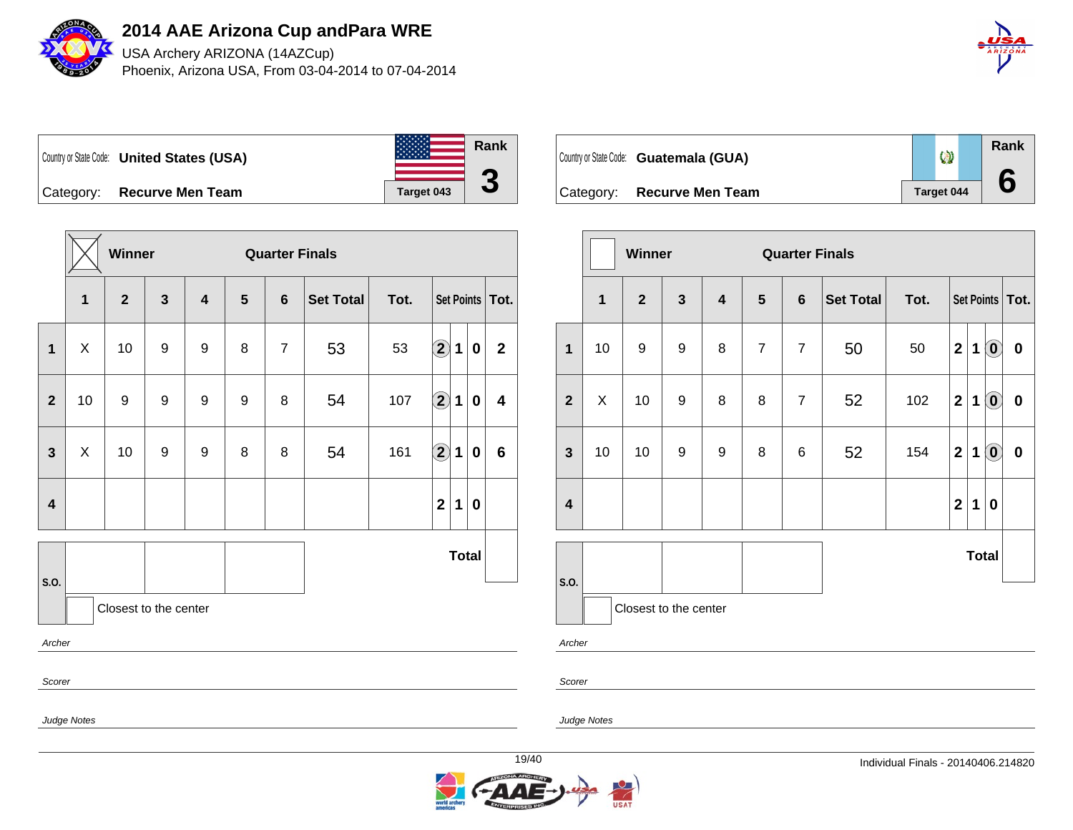

USA Archery ARIZONA (14AZCup) Phoenix, Arizona USA, From 03-04-2014 to 07-04-2014



Country or State Code: **United States (USA)** Category: **Recurve Men Team Tanget 043 Rank 3**

|                         |                               | Winner       |                  |                  |                | <b>Quarter Finals</b> |                  |      |                      |              |             |                         |
|-------------------------|-------------------------------|--------------|------------------|------------------|----------------|-----------------------|------------------|------|----------------------|--------------|-------------|-------------------------|
|                         | 1                             | $\mathbf{2}$ | $\mathbf{3}$     | 4                | $5\phantom{1}$ | $6\phantom{1}$        | <b>Set Total</b> | Tot. | Set Points   Tot.    |              |             |                         |
| 1                       | X                             | 10           | $\boldsymbol{9}$ | $\boldsymbol{9}$ | 8              | $\overline{7}$        | 53               | 53   | $\bigcirc \!\! \! 2$ | $\mathbf 1$  | $\mathbf 0$ | $\mathbf{2}$            |
| $\overline{2}$          | 10                            | 9            | 9                | 9                | 9              | 8                     | 54               | 107  | $\bigcirc \!\! 2$    | $\mathbf 1$  | $\mathbf 0$ | $\overline{\mathbf{4}}$ |
| $\overline{\mathbf{3}}$ | X                             | 10           | 9                | $\boldsymbol{9}$ | 8              | 8                     | 54               | 161  | $\bigcirc \!\! 2$    | 1            | $\bf{0}$    | $6\phantom{1}$          |
| $\overline{\mathbf{4}}$ |                               |              |                  |                  |                |                       |                  |      | $\mathbf 2$          | 1            | 0           |                         |
|                         |                               |              |                  |                  |                |                       |                  |      |                      | <b>Total</b> |             |                         |
|                         | S.O.<br>Closest to the center |              |                  |                  |                |                       |                  |      |                      |              |             |                         |
| Archer                  |                               |              |                  |                  |                |                       |                  |      |                      |              |             |                         |
|                         | Scorer                        |              |                  |                  |                |                       |                  |      |                      |              |             |                         |

| Country or State Code: Guatemala (GUA) | $\langle \cdot \rangle$ | Rank |
|----------------------------------------|-------------------------|------|
| Category: Recurve Men Team             | Target 044              |      |

|                                               |             | Winner<br><b>Quarter Finals</b> |              |                         |                |                  |                  |      |              |   |                                                         |                   |
|-----------------------------------------------|-------------|---------------------------------|--------------|-------------------------|----------------|------------------|------------------|------|--------------|---|---------------------------------------------------------|-------------------|
|                                               | $\mathbf 1$ | $\mathbf{2}$                    | $\mathbf{3}$ | $\overline{\mathbf{4}}$ | 5              | $\boldsymbol{6}$ | <b>Set Total</b> | Tot. |              |   |                                                         | Set Points   Tot. |
| 1                                             | 10          | 9                               | 9            | 8                       | $\overline{7}$ | $\overline{7}$   | 50               | 50   | $\mathbf{2}$ | 1 | $\mathbf{O}$                                            | $\pmb{0}$         |
| $\overline{\mathbf{2}}$                       | X           | 10                              | 9            | 8                       | 8              | $\overline{7}$   | 52               | 102  | $\mathbf{2}$ | 1 | $\left( \begin{matrix} \textbf{0} \end{matrix} \right)$ | $\pmb{0}$         |
| $\mathbf{3}$                                  | 10          | 10                              | 9            | 9                       | 8              | 6                | 52               | 154  | $\mathbf{2}$ | 1 | $\left( \begin{matrix} \textbf{0} \end{matrix} \right)$ | $\bf{0}$          |
| $\overline{\mathbf{4}}$                       |             |                                 |              |                         |                |                  |                  |      | $\mathbf{2}$ | 1 | 0                                                       |                   |
| <b>Total</b><br>S.O.<br>Closest to the center |             |                                 |              |                         |                |                  |                  |      |              |   |                                                         |                   |

Archer

Scorer

Judge Notes

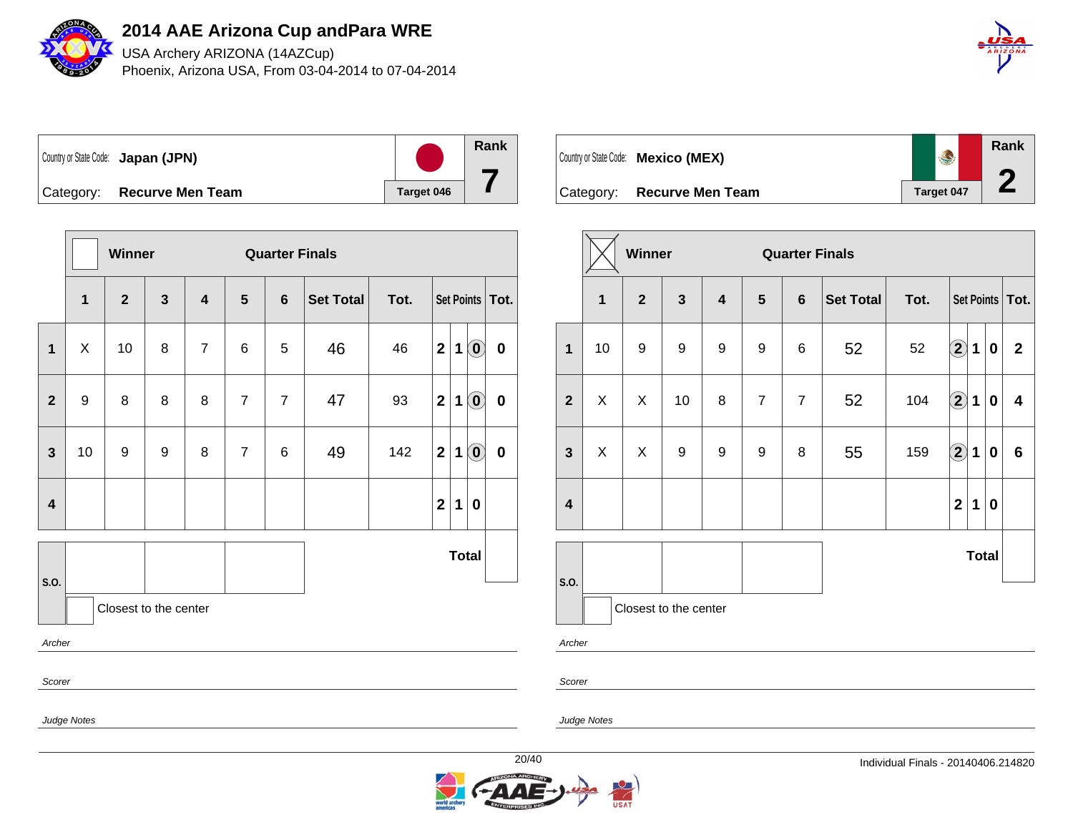

USA Archery ARIZONA (14AZCup) Phoenix, Arizona USA, From 03-04-2014 to 07-04-2014



| Country or State Code: Japan (JPN) |            | Rank |  |
|------------------------------------|------------|------|--|
| Category: Recurve Men Team         | Target 046 |      |  |

**Winner Quarter Finals 1 2 3 4 5 6 Set Total Tot. Set Points Tot. 1** X 10 8 7 6 5 46 46 **2 1 0 0 2** | 9 | 8 | 8 | 8 | 7 | 7 | 47 | 93 | 2 | 1 | **0** | **0 3** | 10 | 9 | 9 | 8 | 7 | 6 | 49 | 142 | 2 | 1 | **0** | **0 4 2 1 0 S.O. Total** Closest to the center Archer Scorer

|           | Country or State Code: Mexico (MEX) |            | Rank |  |
|-----------|-------------------------------------|------------|------|--|
| Category: | <b>Recurve Men Team</b>             | Target 047 |      |  |

|                         |              | Winner<br><b>Quarter Finals</b> |                       |                         |                |                |                  |      |                      |              |             |              |  |  |
|-------------------------|--------------|---------------------------------|-----------------------|-------------------------|----------------|----------------|------------------|------|----------------------|--------------|-------------|--------------|--|--|
|                         | $\mathbf{1}$ | $\mathbf{2}$                    | $\mathbf{3}$          | $\overline{\mathbf{4}}$ | $5\phantom{1}$ | $6\phantom{1}$ | <b>Set Total</b> | Tot. | Set Points   Tot.    |              |             |              |  |  |
| 1                       | 10           | 9                               | 9                     | 9                       | 9              | 6              | 52               | 52   | $\bigcircled{2}$     | $\mathbf 1$  | $\pmb{0}$   | $\mathbf{2}$ |  |  |
| $\mathbf{2}$            | X            | X                               | 10                    | 8                       | $\overline{7}$ | $\overline{7}$ | 52               | 104  | $\boxed{2}$          | 1            | $\mathbf 0$ | 4            |  |  |
| 3                       | X            | $\pmb{\times}$                  | 9                     | 9                       | 9              | 8              | 55               | 159  | $\Large{\textbf{2}}$ | 1            | $\bf{0}$    | $\bf 6$      |  |  |
| $\overline{\mathbf{4}}$ |              |                                 |                       |                         |                |                |                  |      | $\mathbf{2}$         | 1            | $\bf{0}$    |              |  |  |
|                         |              |                                 |                       |                         |                |                |                  |      |                      | <b>Total</b> |             |              |  |  |
| S.O.                    |              |                                 | Closest to the center |                         |                |                |                  |      |                      |              |             |              |  |  |

Archer

Scorer

Judge Notes

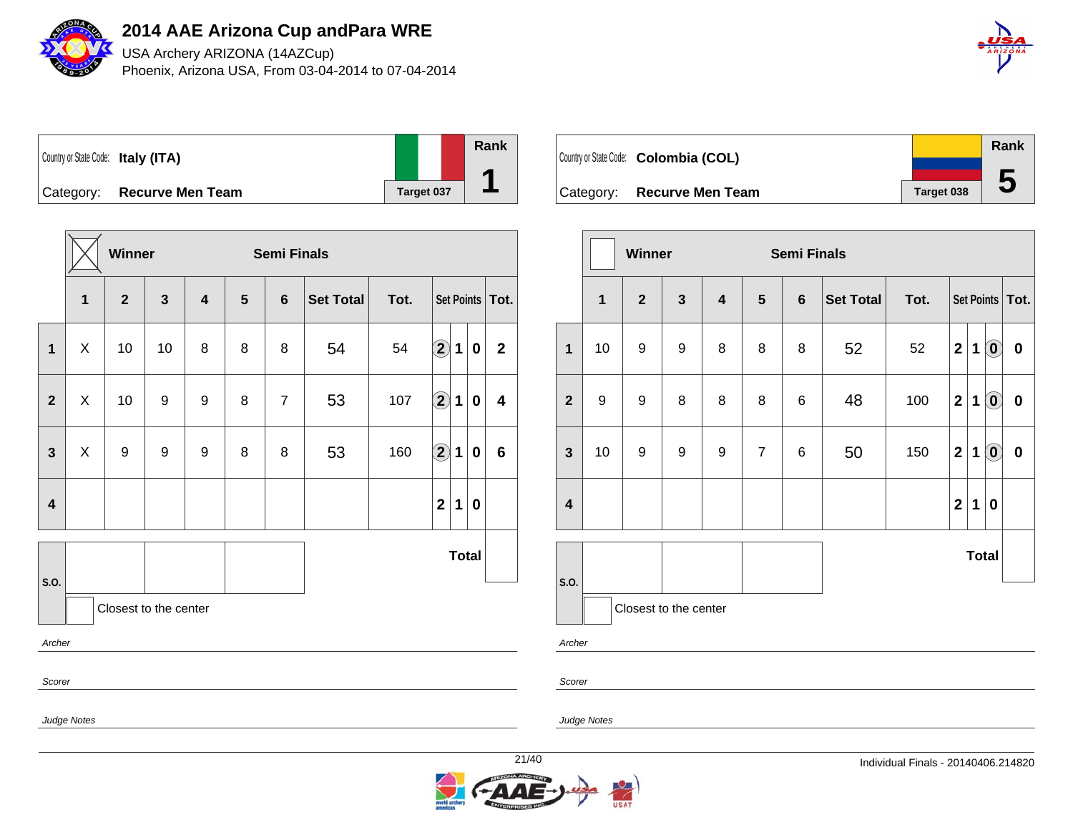

USA Archery ARIZONA (14AZCup) Phoenix, Arizona USA, From 03-04-2014 to 07-04-2014



Country or State Code: **Italy (ITA)** Category: **Recurve Men Team Tanget 037 Rank 1**

|                         |                         | Winner                |              |                  |   | <b>Semi Finals</b> |           |      |                        |             |                   |                         |
|-------------------------|-------------------------|-----------------------|--------------|------------------|---|--------------------|-----------|------|------------------------|-------------|-------------------|-------------------------|
|                         | $\overline{\mathbf{1}}$ | $\overline{2}$        | $\mathbf{3}$ | 4                | 5 | $6\phantom{1}$     | Set Total | Tot. |                        |             | Set Points   Tot. |                         |
| $\overline{\mathbf{1}}$ | X                       | 10                    | 10           | 8                | 8 | 8                  | 54        | 54   | $\left( \bf{2}\right)$ | $\mathbf 1$ | 0                 | $\mathbf{2}$            |
| $\overline{2}$          | X                       | 10                    | 9            | $\boldsymbol{9}$ | 8 | $\overline{7}$     | 53        | 107  | $\bigcirc \!\! 2$      | $\mathbf 1$ | 0                 | $\overline{\mathbf{4}}$ |
| $\mathbf{3}$            | X                       | $\boldsymbol{9}$      | 9            | 9                | 8 | 8                  | 53        | 160  | $\bigcirc \!\! \! 2$   | $\mathbf 1$ | $\mathbf 0$       | 6                       |
| $\overline{\mathbf{4}}$ |                         |                       |              |                  |   |                    |           |      | 2 <sup>1</sup>         | 1           | 0                 |                         |
| S.O.                    |                         |                       |              |                  |   |                    |           |      |                        |             | <b>Total</b>      |                         |
|                         |                         | Closest to the center |              |                  |   |                    |           |      |                        |             |                   |                         |
| Archer                  |                         |                       |              |                  |   |                    |           |      |                        |             |                   |                         |
|                         | Scorer                  |                       |              |                  |   |                    |           |      |                        |             |                   |                         |

|           | Country or State Code: Colombia (COL) |            | Rank |
|-----------|---------------------------------------|------------|------|
|           |                                       |            |      |
| Category: | <b>Recurve Men Team</b>               | Target 038 | b    |

|                         |                  | Winner                |              |                         | <b>Semi Finals</b> |                  |                  |      |                         |              |                                                         |                   |
|-------------------------|------------------|-----------------------|--------------|-------------------------|--------------------|------------------|------------------|------|-------------------------|--------------|---------------------------------------------------------|-------------------|
|                         | $\mathbf{1}$     | $\mathbf{2}$          | $\mathbf{3}$ | $\overline{\mathbf{4}}$ | 5                  | $\boldsymbol{6}$ | <b>Set Total</b> | Tot. |                         |              |                                                         | Set Points   Tot. |
| $\mathbf{1}$            | 10               | 9                     | 9            | 8                       | 8                  | 8                | 52               | 52   | $\mathbf{2}$            | 1            | $\left( \begin{matrix} 0 \\ 0 \end{matrix} \right)$     | $\pmb{0}$         |
| $\overline{2}$          | $\boldsymbol{9}$ | 9                     | 8            | 8                       | 8                  | 6                | 48               | 100  | $\mathbf{2}$            | 1            | $\left( \begin{matrix} \textbf{0} \end{matrix} \right)$ | $\pmb{0}$         |
| 3                       | 10               | 9                     | 9            | 9                       | $\overline{7}$     | 6                | 50               | 150  | $\overline{\mathbf{2}}$ | 1            | $\left( \begin{matrix} 0 \end{matrix} \right)$          | $\pmb{0}$         |
| $\overline{\mathbf{4}}$ |                  |                       |              |                         |                    |                  |                  |      | $\overline{\mathbf{2}}$ | 1            | 0                                                       |                   |
| S.O.                    |                  |                       |              |                         |                    |                  |                  |      |                         | <b>Total</b> |                                                         |                   |
|                         |                  | Closest to the center |              |                         |                    |                  |                  |      |                         |              |                                                         |                   |

Archer

Scorer

Judge Notes

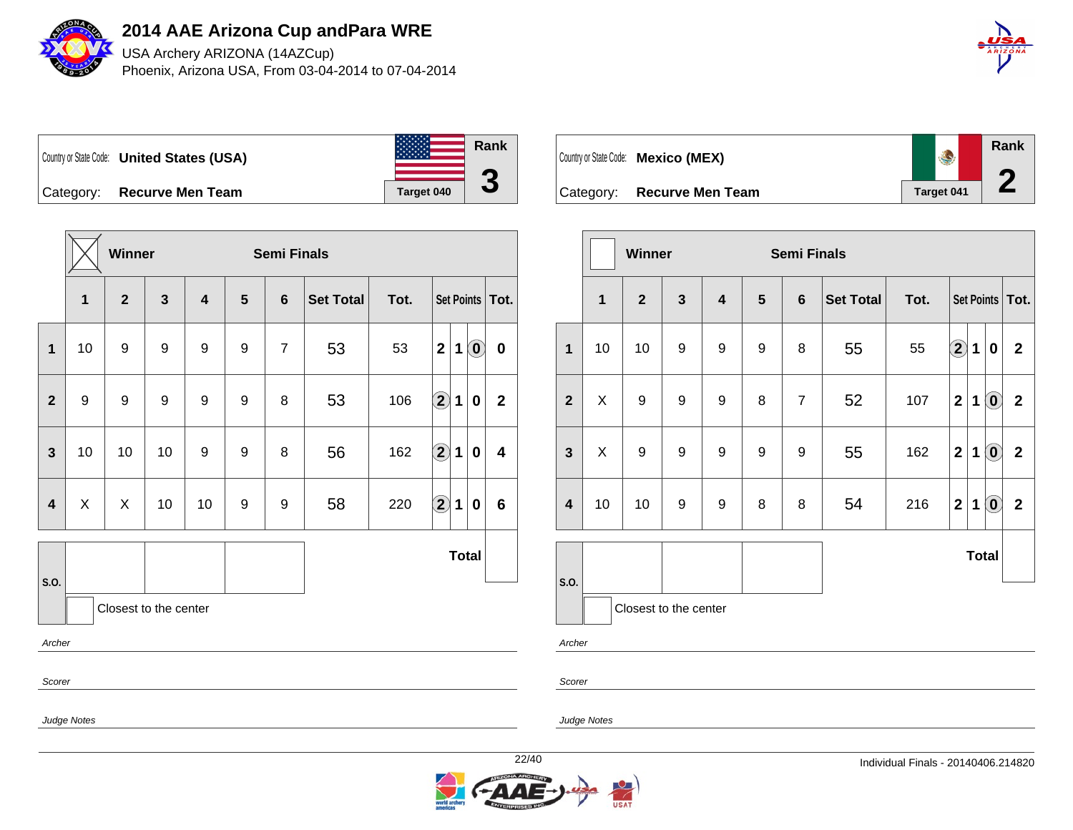

USA Archery ARIZONA (14AZCup) Phoenix, Arizona USA, From 03-04-2014 to 07-04-2014



Country or State Code: **United States (USA)** Category: **Recurve Men Team Target 040 Rank 3**

**Winner Semi Finals 1 2 3 4 5 6 Set Total Tot. Set Points Tot. 1** | 10 | 9 | 9 | 9 | 9 | 7 | 53 | 53 | 2 | 1 | 0 | 0 **2** 9 9 9 9 9 8 53 106 **2 1 0 2 3** 10 10 10 9 9 8 56 162 **2 1 0 4 4** X X 10 10 9 9 58 220 **2 1 0 6 S.O. Total** Closest to the center Archer

**Rank** Country or State Code: **Mexico (MEX) 2** Category: **Recurve Men Team Target 041** 

|                         | <b>Winner</b><br><b>Semi Finals</b> |                |                       |                         |                  |                |                  |      |                  |              |                                                |                   |
|-------------------------|-------------------------------------|----------------|-----------------------|-------------------------|------------------|----------------|------------------|------|------------------|--------------|------------------------------------------------|-------------------|
|                         | $\mathbf{1}$                        | $\overline{2}$ | $\mathbf{3}$          | $\overline{\mathbf{4}}$ | 5                | $6\phantom{1}$ | <b>Set Total</b> | Tot. |                  |              |                                                | Set Points   Tot. |
| $\mathbf{1}$            | 10                                  | 10             | 9                     | 9                       | 9                | 8              | 55               | 55   | $\bigcircled{2}$ | 1            | 0                                              | $\mathbf{2}$      |
| $\mathbf{2}$            | X                                   | 9              | 9                     | 9                       | 8                | $\overline{7}$ | 52               | 107  | $\mathbf 2$      | 1            | $\mathbf{O}$                                   | $\boldsymbol{2}$  |
| 3                       | X                                   | 9              | $\boldsymbol{9}$      | 9                       | $\boldsymbol{9}$ | 9              | 55               | 162  | $\overline{2}$   | 1            | $\textcircled{\textbf{0}}$                     | $\mathbf{2}$      |
| $\overline{\mathbf{4}}$ | 10                                  | 10             | 9                     | 9                       | 8                | 8              | 54               | 216  | $\mathbf{2}$     | 1            | $\left( \begin{matrix} 0 \end{matrix} \right)$ | $\boldsymbol{2}$  |
| S.O.                    |                                     |                | Closest to the center |                         |                  |                |                  |      |                  | <b>Total</b> |                                                |                   |

Archer

Scorer

Judge Notes

Scorer

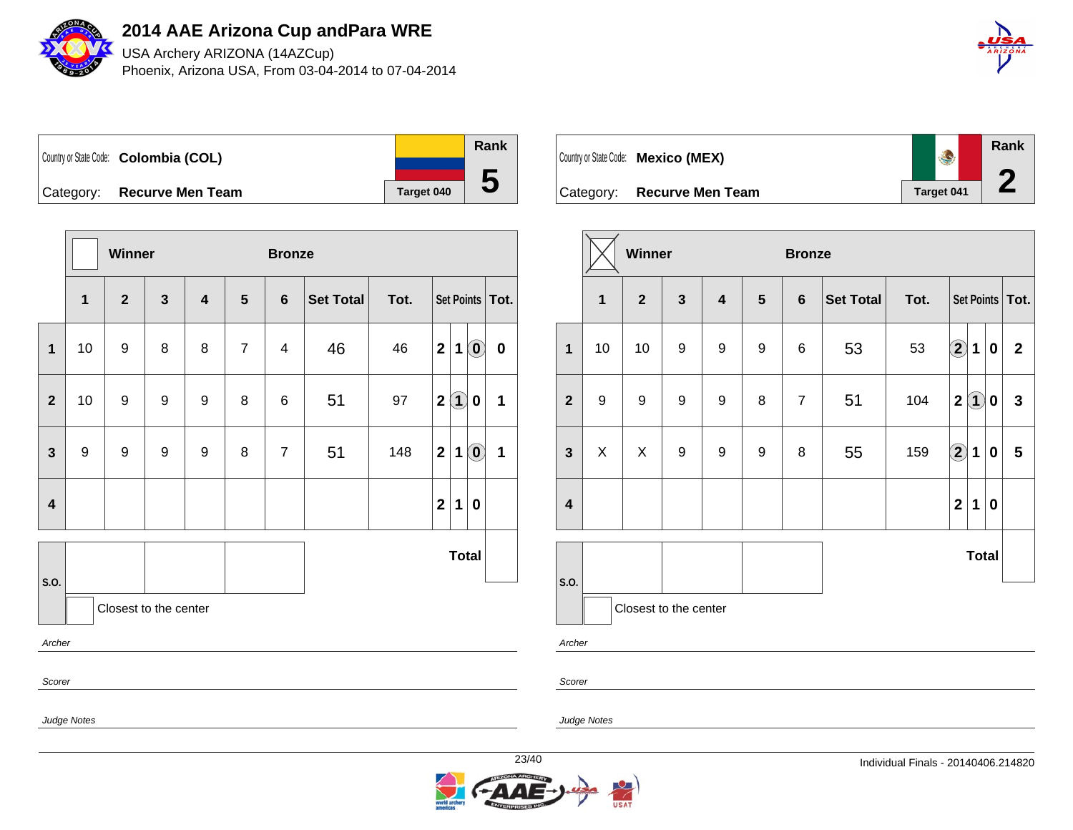

USA Archery ARIZONA (14AZCup) Phoenix, Arizona USA, From 03-04-2014 to 07-04-2014



Country or State Code: **Colombia (COL)** Category: **Recurve Men Team Target 040 Rank 5**

|                         |                  | Winner         |                         |                         |                | <b>Bronze</b>           |                  |      |              |                   |                                                         |                   |  |
|-------------------------|------------------|----------------|-------------------------|-------------------------|----------------|-------------------------|------------------|------|--------------|-------------------|---------------------------------------------------------|-------------------|--|
|                         | $\mathbf{1}$     | $\overline{2}$ | $\overline{\mathbf{3}}$ | $\overline{\mathbf{4}}$ | 5              | $6\phantom{1}$          | <b>Set Total</b> | Tot. |              |                   |                                                         | Set Points   Tot. |  |
| $\mathbf{1}$            | 10               | 9              | 8                       | 8                       | $\overline{7}$ | $\overline{\mathbf{4}}$ | 46               | 46   | $\mathbf{2}$ | $\mathbf 1$       | $\left( \begin{matrix} \textbf{0} \end{matrix} \right)$ | $\mathbf 0$       |  |
| $\overline{2}$          | 10               | 9              | 9                       | 9                       | 8              | 6                       | 51               | 97   | $\mathbf{2}$ | $\left( 1\right)$ | 0                                                       | 1                 |  |
| $\mathbf{3}$            | $\boldsymbol{9}$ | 9              | 9                       | 9                       | 8              | $\overline{7}$          | 51               | 148  | $\mathbf{2}$ | 1                 | $\left( \mathbf{0}\right)$                              | 1                 |  |
| $\overline{\mathbf{4}}$ |                  |                |                         |                         |                |                         |                  |      | $\mathbf{2}$ | 1                 | 0                                                       |                   |  |
| S.O.                    |                  |                | Closest to the center   |                         |                |                         |                  |      |              | <b>Total</b>      |                                                         |                   |  |
| Archer                  |                  |                |                         |                         |                |                         |                  |      |              |                   |                                                         |                   |  |
| Scorer                  | Judge Notes      |                |                         |                         |                |                         |                  |      |              |                   |                                                         |                   |  |

| Country or State Code: Mexico (MEX) |            | Rank |
|-------------------------------------|------------|------|
| Category: Recurve Men Team          | Target 041 |      |

|                         |                         | Winner                |              |                         | <b>Bronze</b>    |                |                  |      |                            |              |          |                   |
|-------------------------|-------------------------|-----------------------|--------------|-------------------------|------------------|----------------|------------------|------|----------------------------|--------------|----------|-------------------|
|                         | $\overline{\mathbf{1}}$ | $\overline{2}$        | $\mathbf{3}$ | $\overline{\mathbf{4}}$ | 5                | $\bf 6$        | <b>Set Total</b> | Tot. |                            |              |          | Set Points   Tot. |
| $\mathbf{1}$            | 10                      | 10                    | 9            | 9                       | 9                | 6              | 53               | 53   | $\left( \mathbf{2}\right)$ | $\mathbf 1$  | 0        | $\boldsymbol{2}$  |
| $\overline{\mathbf{2}}$ | $\boldsymbol{9}$        | 9                     | 9            | $\boldsymbol{9}$        | 8                | $\overline{7}$ | 51               | 104  | $\mathbf{2}$               | $\boxed{1}$  | 0        | 3                 |
| 3                       | X                       | X                     | 9            | $\boldsymbol{9}$        | $\boldsymbol{9}$ | 8              | 55               | 159  | $\Large{\textbf{2}}$       | 1            | $\bf{0}$ | 5                 |
| $\overline{\mathbf{4}}$ |                         |                       |              |                         |                  |                |                  |      | $\mathbf{2}$               | 1            | $\bf{0}$ |                   |
|                         |                         |                       |              |                         |                  |                |                  |      |                            | <b>Total</b> |          |                   |
| S.O.                    |                         | Closest to the center |              |                         |                  |                |                  |      |                            |              |          |                   |

Archer

Scorer

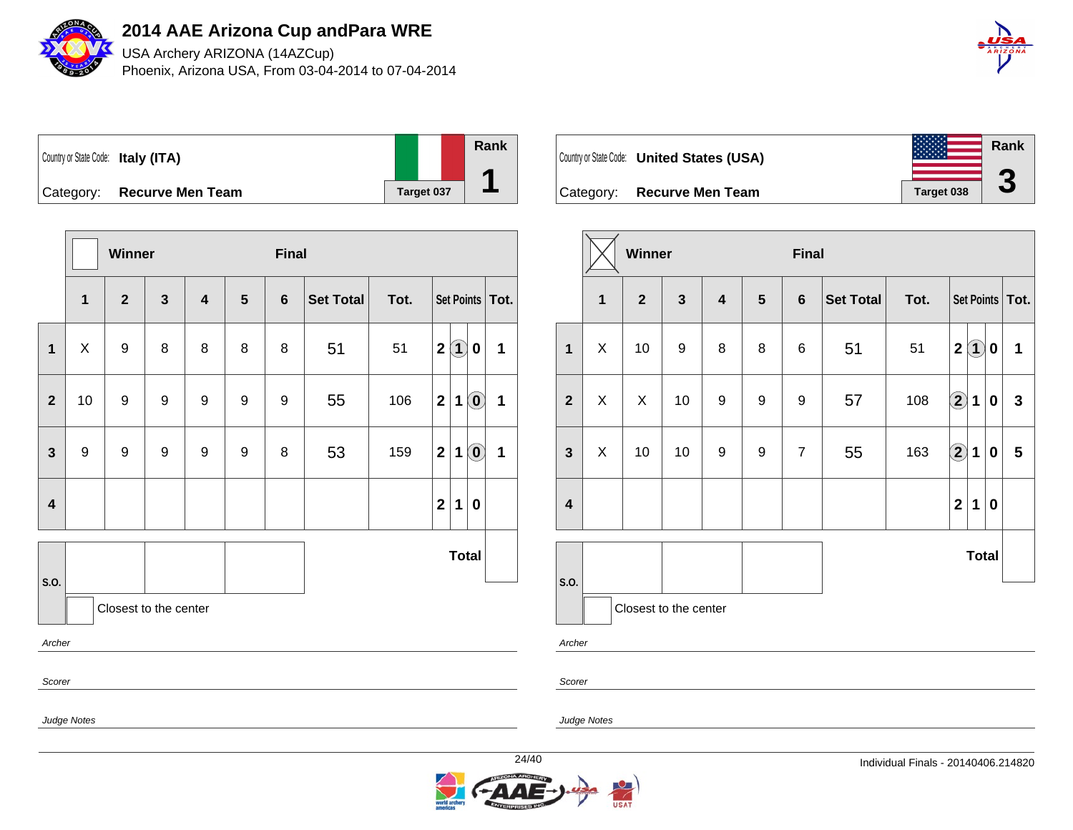

USA Archery ARIZONA (14AZCup) Phoenix, Arizona USA, From 03-04-2014 to 07-04-2014



Country or State Code: **Italy (ITA)** Category: **Recurve Men Team Tanget 037 Rank 1**

|                         |              | Winner                |              |                         |                | <b>Final</b>   |                  |      |              |                   |                                                         |                   |
|-------------------------|--------------|-----------------------|--------------|-------------------------|----------------|----------------|------------------|------|--------------|-------------------|---------------------------------------------------------|-------------------|
|                         | $\mathbf{1}$ | $\mathbf{2}$          | $\mathbf{3}$ | $\overline{\mathbf{4}}$ | $5\phantom{1}$ | $6\phantom{1}$ | <b>Set Total</b> | Tot. |              |                   |                                                         | Set Points   Tot. |
| $\mathbf{1}$            | X            | $\boldsymbol{9}$      | 8            | $\bf 8$                 | 8              | 8              | 51               | 51   | $\mathbf{2}$ | $\left( 1\right)$ | 0                                                       | 1                 |
| $\mathbf{2}$            | 10           | 9                     | 9            | 9                       | 9              | 9              | 55               | 106  | $\mathbf{2}$ | 1                 | $\left( \mathbf{0}\right)$                              | $\mathbf 1$       |
| $\overline{\mathbf{3}}$ | 9            | 9                     | 9            | 9                       | 9              | 8              | 53               | 159  | $\mathbf 2$  | 1                 | $\left( \begin{matrix} \textbf{0} \end{matrix} \right)$ | $\mathbf 1$       |
| $\overline{\mathbf{4}}$ |              |                       |              |                         |                |                |                  |      | $\mathbf{2}$ | 1                 | $\bf{0}$                                                |                   |
| S.O.                    |              |                       |              |                         |                |                |                  |      |              | <b>Total</b>      |                                                         |                   |
|                         |              | Closest to the center |              |                         |                |                |                  |      |              |                   |                                                         |                   |
| Archer                  |              |                       |              |                         |                |                |                  |      |              |                   |                                                         |                   |
| Scorer                  |              |                       |              |                         |                |                |                  |      |              |                   |                                                         |                   |

|           | Country or State Code: <b>United States (USA)</b> |            | Rank |
|-----------|---------------------------------------------------|------------|------|
|           |                                                   |            |      |
| Category: | <b>Recurve Men Team</b>                           | Target 038 | w    |

|                         |              | Winner                |              |                         | <b>Final</b>    |                  |           |      |                        |                        |   |                   |
|-------------------------|--------------|-----------------------|--------------|-------------------------|-----------------|------------------|-----------|------|------------------------|------------------------|---|-------------------|
|                         | $\mathbf{1}$ | $\mathbf{2}$          | $\mathbf{3}$ | $\overline{\mathbf{4}}$ | $5\phantom{.0}$ | $6\phantom{1}$   | Set Total | Tot. |                        |                        |   | Set Points   Tot. |
| $\mathbf{1}$            | X            | 10                    | 9            | 8                       | 8               | 6                | 51        | 51   | $\mathbf 2$            | $\left( \bf{1}\right)$ | 0 | 1                 |
| $\mathbf{2}$            | X            | X                     | 10           | 9                       | 9               | $\boldsymbol{9}$ | 57        | 108  | $\widehat{\mathbf{2}}$ | 1                      | 0 | $\mathbf{3}$      |
| $\mathbf{3}$            | X            | 10                    | 10           | $\boldsymbol{9}$        | 9               | $\overline{7}$   | 55        | 163  | $\bigcirc \!\! \! 2$   | $\mathbf 1$            | 0 | 5                 |
| $\overline{\mathbf{4}}$ |              |                       |              |                         |                 |                  |           |      | $\mathbf{2}$           | 1                      | 0 |                   |
|                         |              |                       |              |                         |                 |                  |           |      |                        | <b>Total</b>           |   |                   |
| S.O.                    |              | Closest to the center |              |                         |                 |                  |           |      |                        |                        |   |                   |

Archer

Scorer

Judge Notes

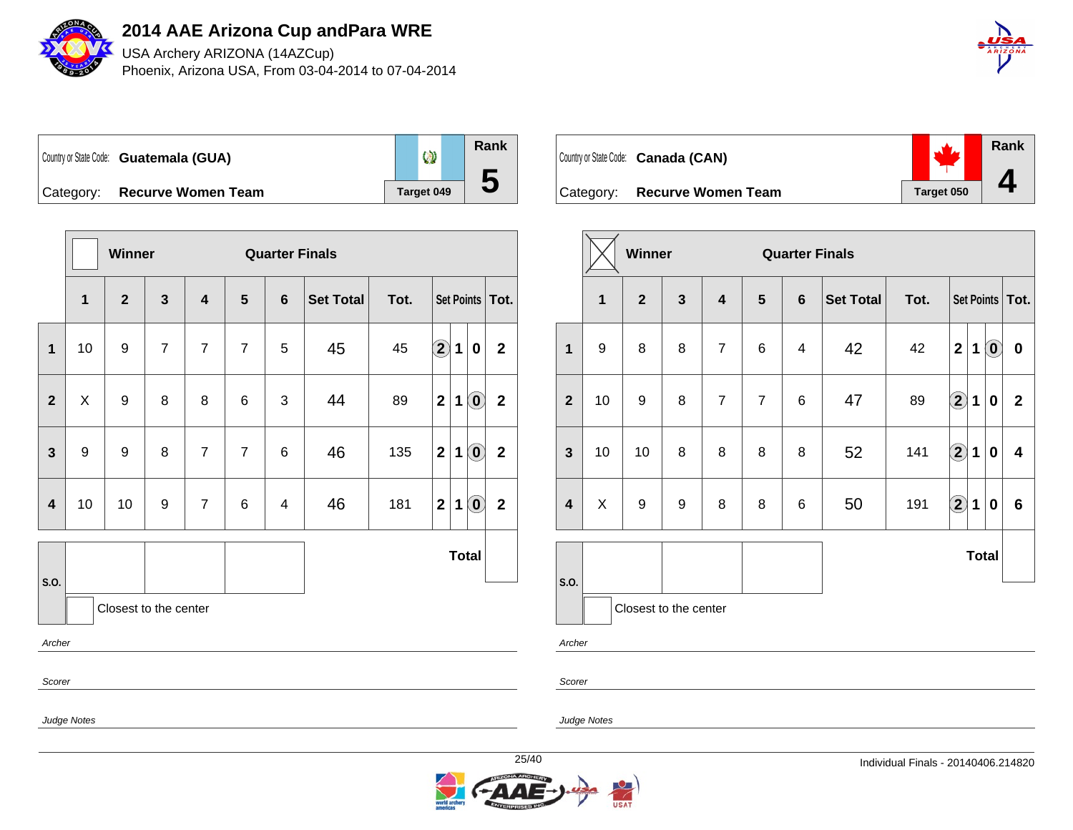

USA Archery ARIZONA (14AZCup) Phoenix, Arizona USA, From 03-04-2014 to 07-04-2014



**Rank**  $\circledcirc$ Country or State Code: **Guatemala (GUA) 5** Category: **Recurve Women Team Target 049** 

|                         | <b>Winner</b><br><b>Quarter Finals</b> |                       |                |                         |                |                         |                  |      |                |             |                                                         |                         |
|-------------------------|----------------------------------------|-----------------------|----------------|-------------------------|----------------|-------------------------|------------------|------|----------------|-------------|---------------------------------------------------------|-------------------------|
|                         | $\overline{1}$                         | $\mathbf{2}$          | 3              | $\overline{\mathbf{4}}$ | 5              | $6\phantom{1}6$         | <b>Set Total</b> | Tot. |                |             | <b>Set Points</b>                                       | Tot.                    |
| $\overline{\mathbf{1}}$ | 10                                     | 9                     | $\overline{7}$ | $\overline{7}$          | $\overline{7}$ | 5                       | 45               | 45   | $\bf{2}$       | $\mathbf 1$ | $\pmb{0}$                                               | $\mathbf{2}$            |
| $\overline{2}$          | X                                      | 9                     | 8              | 8                       | 6              | $\mathfrak{S}$          | 44               | 89   | $\overline{2}$ | $\mathbf 1$ | $\left( \begin{matrix} 0 \end{matrix} \right)$          | $\mathbf{2}$            |
| $\mathbf{3}$            | $\boldsymbol{9}$                       | 9                     | 8              | $\overline{7}$          | $\overline{7}$ | 6                       | 46               | 135  | $\mathbf{2}$   | $\mathbf 1$ | $\left( \begin{matrix} 0 \\ 0 \end{matrix} \right)$     | $\mathbf{2}$            |
| $\overline{\mathbf{4}}$ | 10                                     | 10                    | 9              | $\overline{7}$          | $6\phantom{1}$ | $\overline{\mathbf{4}}$ | 46               | 181  | $\overline{2}$ | $\mathbf 1$ | $\left( \begin{matrix} \textbf{0} \end{matrix} \right)$ | $\overline{\mathbf{2}}$ |
|                         |                                        |                       |                |                         |                |                         |                  |      |                |             | <b>Total</b>                                            |                         |
| S.O.                    |                                        | Closest to the center |                |                         |                |                         |                  |      |                |             |                                                         |                         |

Archer

Scorer

Judge Notes

Judge Notes



| Country or State Code: Canada (CAN) |            | <b>Rank</b> |
|-------------------------------------|------------|-------------|
| Category: Recurve Women Team        | Target 050 |             |

|                         | <b>Winner</b><br><b>Quarter Finals</b> |                |                       |                         |                |   |                  |      |                    |              |                            |                   |
|-------------------------|----------------------------------------|----------------|-----------------------|-------------------------|----------------|---|------------------|------|--------------------|--------------|----------------------------|-------------------|
|                         | $\mathbf{1}$                           | $\overline{2}$ | $\mathbf{3}$          | $\overline{\mathbf{4}}$ | 5              | 6 | <b>Set Total</b> | Tot. |                    |              |                            | Set Points   Tot. |
| $\mathbf 1$             | 9                                      | 8              | 8                     | $\overline{7}$          | 6              | 4 | 42               | 42   | $\mathbf 2$        | 1            | $\left( \mathbf{0}\right)$ | $\bf{0}$          |
| $\overline{2}$          | 10                                     | 9              | 8                     | $\overline{7}$          | $\overline{7}$ | 6 | 47               | 89   | $\bigcircled{2}$   | $\mathbf 1$  | $\bf{0}$                   | $\mathbf{2}$      |
| $\mathbf{3}$            | 10                                     | 10             | 8                     | 8                       | 8              | 8 | 52               | 141  | $\bf \overline{2}$ | $\mathbf 1$  | $\bf{0}$                   | 4                 |
| $\overline{\mathbf{4}}$ | X                                      | $\mathsf g$    | 9                     | 8                       | 8              | 6 | 50               | 191  | $\bigcircled{2}$   | $\mathbf 1$  | $\bf{0}$                   | 6                 |
|                         |                                        |                |                       |                         |                |   |                  |      |                    | <b>Total</b> |                            |                   |
| S.O.                    |                                        |                | Closest to the center |                         |                |   |                  |      |                    |              |                            |                   |

Archer

Scorer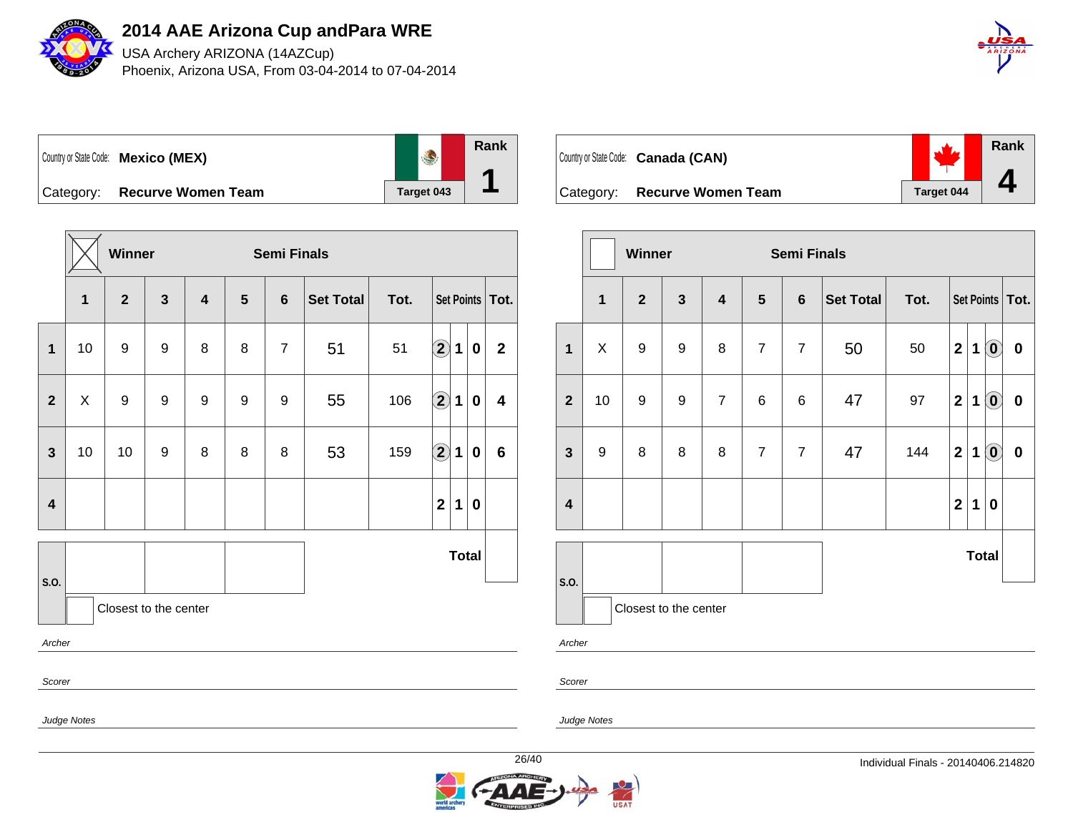

USA Archery ARIZONA (14AZCup) Phoenix, Arizona USA, From 03-04-2014 to 07-04-2014



**Rank** Country or State Code: **Mexico (MEX) 1** Category: **Recurve Women Team Target 043** 

|                         |                         | Winner                |              |                         |                | <b>Semi Finals</b> |                  |      |                      |              |          |                   |
|-------------------------|-------------------------|-----------------------|--------------|-------------------------|----------------|--------------------|------------------|------|----------------------|--------------|----------|-------------------|
|                         | $\overline{\mathbf{1}}$ | $\overline{2}$        | $\mathbf{3}$ | $\overline{\mathbf{4}}$ | $5\phantom{1}$ | $6\phantom{1}$     | <b>Set Total</b> | Tot. |                      |              |          | Set Points   Tot. |
| 1                       | 10                      | 9                     | 9            | 8                       | 8              | $\overline{7}$     | 51               | 51   | $\bigcirc \!\! 2$    | 1            | 0        | $\mathbf 2$       |
| $\mathbf{2}$            | X                       | 9                     | 9            | 9                       | 9              | 9                  | 55               | 106  | $\bigcirc \!\! 2$    | $\mathbf 1$  | $\bf{0}$ | 4                 |
| $\overline{\mathbf{3}}$ | 10                      | 10                    | 9            | 8                       | 8              | 8                  | 53               | 159  | $\bigcirc \!\! \! 2$ | $\mathbf 1$  | 0        | $\bf 6$           |
| $\overline{\mathbf{4}}$ |                         |                       |              |                         |                |                    |                  |      | $\mathbf{2}$         | 1            | 0        |                   |
| S.O.                    |                         |                       |              |                         |                |                    |                  |      |                      | <b>Total</b> |          |                   |
|                         |                         | Closest to the center |              |                         |                |                    |                  |      |                      |              |          |                   |
| Archer                  |                         |                       |              |                         |                |                    |                  |      |                      |              |          |                   |
|                         | Scorer                  |                       |              |                         |                |                    |                  |      |                      |              |          |                   |
|                         | Judge Notes             |                       |              |                         |                |                    |                  |      |                      |              |          |                   |



|                         |                               | Winner       |                       |                | <b>Semi Finals</b> |                |                  |      |              |              |                                                |                   |
|-------------------------|-------------------------------|--------------|-----------------------|----------------|--------------------|----------------|------------------|------|--------------|--------------|------------------------------------------------|-------------------|
|                         | $\mathbf{1}$                  | $\mathbf{2}$ | $\mathbf{3}$          | 4              | $5\phantom{1}$     | 6              | <b>Set Total</b> | Tot. |              |              |                                                | Set Points   Tot. |
| $\mathbf{1}$            | X                             | 9            | $\boldsymbol{9}$      | 8              | $\overline{7}$     | $\overline{7}$ | 50               | 50   | $\mathbf{2}$ | $\mathbf 1$  | $\mathbf{O}$                                   | $\pmb{0}$         |
| $\mathbf{2}$            | $9$<br>$\boldsymbol{9}$<br>10 |              |                       | $\overline{7}$ | 6                  | 6              | 47               | 97   | $\mathbf{2}$ | 1            | $\left( \begin{matrix} 0 \end{matrix} \right)$ | $\pmb{0}$         |
| $\mathbf{3}$            | 9                             | 8            | 8                     | 8              | $\overline{7}$     | $\overline{7}$ | 47               | 144  | $\mathbf{2}$ | 1            | $\odot$                                        | $\bf{0}$          |
| $\overline{\mathbf{4}}$ |                               |              |                       |                |                    |                |                  |      | $\mathbf{2}$ | 1            | 0                                              |                   |
|                         |                               |              |                       |                |                    |                |                  |      |              | <b>Total</b> |                                                |                   |
| S.O.                    |                               |              | Closest to the center |                |                    |                |                  |      |              |              |                                                |                   |

Archer

Scorer

Judge Notes

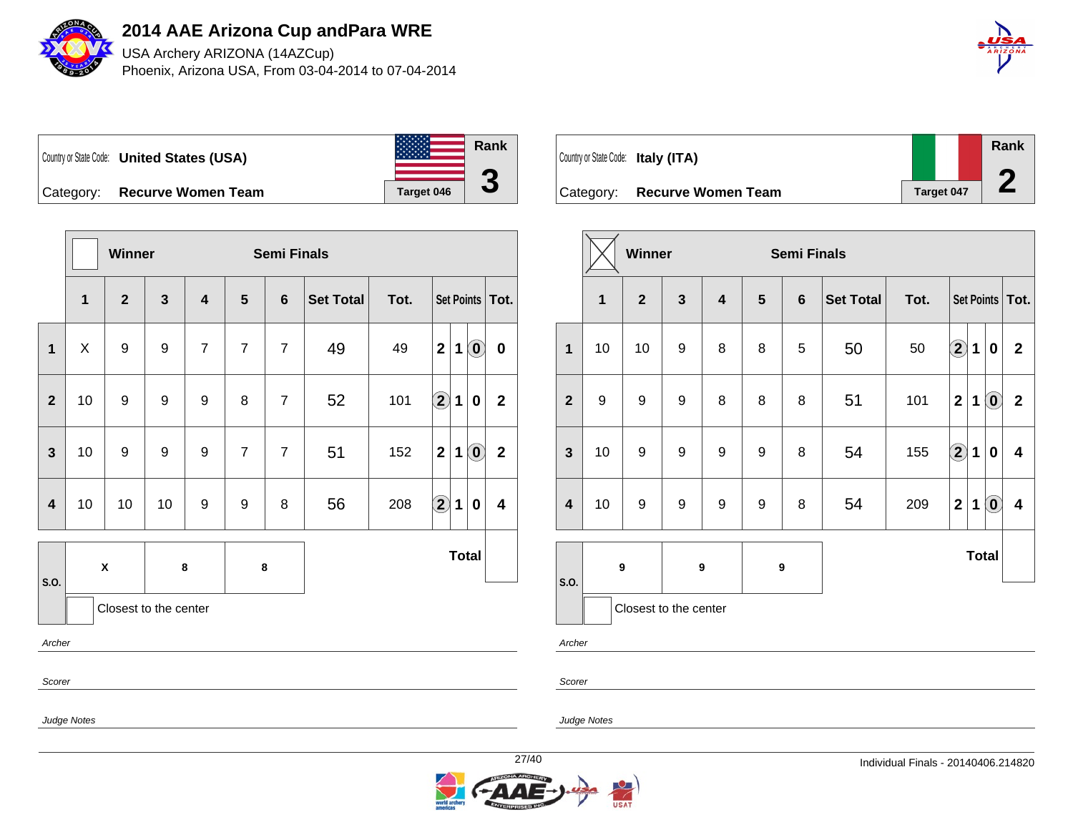

USA Archery ARIZONA (14AZCup) Phoenix, Arizona USA, From 03-04-2014 to 07-04-2014



Country or State Code: **United States (USA)** Category: **Recurve Women Team Target 046 Rank 3**

**Winner Semi Finals 1 2 3 4 5 6 Set Total Tot. Set Points Tot. 1** X 9 9 7 7 7 49 49 **2 1 0 0 2** | 10 | 9 | 9 | 9 | 8 | 7 | 52 | 101 2 1 | 0 | 2 **3** | 10 | 9 | 9 | 9 | 7 | 7 | 51 | 152 | 2 | 1 | **0** | 2 **4** 10 10 10 9 9 8 56 208 **2 1 0 4 S.O. X 8 8 Total** Closest to the center Archer

Scorer

Scorer

Judge Notes

Judge Notes



| Country or State Code: Italy (ITA) |                           |            | Rank<br>$\triangleright$ |
|------------------------------------|---------------------------|------------|--------------------------|
| Category:                          | <b>Recurve Women Team</b> | Target 047 |                          |

|                         |             | Winner                |                         | <b>Semi Finals</b>      |                |                |                  |      |                         |              |                            |                   |
|-------------------------|-------------|-----------------------|-------------------------|-------------------------|----------------|----------------|------------------|------|-------------------------|--------------|----------------------------|-------------------|
|                         | $\mathbf 1$ | $\overline{2}$        | $\overline{\mathbf{3}}$ | $\overline{\mathbf{4}}$ | $5\phantom{1}$ | $6\phantom{a}$ | <b>Set Total</b> | Tot. |                         |              |                            | Set Points   Tot. |
| $\mathbf{1}$            | 10          | 10                    | $\boldsymbol{9}$        | 8                       | 8              | 5              | 50               | 50   | $\widehat{\mathbf{2}}$  | $\mathbf 1$  | 0                          | $\mathbf{2}$      |
| $\overline{2}$          | 9           | 9                     | 9                       | 8                       | 8              | 8              | 51               | 101  | $\overline{\mathbf{2}}$ | $\mathbf 1$  | $\left( \mathbf{0}\right)$ | $\mathbf{2}$      |
| $\mathbf{3}$            | 10          | 9                     | 9                       | $\boldsymbol{9}$        | 9              | 8              | 54               | 155  | $\bigcirc \!\! \! 2$    | $\mathbf 1$  | 0                          | 4                 |
| $\overline{\mathbf{4}}$ | 10          | 9                     | 9                       | 9                       | 9              | 8              | 54               | 209  | $\overline{\mathbf{2}}$ | $\mathbf 1$  | $\left( \mathbf{0}\right)$ | 4                 |
|                         |             | 9                     | $\boldsymbol{9}$        |                         | 9              |                |                  |      |                         | <b>Total</b> |                            |                   |
| S.O.                    |             | Closest to the center |                         |                         |                |                |                  |      |                         |              |                            |                   |

Archer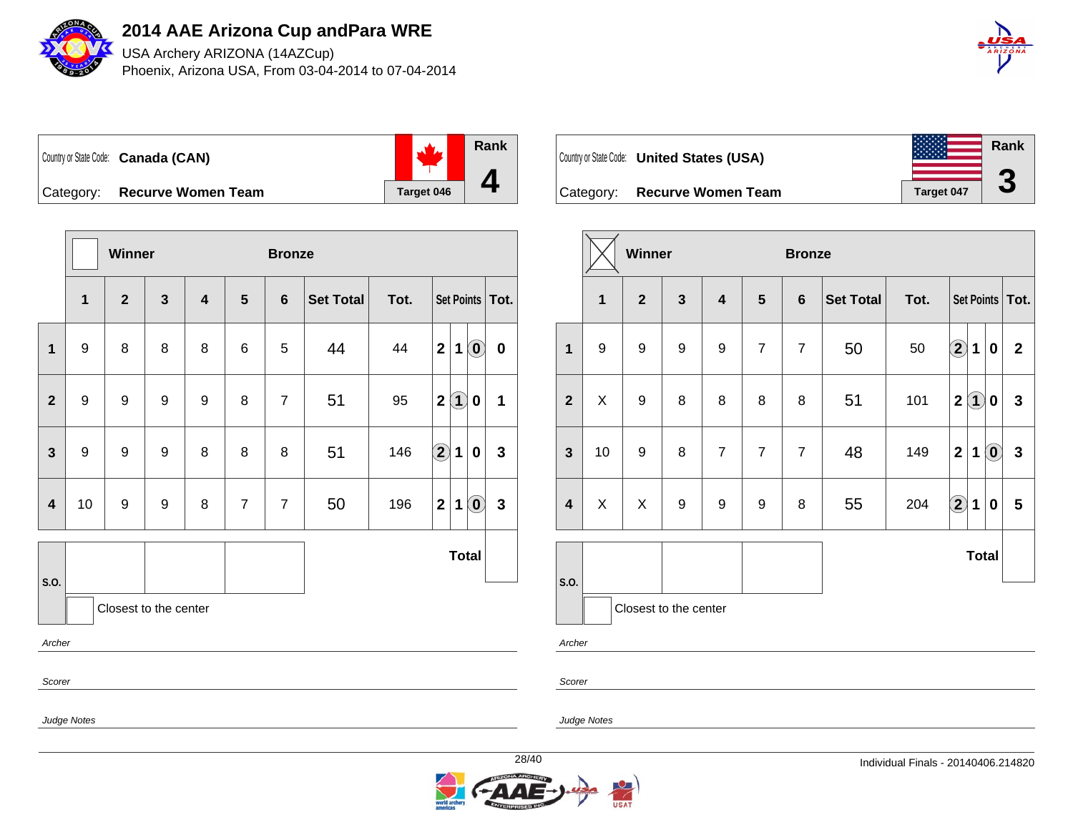

USA Archery ARIZONA (14AZCup) Phoenix, Arizona USA, From 03-04-2014 to 07-04-2014



Country or State Code: **Canada (CAN)** Category: **Recurve Women Team Tanget 046 Rank 4**

**Winner Bronze 1 2 3 4 5 6 Set Total Tot. Set Points Tot. 1** 9 8 8 8 8 6 5 44 4 2 1 0 0 **2** 9 9 9 9 8 7 51 95 **2 1 0 1 3** 9 9 9 8 8 8 51 146 **2 1 0 3 4** | 10 | 9 | 9 | 8 | 7 | 7 | 50 | 196 | 2 | 1 | **0** | 3 **S.O. Total** Closest to the center Archer Scorer

| Country or State Code: <b>United States (USA)</b> |                   | Rank<br>G |
|---------------------------------------------------|-------------------|-----------|
| Category: Recurve Women Team                      | <b>Target 047</b> | J         |

|                         |    | Winner       |                       |                         |                | <b>Bronze</b>    |                  |      |              |              |                                                |              |
|-------------------------|----|--------------|-----------------------|-------------------------|----------------|------------------|------------------|------|--------------|--------------|------------------------------------------------|--------------|
|                         | 1  | $\mathbf{2}$ | $\mathbf{3}$          | $\overline{\mathbf{4}}$ | 5              | $\boldsymbol{6}$ | <b>Set Total</b> | Tot. | Set Points   |              |                                                | Tot.         |
| $\mathbf 1$             | 9  | 9            | 9                     | 9                       | $\overline{7}$ | $\overline{7}$   | 50               | 50   | $\bigcirc$   | $\mathbf 1$  | $\bf{0}$                                       | $\mathbf{2}$ |
| $\mathbf{2}$            | X  | 9            | 8                     | 8                       | 8              | 8                | 51               | 101  | $\mathbf{2}$ | $\bf(1)$     | 0                                              | $\mathbf{3}$ |
| $\mathbf{3}$            | 10 | 9            | 8                     | $\overline{7}$          | $\overline{7}$ | $\overline{7}$   | 48               | 149  | $\mathbf{2}$ | $\mathbf 1$  | $\left( \begin{matrix} 0 \end{matrix} \right)$ | 3            |
| $\overline{\mathbf{4}}$ | X  | X            | 9                     | 9                       | 9              | 8                | 55               | 204  | $\bigcirc$   | 1            | 0                                              | 5            |
|                         |    |              |                       |                         |                |                  |                  |      |              | <b>Total</b> |                                                |              |
| S.O.                    |    |              | Closest to the center |                         |                |                  |                  |      |              |              |                                                |              |

Archer

Scorer

Judge Notes

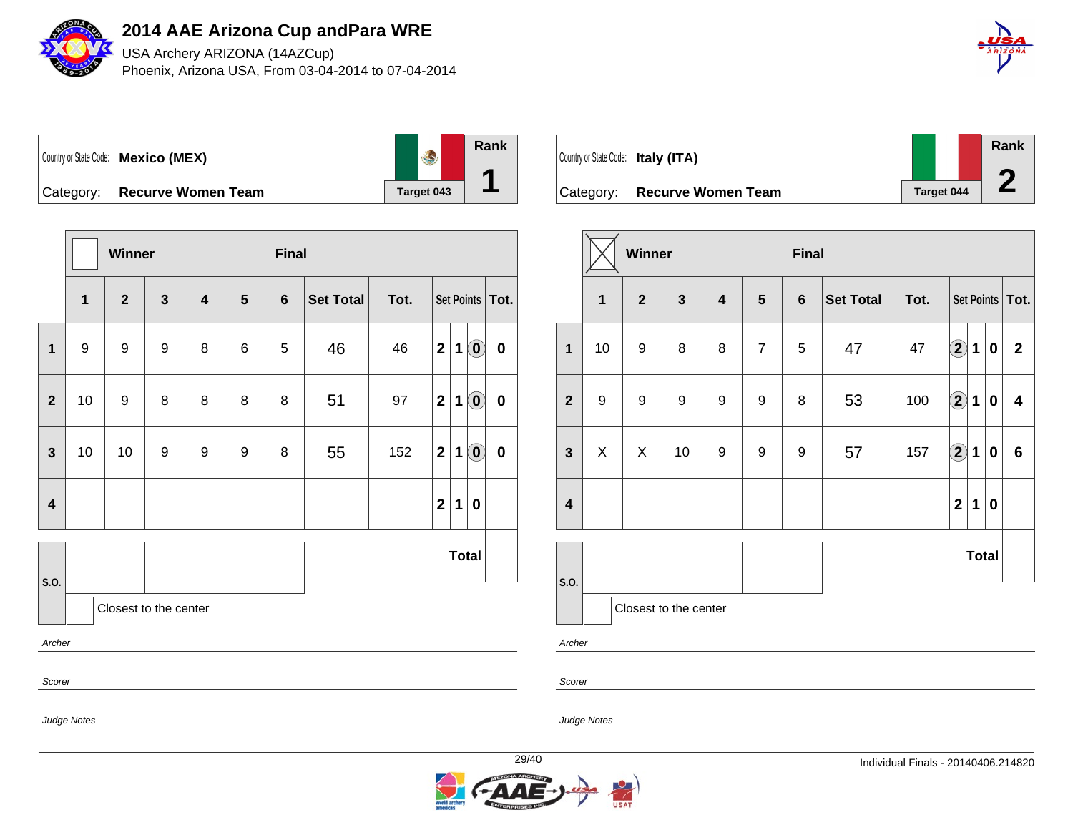

USA Archery ARIZONA (14AZCup) Phoenix, Arizona USA, From 03-04-2014 to 07-04-2014



**Rank** Country or State Code: **Mexico (MEX) 1** Category: **Recurve Women Team Target 043** 

|                         |                         | Winner                |                         |                         |   | <b>Final</b> |                  |      |              |              |                                                |                   |
|-------------------------|-------------------------|-----------------------|-------------------------|-------------------------|---|--------------|------------------|------|--------------|--------------|------------------------------------------------|-------------------|
|                         | $\overline{\mathbf{1}}$ | $\overline{2}$        | $\overline{\mathbf{3}}$ | $\overline{\mathbf{4}}$ | 5 | 6            | <b>Set Total</b> | Tot. |              |              |                                                | Set Points   Tot. |
| $\mathbf 1$             | $\boldsymbol{9}$        | 9                     | 9                       | 8                       | 6 | 5            | 46               | 46   | $\mathbf 2$  | 1            | $\left( \begin{matrix} 0 \end{matrix} \right)$ | $\boldsymbol{0}$  |
| $\overline{2}$          | 10                      | 9                     | 8                       | 8                       | 8 | 8            | 51               | 97   | $\mathbf{2}$ | 1            | $\left( \begin{matrix} 0 \end{matrix} \right)$ | $\bf{0}$          |
| 3                       | 10                      | 10                    | 9                       | 9                       | 9 | 8            | 55               | 152  | $\mathbf{2}$ | 1            | $\left( \begin{matrix} 0 \end{matrix} \right)$ | $\bf{0}$          |
| $\overline{\mathbf{4}}$ |                         |                       |                         |                         |   |              |                  |      | $\mathbf 2$  | 1            | 0                                              |                   |
| S.O.                    |                         |                       |                         |                         |   |              |                  |      |              | <b>Total</b> |                                                |                   |
|                         |                         | Closest to the center |                         |                         |   |              |                  |      |              |              |                                                |                   |
| Archer                  |                         |                       |                         |                         |   |              |                  |      |              |              |                                                |                   |
| Scorer                  |                         |                       |                         |                         |   |              |                  |      |              |              |                                                |                   |

Country or State Code: **Italy (ITA)** Category: **Recurve Women Team Target 044 Rank 2**

|                         |                       | Winner         |              |                         |                | <b>Final</b>   |           |      |                        |              |                  |                   |  |
|-------------------------|-----------------------|----------------|--------------|-------------------------|----------------|----------------|-----------|------|------------------------|--------------|------------------|-------------------|--|
|                         | 1                     | $\overline{2}$ | $\mathbf{3}$ | $\overline{\mathbf{4}}$ | $\sqrt{5}$     | $6\phantom{1}$ | Set Total | Tot. |                        |              |                  | Set Points   Tot. |  |
| $\mathbf 1$             | 10                    | $9$            | 8            | 8                       | $\overline{7}$ | 5              | 47        | 47   | $\Large{\textbf{2}}$   | 1            | $\boldsymbol{0}$ | $\mathbf{2}$      |  |
| $\mathbf{2}$            | $\boldsymbol{9}$      | $9$            | 9            | 9                       | 9              | 8              | 53        | 100  | $\bigcirc \!\! \! 2$   | 1            | $\boldsymbol{0}$ | 4                 |  |
| $\mathbf{3}$            | X                     | X              | 10           | 9                       | 9              | 9              | 57        | 157  | $\widehat{\mathbf{2}}$ | 1            | $\boldsymbol{0}$ | 6                 |  |
| $\overline{\mathbf{4}}$ |                       |                |              |                         |                |                |           |      | $\mathbf{2}$           | $\mathbf 1$  | 0                |                   |  |
|                         |                       |                |              |                         |                |                |           |      |                        | <b>Total</b> |                  |                   |  |
| S.O.                    | Closest to the center |                |              |                         |                |                |           |      |                        |              |                  |                   |  |

Archer

Scorer

Judge Notes

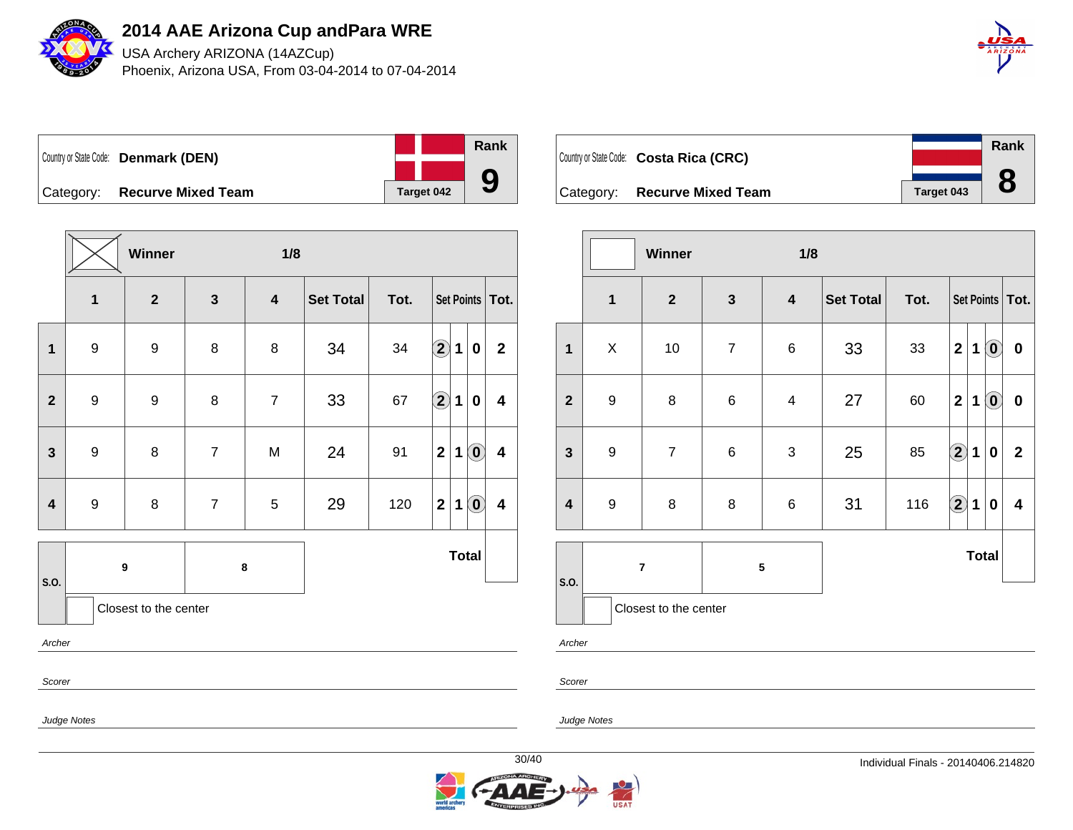

USA Archery ARIZONA (14AZCup) Phoenix, Arizona USA, From 03-04-2014 to 07-04-2014



Country or State Code: **Denmark (DEN)** Category: **Recurve Mixed Team Target 042 Rank 9**

|                         |              | Winner                  |                | 1/8                     |                  |      |                         |             |                            |                         |
|-------------------------|--------------|-------------------------|----------------|-------------------------|------------------|------|-------------------------|-------------|----------------------------|-------------------------|
|                         | $\mathbf{1}$ | $\overline{\mathbf{2}}$ | $\mathbf{3}$   | $\overline{\mathbf{4}}$ | <b>Set Total</b> | Tot. |                         |             |                            | Set Points   Tot.       |
| $\mathbf 1$             | 9            | $\boldsymbol{9}$        | 8              | 8                       | 34               | 34   | $\Large{\textbf{2}}$    | 1           | $\pmb{0}$                  | $\mathbf{2}$            |
| $\overline{\mathbf{2}}$ | 9            | $\boldsymbol{9}$        | $\bf 8$        | $\overline{7}$          | 33               | 67   | $\mathbf 2$             | $\mathbf 1$ | $\pmb{0}$                  | 4                       |
| $\mathbf{3}$            | 9            | $\bf 8$                 | $\overline{7}$ | M                       | 24               | 91   | $\overline{\mathbf{2}}$ | 1           | $\textcolor{red}{\bullet}$ | 4                       |
| $\overline{\mathbf{4}}$ | 9            | $\bf 8$                 | $\overline{7}$ | 5                       | 29               | 120  | $\overline{\mathbf{2}}$ | 1           | $\mathbf{O}$               | $\overline{\mathbf{4}}$ |
|                         |              | $\boldsymbol{9}$        |                | 8                       |                  |      |                         |             | <b>Total</b>               |                         |
| S.O.                    |              | Closest to the center   |                |                         |                  |      |                         |             |                            |                         |
| Archer                  |              |                         |                |                         |                  |      |                         |             |                            |                         |

Country or State Code: **Costa Rica (CRC)** Category: **Recurve Mixed Team Target 043 Rank 8**

|                         |                | Winner                  |                | 1/8                     |                  |      |                      |              |                                                |                   |
|-------------------------|----------------|-------------------------|----------------|-------------------------|------------------|------|----------------------|--------------|------------------------------------------------|-------------------|
|                         | $\mathbf{1}$   | $\overline{\mathbf{2}}$ | $\mathbf{3}$   | $\overline{\mathbf{4}}$ | <b>Set Total</b> | Tot. |                      |              |                                                | Set Points   Tot. |
| $\mathbf 1$             | X              | 10                      | $\overline{7}$ | $\,6$                   | 33               | 33   | $\mathbf 2$          | $\mathbf 1$  | $\left( \mathbf{0}\right)$                     | $\pmb{0}$         |
| $\mathbf{2}$            | 9              | 8                       | 6              | 4                       | 27               | 60   | $\mathbf 2$          | $\mathbf 1$  | $\left( \begin{matrix} 0 \end{matrix} \right)$ | $\pmb{0}$         |
| $\mathbf{3}$            | 9              | $\overline{7}$          | 6              | $\sqrt{3}$              | 25               | 85   | $\Large{\textbf{2}}$ | $\mathbf 1$  | $\bf{0}$                                       | $\mathbf{2}$      |
| $\overline{\mathbf{4}}$ | 9              | $\bf 8$                 | 8              | $6\phantom{1}$          | 31               | 116  | $\Large{\textbf{2}}$ | 1            | $\bf{0}$                                       | 4                 |
|                         | $\overline{7}$ |                         | ${\bf 5}$      |                         |                  |      |                      | <b>Total</b> |                                                |                   |
| S.O.                    |                | Closest to the center   |                |                         |                  |      |                      |              |                                                |                   |

Archer

Scorer

Judge Notes

Scorer

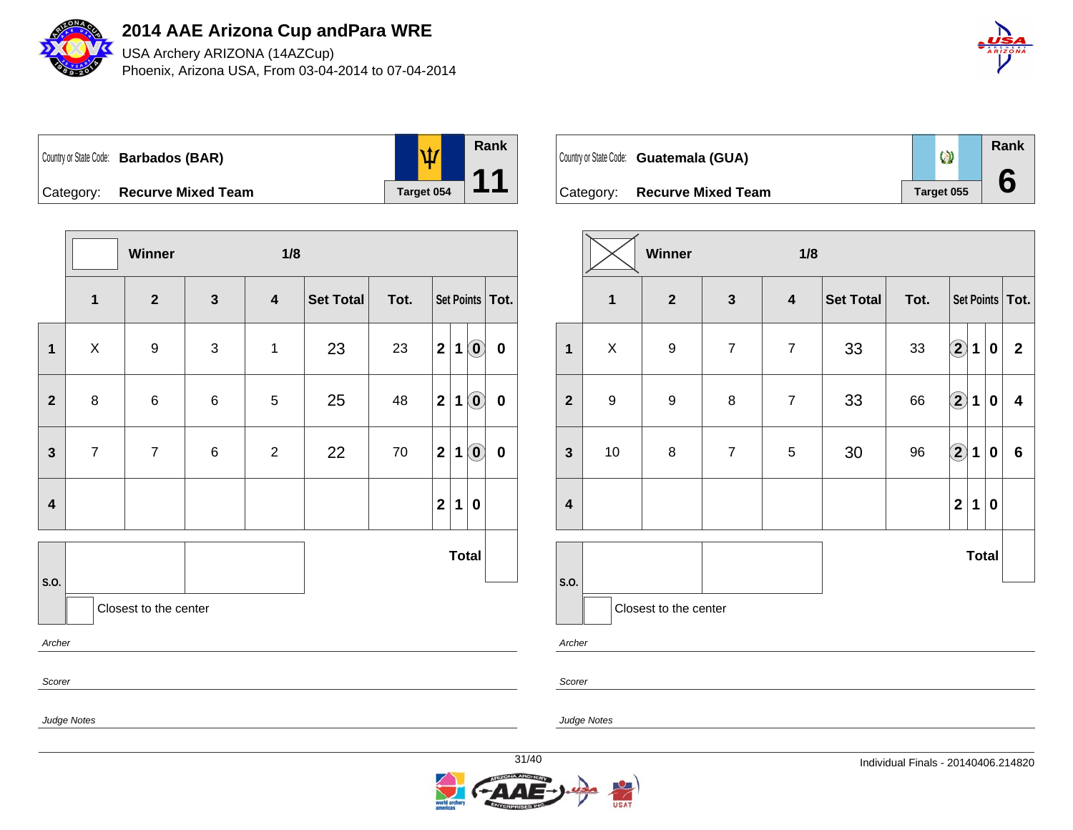

USA Archery ARIZONA (14AZCup) Phoenix, Arizona USA, From 03-04-2014 to 07-04-2014





**Winner 1/8 1 2 3 4 Set Total Tot. Set Points Tot. 1** X 9 3 1 23 23 **2 1 0 0 2** | 8 | 6 | 6 | 5 | 25 | 48 | 2 | 1 | **0** | **0 3** 7 7 6 2 22 70 **2 1 0 0 4 2 1 0 S.O. Total** Closest to the center Archer

**Rank**  $\circledcirc$ Country or State Code: **Guatemala (GUA) 6** Category: **Recurve Mixed Team Target 055** 

|                         |                  | Winner                  |                | 1/8                     |                  |      |                      |              |           |                   |  |
|-------------------------|------------------|-------------------------|----------------|-------------------------|------------------|------|----------------------|--------------|-----------|-------------------|--|
|                         | $\mathbf{1}$     | $\overline{\mathbf{2}}$ | $\mathbf{3}$   | $\overline{\mathbf{4}}$ | <b>Set Total</b> | Tot. |                      |              |           | Set Points   Tot. |  |
| $\mathbf{1}$            | X                | $\boldsymbol{9}$        | $\overline{7}$ | $\overline{7}$          | 33               | 33   | $\bigcirc \!\! \! 2$ | 1            | $\pmb{0}$ | $\mathbf{2}$      |  |
| $\mathbf{2}$            | $\boldsymbol{9}$ | $\boldsymbol{9}$        | 8              | $\overline{7}$          | 33               | 66   | $\Large{\textbf{2}}$ | 1            | $\pmb{0}$ | 4                 |  |
| $\mathbf{3}$            | $10$             | $\bf 8$                 | $\overline{7}$ | 5                       | 30               | 96   | $\bigcirc$           | 1            | $\pmb{0}$ | $\bf 6$           |  |
| $\overline{\mathbf{4}}$ |                  |                         |                |                         |                  |      | $\mathbf{2}$         | 1            | $\pmb{0}$ |                   |  |
|                         |                  |                         |                |                         |                  |      |                      | <b>Total</b> |           |                   |  |
| S.O.                    |                  | Closest to the center   |                |                         |                  |      |                      |              |           |                   |  |

Archer

Scorer

Judge Notes

Scorer

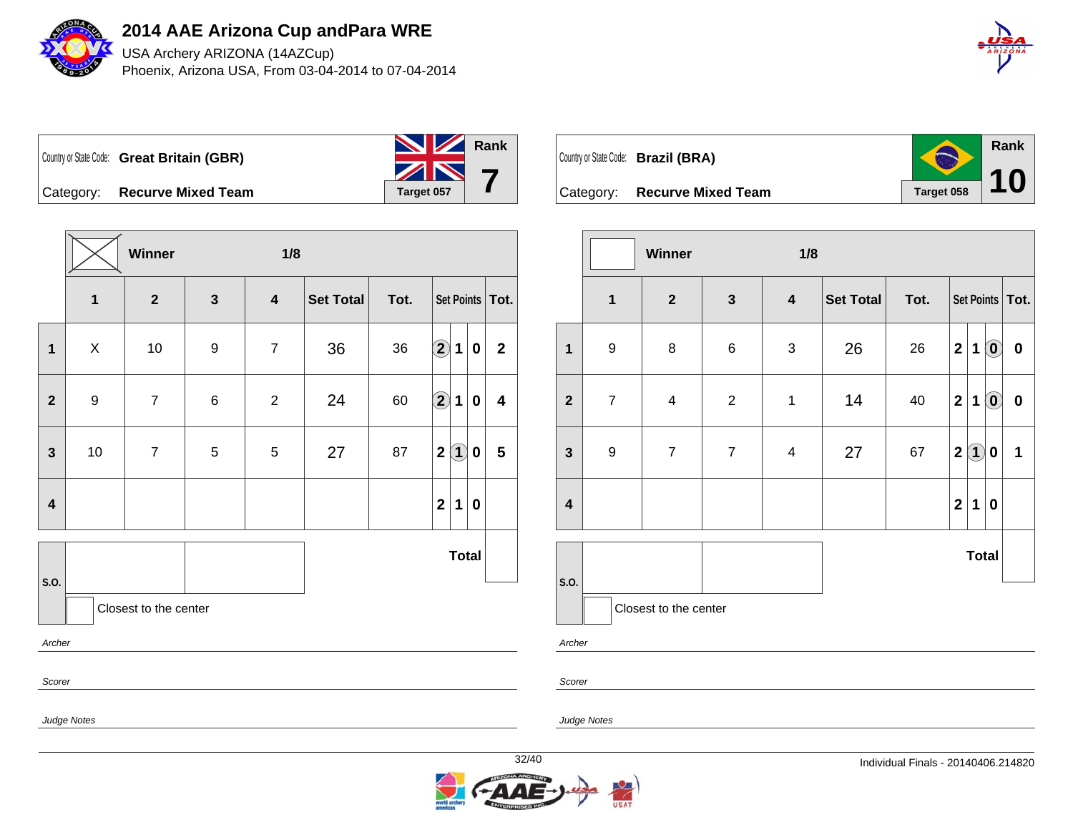

USA Archery ARIZONA (14AZCup) Phoenix, Arizona USA, From 03-04-2014 to 07-04-2014



**Rank**

**10**



|                         | Winner<br>1/8  |                       |                  |                         |                  |        |                         |                   |           |                         |
|-------------------------|----------------|-----------------------|------------------|-------------------------|------------------|--------|-------------------------|-------------------|-----------|-------------------------|
|                         | $\overline{1}$ | $\mathbf{2}$          | $\mathbf{3}$     | $\overline{\mathbf{4}}$ | <b>Set Total</b> | Tot.   |                         |                   |           | Set Points   Tot.       |
| $\mathbf{1}$            | X              | 10                    | $\boldsymbol{9}$ | $\boldsymbol{7}$        | 36               | $36\,$ | $\bigcirc \!\! \! 2$    | 1                 | 0         | $\mathbf{2}$            |
| $\mathbf{2}$            | 9              | $\overline{7}$        | $\,6$            | $\overline{2}$          | 24               | 60     | $\bigcirc \!\! \! 2$    | 1                 | 0         | 4                       |
| $\mathbf{3}$            | $10$           | $\overline{7}$        | $\sqrt{5}$       | $\sqrt{5}$              | 27               | 87     | $\overline{\mathbf{2}}$ | $\left( 1\right)$ | 0         | $\overline{\mathbf{5}}$ |
| $\overline{\mathbf{4}}$ |                |                       |                  |                         |                  |        | $\mathbf{2}$            | $\mathbf 1$       | $\pmb{0}$ |                         |
|                         |                |                       |                  |                         |                  |        |                         | <b>Total</b>      |           |                         |
| S.O.                    |                | Closest to the center |                  |                         |                  |        |                         |                   |           |                         |

Archer

Scorer

Country or State Code: **Brazil (BRA)** Category: **Recurve Mixed Team Target 058** 

|                         | Winner<br>1/8    |                       |                |                         |                  |      |              |                   |                                                         |                   |
|-------------------------|------------------|-----------------------|----------------|-------------------------|------------------|------|--------------|-------------------|---------------------------------------------------------|-------------------|
|                         | $\mathbf{1}$     | $\mathbf{2}$          | $\mathbf{3}$   | $\overline{\mathbf{4}}$ | <b>Set Total</b> | Tot. |              |                   |                                                         | Set Points   Tot. |
| $\mathbf{1}$            | $\boldsymbol{9}$ | 8                     | 6              | $\sqrt{3}$              | 26               | 26   | $\mathbf{2}$ | 1                 | $\left( \mathbf{0}\right)$                              | $\mathbf 0$       |
| $\overline{\mathbf{2}}$ | $\boldsymbol{7}$ | 4                     | $\overline{2}$ | $\mathbf 1$             | 14               | 40   | $\mathbf{2}$ | $\mathbf 1$       | $\left( \begin{matrix} \textbf{0} \end{matrix} \right)$ | $\pmb{0}$         |
| $\mathbf{3}$            | $\boldsymbol{9}$ | $\overline{7}$        | $\overline{7}$ | $\overline{\mathbf{4}}$ | 27               | 67   | $\mathbf{2}$ | $\left( 1\right)$ | $\boldsymbol{0}$                                        | 1                 |
| $\overline{\mathbf{4}}$ |                  |                       |                |                         |                  |      | $\mathbf{2}$ | $\mathbf 1$       | $\boldsymbol{0}$                                        |                   |
|                         |                  |                       |                |                         |                  |      |              | <b>Total</b>      |                                                         |                   |
| S.O.                    |                  |                       |                |                         |                  |      |              |                   |                                                         |                   |
|                         |                  | Closest to the center |                |                         |                  |      |              |                   |                                                         |                   |

Archer

Scorer

Judge Notes

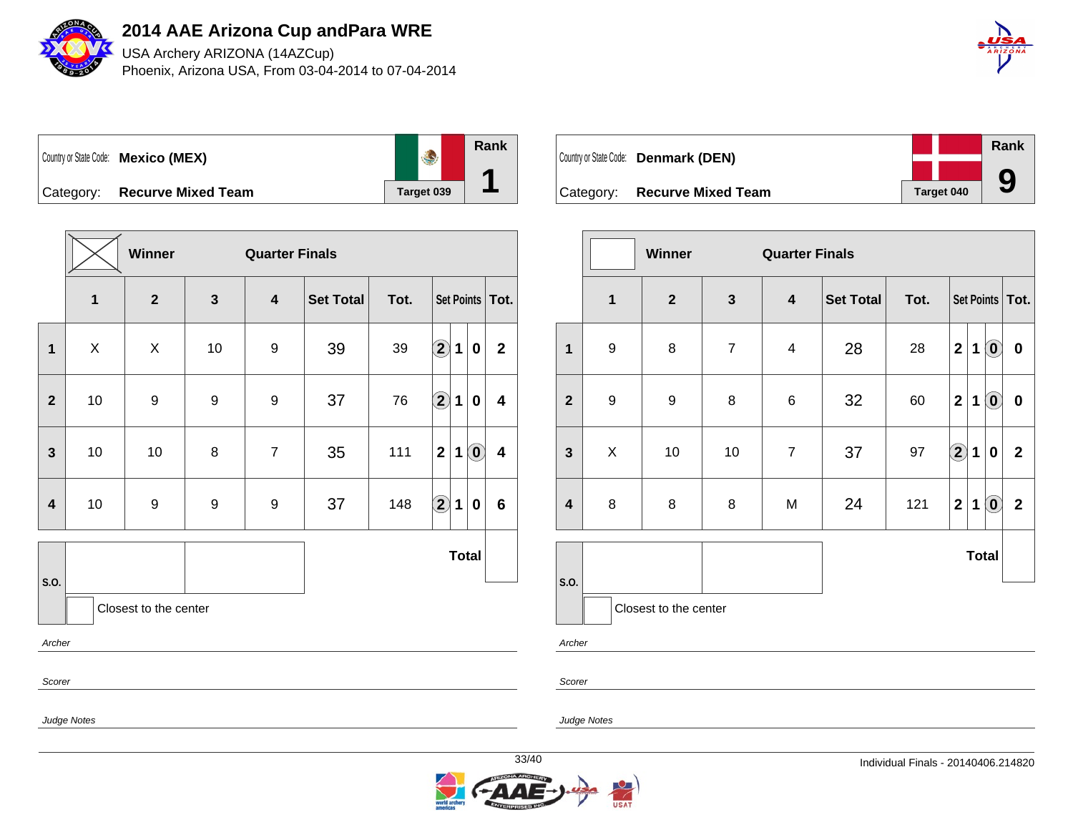

USA Archery ARIZONA (14AZCup) Phoenix, Arizona USA, From 03-04-2014 to 07-04-2014



**Rank** Country or State Code: **Mexico (MEX) 1** Category: **Recurve Mixed Team Target 039** 

|                         |    | <b>Winner</b>         |              | <b>Quarter Finals</b>   |                  |      |                             |              |                         |  |  |
|-------------------------|----|-----------------------|--------------|-------------------------|------------------|------|-----------------------------|--------------|-------------------------|--|--|
|                         | 1  | $\overline{2}$        | $\mathbf{3}$ | $\overline{\mathbf{4}}$ | <b>Set Total</b> | Tot. | Set Points   Tot.           |              |                         |  |  |
| 1                       | X  | X                     | 10           | $\boldsymbol{9}$        | 39               | 39   | $\bf \Omega$<br>$\mathbf 1$ | $\bf{0}$     | $\mathbf{2}$            |  |  |
| $\overline{2}$          | 10 | 9                     | 9            | $\boldsymbol{9}$        | 37               | 76   | $\bf \overline{2}$<br>1     | $\bf{0}$     | 4                       |  |  |
| $\mathbf{3}$            | 10 | 10                    | 8            | $\overline{7}$          | 35               | 111  | $\mathbf{2}$<br>$\mathbf 1$ | $\mathbf{0}$ | $\overline{\mathbf{4}}$ |  |  |
| $\overline{\mathbf{4}}$ | 10 | 9                     | 9            | $\boldsymbol{9}$        | 37               | 148  | $\bf{(2)}$<br>$\mathbf{1}$  | $\bf{0}$     | 6                       |  |  |
|                         |    |                       |              |                         |                  |      | <b>Total</b>                |              |                         |  |  |
| S.O.                    |    | Closest to the center |              |                         |                  |      |                             |              |                         |  |  |
| Archer                  |    |                       |              |                         |                  |      |                             |              |                         |  |  |

Country or State Code: **Denmark (DEN)** Category: **Recurve Mixed Team Target 040 Rank 9**

|                         |                       | Winner           |                | <b>Quarter Finals</b>   |                  |      |                         |              |                                                         |                         |
|-------------------------|-----------------------|------------------|----------------|-------------------------|------------------|------|-------------------------|--------------|---------------------------------------------------------|-------------------------|
|                         | $\mathbf 1$           | $\mathbf{2}$     | $\mathbf{3}$   | $\overline{\mathbf{4}}$ | <b>Set Total</b> | Tot. |                         |              |                                                         | Set Points   Tot.       |
| 1                       | $\boldsymbol{9}$      | $\bf 8$          | $\overline{7}$ | 4                       | 28               | 28   | $\overline{\mathbf{2}}$ | 1            | $\left( \begin{matrix} \textbf{0} \end{matrix} \right)$ | $\pmb{0}$               |
| $\overline{2}$          | $\boldsymbol{9}$      | $\boldsymbol{9}$ | 8              | $\,6$                   | 32               | 60   | $\overline{\mathbf{2}}$ | $\mathbf 1$  | $\left( \mathbf{0}\right)$                              | $\pmb{0}$               |
| $\overline{\mathbf{3}}$ | X                     | 10               | 10             | $\overline{7}$          | 37               | 97   | $\bigcirc \!\! \! 2$    | 1            | 0                                                       | $\mathbf{2}$            |
| $\overline{\mathbf{4}}$ | $\bf 8$               | $\bf 8$          | 8              | M                       | 24               | 121  | $\overline{\mathbf{2}}$ | $\mathbf 1$  | $\left( \mathbf{0}\right)$                              | $\overline{\mathbf{2}}$ |
| S.O.                    |                       |                  |                |                         |                  |      |                         | <b>Total</b> |                                                         |                         |
|                         | Closest to the center |                  |                |                         |                  |      |                         |              |                                                         |                         |

Archer

Scorer

Judge Notes

Scorer

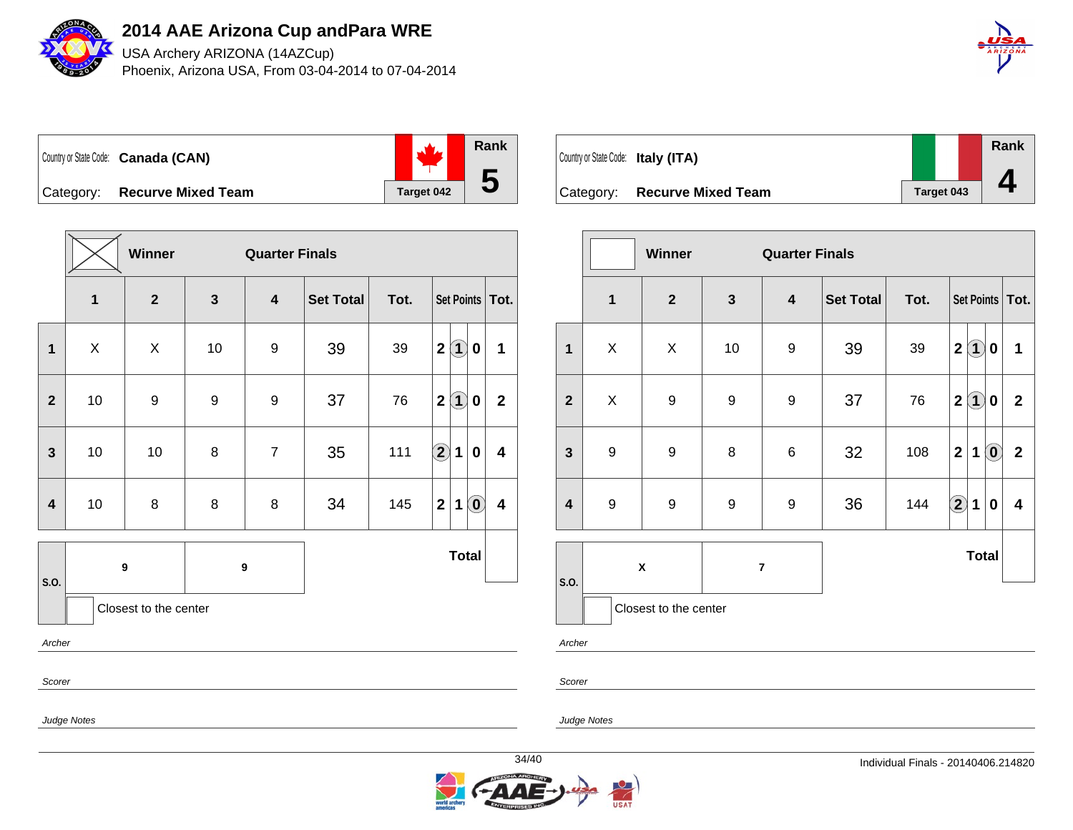

USA Archery ARIZONA (14AZCup) Phoenix, Arizona USA, From 03-04-2014 to 07-04-2014





**Winner Quarter Finals 1 2 3 4 Set Total Tot. Set Points Tot. 1** X X 10 9 39 39 **2 1 0 1 2** 10 9 9 9 37 76 **2 1 0 2 3** 10 10 8 7 35 111 **2 1 0 4 4** | 10 | 8 | 8 | 8 | 34 | 145  $2$  | 1 | **0** | 4 **S.O. 9 9 Total** Closest to the center

Archer

Scorer

Scorer

Judge Notes

Judge Notes



| Country or State Code: Italy (ITA) |                           |            | <b>Rank</b> |
|------------------------------------|---------------------------|------------|-------------|
| Category:                          | <b>Recurve Mixed Team</b> | Target 043 |             |

|                         |                        | Winner                |                  | <b>Quarter Finals</b>   |                  |      |                         |                     |                                                |                  |
|-------------------------|------------------------|-----------------------|------------------|-------------------------|------------------|------|-------------------------|---------------------|------------------------------------------------|------------------|
|                         | 1                      | $\mathbf{2}$          | $\mathbf{3}$     | $\overline{\mathbf{4}}$ | <b>Set Total</b> | Tot. | Set Points   Tot.       |                     |                                                |                  |
| $\mathbf{1}$            | X                      | X                     | 10               | 9                       | 39               | 39   | $\mathbf{2}$            | $\left( 1\right)$   | 0                                              | 1                |
| $\overline{2}$          | X                      | $\boldsymbol{9}$      | 9                | 9                       | 37               | 76   | $\overline{\mathbf{2}}$ | $\ddot{\mathbf{1}}$ | 0                                              | $\boldsymbol{2}$ |
| $\mathbf{3}$            | $\boldsymbol{9}$       | 9                     | 8                | 6                       | 32               | 108  | $\mathbf{2}$            | 1                   | $\left  \begin{matrix} 0 \end{matrix} \right $ | $\boldsymbol{2}$ |
| $\overline{\mathbf{4}}$ | $\boldsymbol{9}$       | $\boldsymbol{9}$      | $\boldsymbol{9}$ | $\boldsymbol{9}$        | 36               | 144  | $\bf \overline{2}$      | 1                   | $\mathbf 0$                                    | 4                |
| S.O.                    | <b>Total</b><br>X<br>7 |                       |                  |                         |                  |      |                         |                     |                                                |                  |
|                         |                        | Closest to the center |                  |                         |                  |      |                         |                     |                                                |                  |

Archer

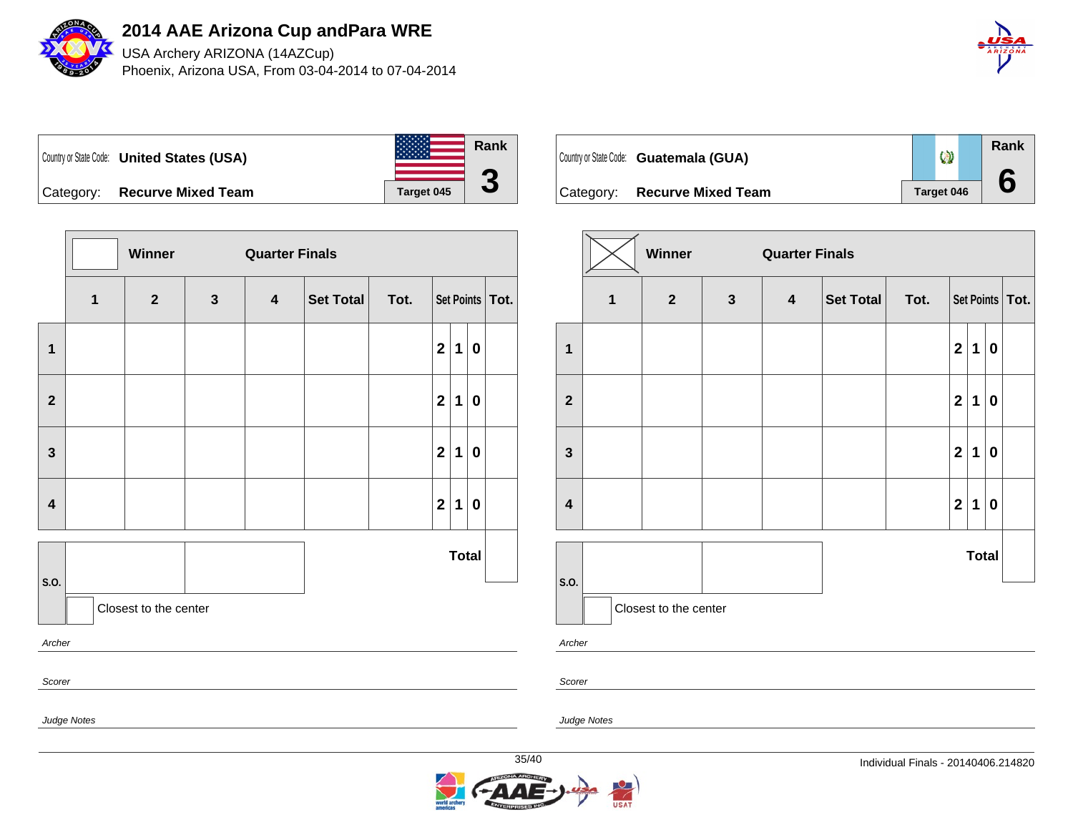

USA Archery ARIZONA (14AZCup) Phoenix, Arizona USA, From 03-04-2014 to 07-04-2014



Country or State Code: **United States (USA)** Category: **Recurve Mixed Team Target 045 Rank 3**

**Winner Quarter Finals 1 2 3 4 Set Total Tot. Set Points Tot. 1 2 1 0 2 2 1 0 3 2 1 0 4 2 1 0 S.O. Total** Closest to the center Archer Scorer

**Rank**  $\circledcirc$ Country or State Code: **Guatemala (GUA) 6** Category: **Recurve Mixed Team Target 046** 

|                         |                       | Winner       |              | <b>Quarter Finals</b> |           |      |                |              |                  |                   |
|-------------------------|-----------------------|--------------|--------------|-----------------------|-----------|------|----------------|--------------|------------------|-------------------|
|                         | 1                     | $\mathbf{2}$ | $\mathbf{3}$ | $\boldsymbol{4}$      | Set Total | Tot. |                |              |                  | Set Points   Tot. |
| $\mathbf{1}$            |                       |              |              |                       |           |      | $\overline{2}$ | $\mathbf 1$  | $\mathbf 0$      |                   |
| $\overline{2}$          |                       |              |              |                       |           |      | $\mathbf{2}$   | $\mathbf 1$  | 0                |                   |
| $\mathbf{3}$            |                       |              |              |                       |           |      | $\mathbf{2}$   | $\mathbf 1$  | $\boldsymbol{0}$ |                   |
| $\overline{\mathbf{4}}$ |                       |              |              |                       |           |      | 2 <sup>1</sup> | $\mathbf 1$  | 0                |                   |
|                         |                       |              |              |                       |           |      |                |              |                  |                   |
| S.O.                    |                       |              |              |                       |           |      |                | <b>Total</b> |                  |                   |
|                         | Closest to the center |              |              |                       |           |      |                |              |                  |                   |

Archer

Scorer

Judge Notes

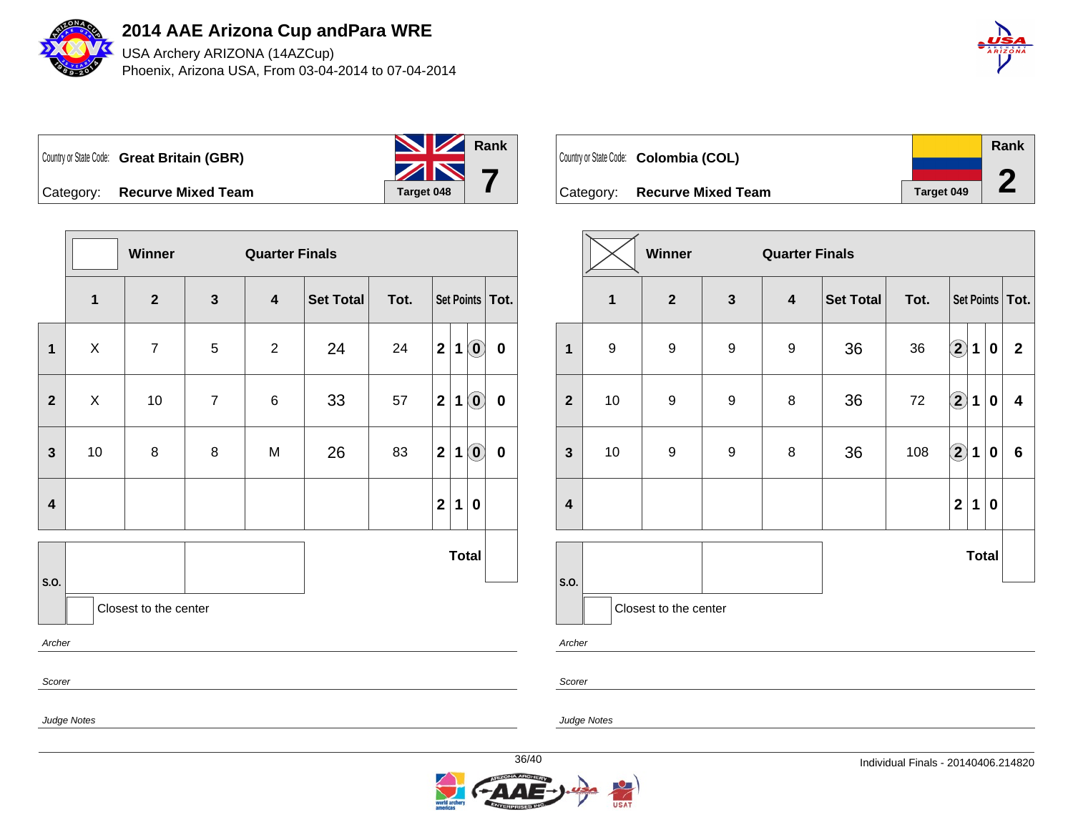

USA Archery ARIZONA (14AZCup) Phoenix, Arizona USA, From 03-04-2014 to 07-04-2014



| Country or State Code: Great Britain (GBR) | <b>NV</b> Rank<br>$ZN$ 7 |  |
|--------------------------------------------|--------------------------|--|
| Category: Recurve Mixed Team               | Target 048               |  |

|              |                       | Winner           |                | <b>Quarter Finals</b>   |           |      |                |             |                             |             |  |
|--------------|-----------------------|------------------|----------------|-------------------------|-----------|------|----------------|-------------|-----------------------------|-------------|--|
|              | $\mathbf 1$           | $\boldsymbol{2}$ | $\mathbf{3}$   | $\overline{\mathbf{4}}$ | Set Total | Tot. |                |             | Set Points   Tot.           |             |  |
| $\mathbf{1}$ | X                     | $\overline{7}$   | 5              | $\overline{2}$          | 24        | 24   | $\mathbf{2}$   | 1           | $\textcircled{\small{0}}$   | $\pmb{0}$   |  |
| $\mathbf{2}$ | X                     | 10               | $\overline{7}$ | $\,6$                   | 33        | 57   | $\mathbf{2}$   | $\mathbf 1$ | $\textcolor{blue}{\bullet}$ | $\mathbf 0$ |  |
| $\mathbf{3}$ | $10$                  | 8                | 8              | M                       | 26        | 83   | $\mathbf{2}$   | $\mathbf 1$ | $\left( \mathbf{0}\right)$  | $\pmb{0}$   |  |
| 4            |                       |                  |                |                         |           |      | $\overline{2}$ | 1           | 0                           |             |  |
| S.O.         | <b>Total</b>          |                  |                |                         |           |      |                |             |                             |             |  |
|              | Closest to the center |                  |                |                         |           |      |                |             |                             |             |  |
| Archer       |                       |                  |                |                         |           |      |                |             |                             |             |  |
| Scorer       |                       |                  |                |                         |           |      |                |             |                             |             |  |

|           | Country or State Code: Colombia (COL) |            | Rank |
|-----------|---------------------------------------|------------|------|
| Category: | <b>Recurve Mixed Team</b>             | Target 049 |      |

| Set Total<br>Tot.<br>$\bigcirc \!\! \! 2$<br>36 | Set Points   Tot.<br>$\mathbf 1$<br>0 | $\mathbf{2}$                                                   |  |  |  |  |  |  |
|-------------------------------------------------|---------------------------------------|----------------------------------------------------------------|--|--|--|--|--|--|
|                                                 |                                       |                                                                |  |  |  |  |  |  |
|                                                 |                                       |                                                                |  |  |  |  |  |  |
| $\Large{\textbf{2}}$<br>72                      | $\mathbf 1$<br>$\pmb{0}$              | 4                                                              |  |  |  |  |  |  |
| 108                                             | 1                                     | 6                                                              |  |  |  |  |  |  |
|                                                 | $\mathbf 1$                           |                                                                |  |  |  |  |  |  |
| <b>Total</b><br>S.O.<br>Closest to the center   |                                       |                                                                |  |  |  |  |  |  |
|                                                 |                                       | $\Large{\textbf{2}}$<br>$\pmb{0}$<br>$\mathbf{2}$<br>$\pmb{0}$ |  |  |  |  |  |  |

Archer

Scorer

Judge Notes

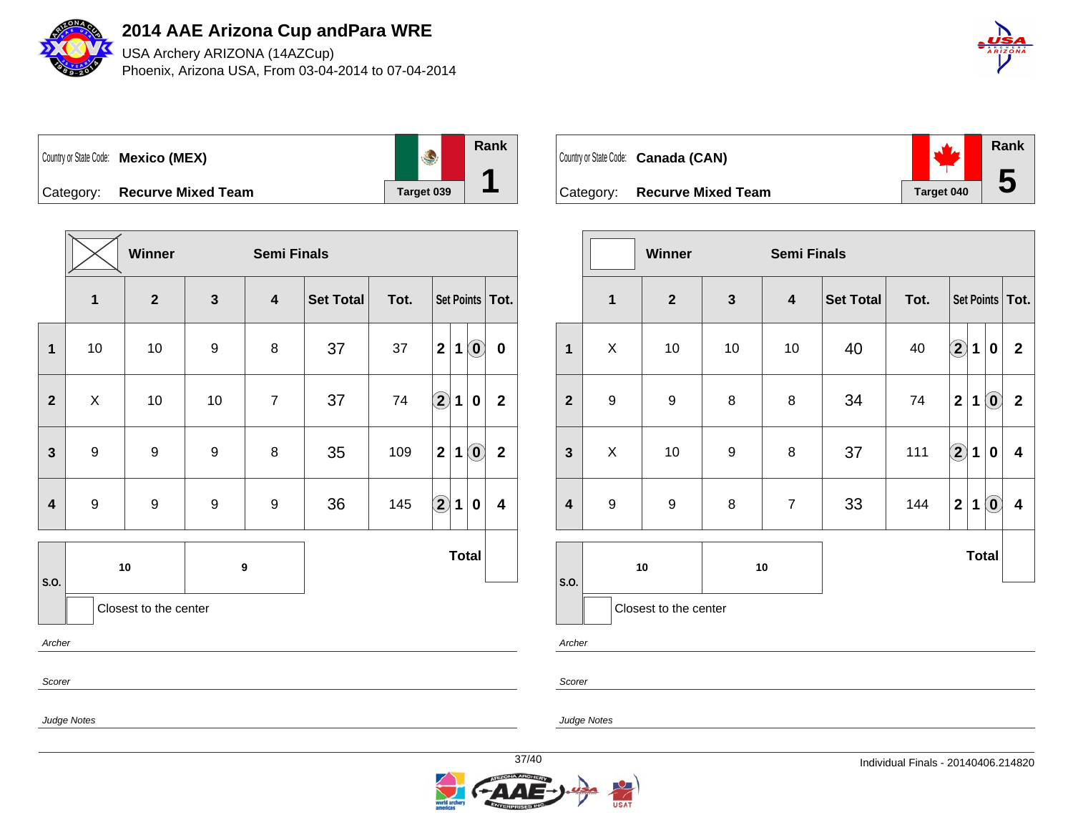

USA Archery ARIZONA (14AZCup) Phoenix, Arizona USA, From 03-04-2014 to 07-04-2014



**Rank** Country or State Code: **Mexico (MEX) 1** Category: **Recurve Mixed Team Target 039** 

|                         |                       | Winner           |                  | <b>Semi Finals</b>      |                  |      |                      |             |                                                         |                   |
|-------------------------|-----------------------|------------------|------------------|-------------------------|------------------|------|----------------------|-------------|---------------------------------------------------------|-------------------|
|                         | $\mathbf 1$           | $\mathbf{2}$     | $\mathbf{3}$     | $\overline{\mathbf{4}}$ | <b>Set Total</b> | Tot. |                      |             |                                                         | Set Points   Tot. |
| 1                       | $10\,$                | 10               | $\boldsymbol{9}$ | $\bf 8$                 | 37               | 37   | $\mathbf{2}$         | $\mathbf 1$ | $\left( \begin{matrix} 0 \end{matrix} \right)$          | $\bf{0}$          |
| $\mathbf{2}$            | X                     | 10               | 10               | $\overline{7}$          | 37               | 74   | $\bf{(2)}$           | $\mathbf 1$ | 0                                                       | $\mathbf{2}$      |
| $\mathbf{3}$            | $\boldsymbol{9}$      | 9                | 9                | $\bf 8$                 | 35               | 109  | $\mathbf{2}$         | $\mathbf 1$ | $\left( \begin{matrix} \textbf{0} \end{matrix} \right)$ | $\mathbf{2}$      |
| $\overline{\mathbf{4}}$ | $\boldsymbol{9}$      | $\boldsymbol{9}$ | 9                | $\boldsymbol{9}$        | 36               | 145  | $\bigcirc \!\! \! 2$ | $\mathbf 1$ | 0                                                       | 4                 |
|                         |                       | 10               | 9                |                         |                  |      | <b>Total</b>         |             |                                                         |                   |
| S.O.                    | Closest to the center |                  |                  |                         |                  |      |                      |             |                                                         |                   |
| Archer                  |                       |                  |                  |                         |                  |      |                      |             |                                                         |                   |

Scorer

**Rank** L Country or State Code: **Canada (CAN) 5** Category: **Recurve Mixed Team Target 040** 

|                         |                         | <b>Winner</b>         |                  | <b>Semi Finals</b>      |                  |      |                         |              |                                                         |                   |
|-------------------------|-------------------------|-----------------------|------------------|-------------------------|------------------|------|-------------------------|--------------|---------------------------------------------------------|-------------------|
|                         | $\overline{\mathbf{1}}$ | $\mathbf{2}$          | $\mathbf{3}$     | $\overline{\mathbf{4}}$ | <b>Set Total</b> | Tot. |                         |              |                                                         | Set Points   Tot. |
| $\mathbf{1}$            | X                       | 10                    | 10               | 10                      | 40               | 40   | $\bf \overline{2}$      | $\mathbf 1$  | 0                                                       | $\mathbf{2}$      |
| $\overline{2}$          | 9                       | 9                     | 8                | $\, 8$                  | 34               | 74   | 2 <sub>1</sub>          | $\mathbf 1$  | $\left( \mathbf{0}\right)$                              | $\mathbf{2}$      |
| $\mathbf{3}$            | X                       | 10                    | $\boldsymbol{9}$ | $\bf 8$                 | 37               | 111  | $\bigcirc$              | $\mathbf 1$  | $\mathbf 0$                                             | 4                 |
| $\overline{\mathbf{4}}$ | 9                       | 9                     | 8                | $\overline{7}$          | 33               | 144  | $\overline{\mathbf{2}}$ | $\mathbf 1$  | $\left( \begin{matrix} \textbf{0} \end{matrix} \right)$ | 4                 |
|                         | 10                      |                       | 10               |                         |                  |      |                         | <b>Total</b> |                                                         |                   |
| S.O.                    |                         | Closest to the center |                  |                         |                  |      |                         |              |                                                         |                   |

Archer

Scorer

Judge Notes

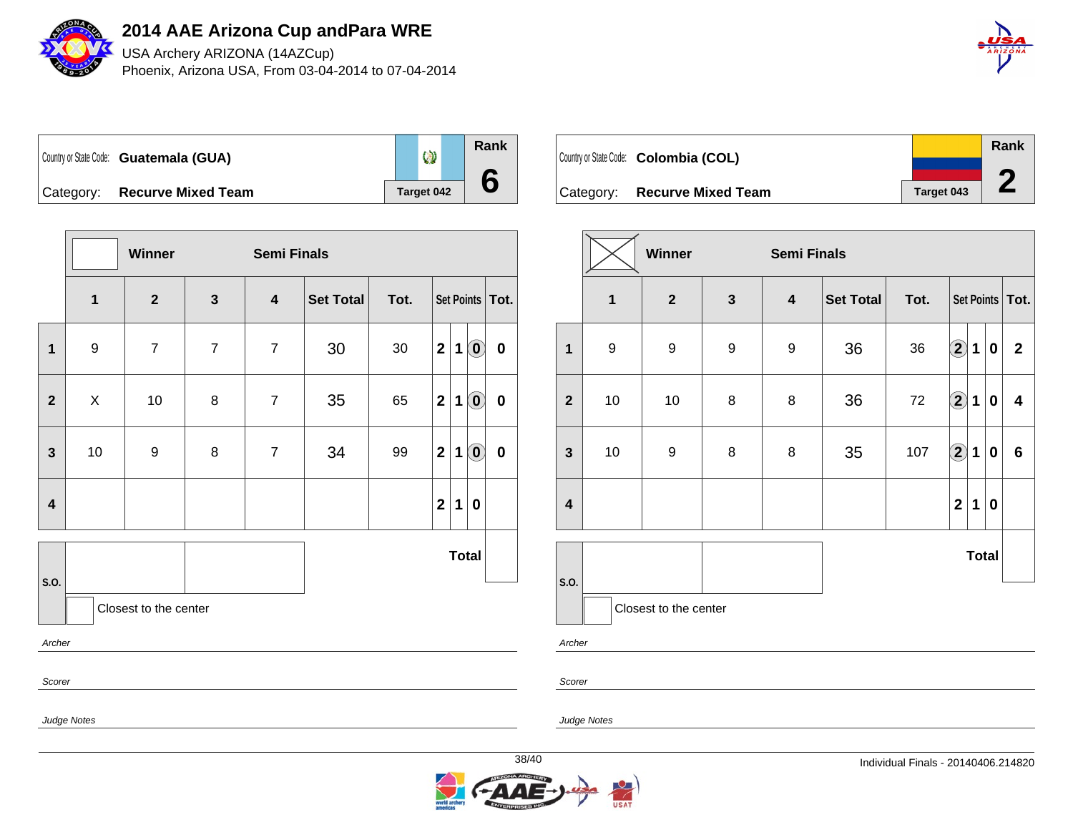

USA Archery ARIZONA (14AZCup) Phoenix, Arizona USA, From 03-04-2014 to 07-04-2014



**Rank**  $\circledcirc$ Country or State Code: **Guatemala (GUA) 6** Category: **Recurve Mixed Team Target 042** 

|                               |                  | Winner           |                  | <b>Semi Finals</b>      |           |      |                         |             |                            |           |
|-------------------------------|------------------|------------------|------------------|-------------------------|-----------|------|-------------------------|-------------|----------------------------|-----------|
|                               | $\mathbf{1}$     | $\boldsymbol{2}$ | $\mathbf{3}$     | $\overline{\mathbf{4}}$ | Set Total | Tot. |                         |             | Set Points   Tot.          |           |
| $\mathbf{1}$                  | $\boldsymbol{9}$ | $\overline{7}$   | $\boldsymbol{7}$ | $\overline{7}$          | 30        | 30   | $\overline{\mathbf{2}}$ | $\mathbf 1$ | $\left( \mathbf{0}\right)$ | $\pmb{0}$ |
| $\mathbf{2}$                  | $\pmb{\times}$   | 10               | 8                | $\boldsymbol{7}$        | 35        | 65   | $\mathbf{2}$            | 1           | $\left( \mathbf{0}\right)$ | $\pmb{0}$ |
| $\mathbf{3}$                  | $10$             | $\boldsymbol{9}$ | 8                | $\overline{7}$          | 34        | 99   | $\mathbf{2}$            | 1           | $ 0\rangle$                | $\pmb{0}$ |
| $\overline{\mathbf{4}}$       |                  |                  |                  |                         |           |      | $\overline{\mathbf{2}}$ | 1           | 0                          |           |
|                               | <b>Total</b>     |                  |                  |                         |           |      |                         |             |                            |           |
| S.O.<br>Closest to the center |                  |                  |                  |                         |           |      |                         |             |                            |           |
| Archer                        |                  |                  |                  |                         |           |      |                         |             |                            |           |
| Scorer                        |                  |                  |                  |                         |           |      |                         |             |                            |           |

| Country or State Code: Colombia (COL) |                   | Rank |
|---------------------------------------|-------------------|------|
|                                       |                   |      |
| Category: Recurve Mixed Team          | <b>Target 043</b> |      |

|                         |    | Winner                |                  | <b>Semi Finals</b>      |                  |      |                         |              |             |                         |
|-------------------------|----|-----------------------|------------------|-------------------------|------------------|------|-------------------------|--------------|-------------|-------------------------|
|                         | 1  | $\mathbf{2}$          | $\mathbf{3}$     | $\overline{\mathbf{4}}$ | <b>Set Total</b> | Tot. | Set Points   Tot.       |              |             |                         |
| 1                       | 9  | $\boldsymbol{9}$      | $\boldsymbol{9}$ | $\boldsymbol{9}$        | 36               | 36   | $\Large{\textbf{2}}$    | 1            | $\mathbf 0$ | $\mathbf{2}$            |
| $\overline{2}$          | 10 | $10\,$                | 8                | 8                       | 36               | 72   | $\bigcirc \!\! 2$       | 1            | $\mathbf 0$ | $\overline{\mathbf{4}}$ |
| $\mathbf{3}$            | 10 | $\boldsymbol{9}$      | 8                | 8                       | 35               | 107  | $\bf \overline{2}$      | 1            | $\pmb{0}$   | $\bf 6$                 |
| $\overline{\mathbf{4}}$ |    |                       |                  |                         |                  |      | $\overline{\mathbf{2}}$ | 1            | $\pmb{0}$   |                         |
|                         |    |                       |                  |                         |                  |      |                         | <b>Total</b> |             |                         |
| S.O.                    |    | Closest to the center |                  |                         |                  |      |                         |              |             |                         |

Archer

Scorer

Judge Notes

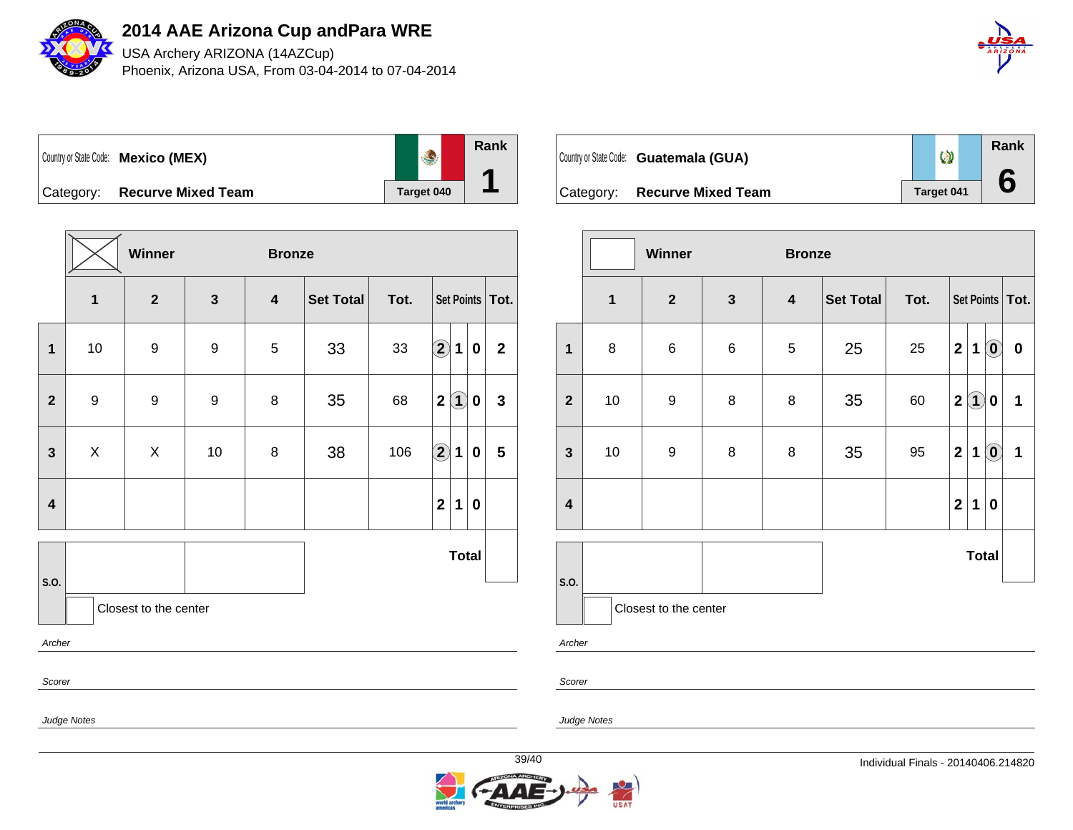

USA Archery ARIZONA (14AZCup) Phoenix, Arizona USA, From 03-04-2014 to 07-04-2014



**Rank** Country or State Code: **Mexico (MEX) 1** Category: **Recurve Mixed Team Target 040** 

**Winner Bronze 1 2 3 4 Set Total Tot. Set Points Tot. 1** | 10 | 9 | 9 | 5 | 33 | 33 | 2 | 1 | 0 | 2  $2$  | 9 | 9 | 8 | 35 | 68 | $2$   $1$   $0$  | 3 **3** X X 10 8 38 106 **2 1 0 5 4 2 1 0 S.O. Total** Closest to the center Archer Scorer

| Country or State Code: Guatemala (GUA) | $\circledcirc$ | Rank |
|----------------------------------------|----------------|------|
| Category: Recurve Mixed Team           | Target 041     |      |

|                         |                         | <b>Winner</b>         |              | <b>Bronze</b>           |                  |      |                         |              |                                                |           |
|-------------------------|-------------------------|-----------------------|--------------|-------------------------|------------------|------|-------------------------|--------------|------------------------------------------------|-----------|
|                         | $\overline{\mathbf{1}}$ | $\mathbf{2}$          | $\mathbf{3}$ | $\overline{\mathbf{4}}$ | <b>Set Total</b> | Tot. | Set Points   Tot.       |              |                                                |           |
| 1                       | 8                       | $\,6$                 | $\,$ 6 $\,$  | 5                       | 25               | 25   | $\overline{\mathbf{2}}$ | 1            | $\left( \begin{matrix} 0 \end{matrix} \right)$ | $\pmb{0}$ |
| $\overline{2}$          | $10$                    | $\boldsymbol{9}$      | 8            | 8                       | 35               | 60   | $\mathbf 2$             | $\bf(1)$     | 0                                              | 1         |
| $\mathbf{3}$            | 10                      | $\boldsymbol{9}$      | 8            | 8                       | 35               | 95   | $\mathbf 2$             | 1            | $\left( \begin{matrix} 0 \end{matrix} \right)$ | 1         |
| $\overline{\mathbf{4}}$ |                         |                       |              |                         |                  |      | $\mathbf{2}$            | 1            | $\pmb{0}$                                      |           |
|                         |                         |                       |              |                         |                  |      |                         | <b>Total</b> |                                                |           |
| S.O.                    |                         | Closest to the center |              |                         |                  |      |                         |              |                                                |           |

Archer

Scorer

Judge Notes